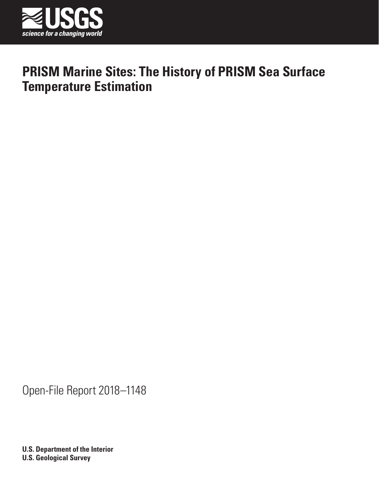

Open-File Report 2018–1148

**U.S. Department of the Interior U.S. Geological Survey**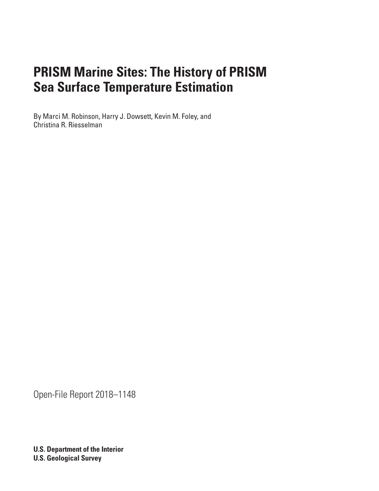By Marci M. Robinson, Harry J. Dowsett, Kevin M. Foley, and Christina R. Riesselman

Open-File Report 2018–1148

**U.S. Department of the Interior U.S. Geological Survey**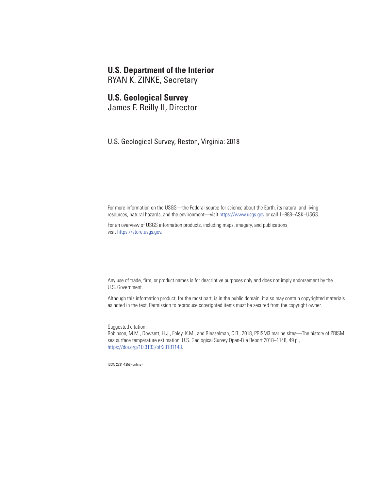## **U.S. Department of the Interior**

RYAN K. ZINKE, Secretary

## **U.S. Geological Survey**

James F. Reilly II, Director

U.S. Geological Survey, Reston, Virginia: 2018

For more information on the USGS—the Federal source for science about the Earth, its natural and living resources, natural hazards, and the environment—visit [https://www.usgs.gov](http://www.usgs.gov) or call 1–888–ASK–USGS.

For an overview of USGS information products, including maps, imagery, and publications, visit [https://store.usgs.gov.](http://store.usgs.gov)

Any use of trade, firm, or product names is for descriptive purposes only and does not imply endorsement by the U.S. Government.

Although this information product, for the most part, is in the public domain, it also may contain copyrighted materials as noted in the text. Permission to reproduce copyrighted items must be secured from the copyright owner.

Suggested citation:

Robinson, M.M., Dowsett, H.J., Foley, K.M., and Riesselman, C.R., 2018, PRISM3 marine sites—The history of PRISM sea surface temperature estimation: U.S. Geological Survey Open-File Report 2018–1148, 49 p., https://doi.org/10.3133/ofr20181148.

ISSN 2331-1258 (online)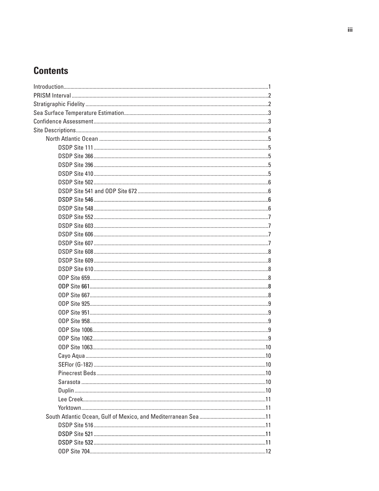# **Contents**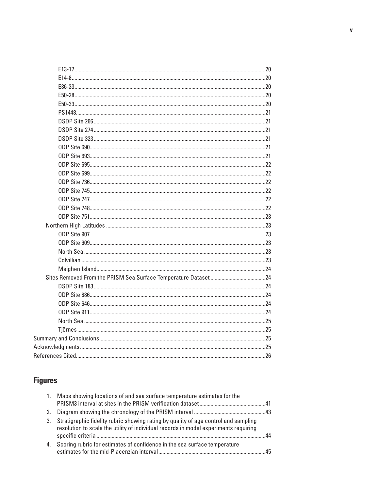# **Figures**

| 1. | Maps showing locations of and sea surface temperature estimates for the                                                                                                     |    |
|----|-----------------------------------------------------------------------------------------------------------------------------------------------------------------------------|----|
| 2. |                                                                                                                                                                             |    |
| 3. | Stratigraphic fidelity rubric showing rating by quality of age control and sampling<br>resolution to scale the utility of individual records in model experiments requiring | ΔД |
| 4. | Scoring rubric for estimates of confidence in the sea surface temperature                                                                                                   |    |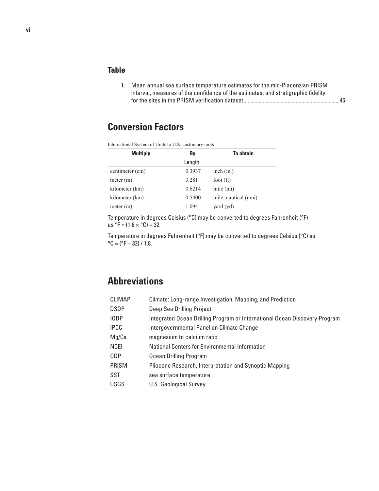## **Table**

1. [Mean annual sea surface temperature estimates for the mid-Piacenzian PRISM](#page-53-0)  [interval, measures of the confidence of the estimates, and stratigraphic fidelity](#page-53-0)  [for the sites in the PRISM verification dataset......................................................................46](#page-53-0)

# **Conversion Factors**

| <b>Multiply</b><br>By<br>Length                  | International System of Units to U.S. customary units |                 |        |                      |  |  |  |  |  |
|--------------------------------------------------|-------------------------------------------------------|-----------------|--------|----------------------|--|--|--|--|--|
|                                                  |                                                       |                 |        | To obtain            |  |  |  |  |  |
|                                                  |                                                       |                 |        |                      |  |  |  |  |  |
|                                                  |                                                       | centimeter (cm) | 0.3937 | inch (in.)           |  |  |  |  |  |
| 3.281<br>meter $(m)$<br>foot $(ft)$              |                                                       |                 |        |                      |  |  |  |  |  |
| 0.6214<br>mile $(mi)$<br>kilometer (km)          |                                                       |                 |        |                      |  |  |  |  |  |
| 0.5400<br>kilometer (km)                         |                                                       |                 |        | mile, nautical (nmi) |  |  |  |  |  |
| 1.094<br>$\gamma$ yard $(\gamma d)$<br>meter (m) |                                                       |                 |        |                      |  |  |  |  |  |

Temperature in degrees Celsius (°C) may be converted to degrees Fahrenheit (°F)

as  ${}^{\circ}$ F = (1.8  $\times {}^{\circ}$ C) + 32.

Temperature in degrees Fahrenheit (°F) may be converted to degrees Celsius (°C) as  $^{\circ}$ C = ( $^{\circ}$ F – 32) / 1.8.

# **Abbreviations**

| <b>CLIMAP</b> | Climate: Long-range Investigation, Mapping, and Prediction                 |
|---------------|----------------------------------------------------------------------------|
| <b>DSDP</b>   | Deep Sea Drilling Project                                                  |
| IODP          | Integrated Ocean Drilling Program or International Ocean Discovery Program |
| <b>IPCC</b>   | Intergovernmental Panel on Climate Change                                  |
| Mg/Ca         | magnesium to calcium ratio                                                 |
| <b>NCEI</b>   | National Centers for Environmental Information                             |
| ODP           | Ocean Drilling Program                                                     |
| PRISM         | Pliocene Research, Interpretation and Synoptic Mapping                     |
| SST           | sea surface temperature                                                    |
| <b>USGS</b>   | <b>U.S. Geological Survey</b>                                              |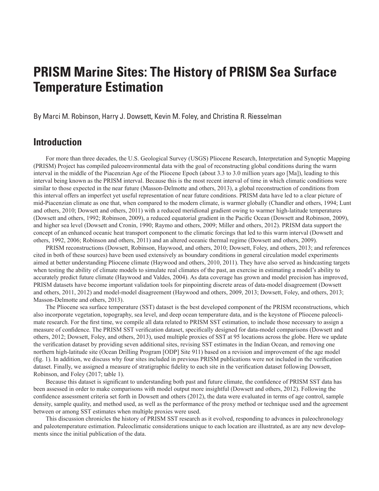<span id="page-8-0"></span>By Marci M. Robinson, Harry J. Dowsett, Kevin M. Foley, and Christina R. Riesselman

# **Introduction**

For more than three decades, the U.S. Geological Survey (USGS) Pliocene Research, Interpretation and Synoptic Mapping (PRISM) Project has compiled paleoenvironmental data with the goal of reconstructing global conditions during the warm interval in the middle of the Piacenzian Age of the Pliocene Epoch (about 3.3 to 3.0 million years ago [Ma]), leading to this interval being known as the PRISM interval. Because this is the most recent interval of time in which climatic conditions were similar to those expected in the near future (Masson-Delmotte and others, 2013), a global reconstruction of conditions from this interval offers an imperfect yet useful representation of near future conditions. PRISM data have led to a clear picture of mid-Piacenzian climate as one that, when compared to the modern climate, is warmer globally (Chandler and others, 1994; Lunt and others, 2010; Dowsett and others, 2011) with a reduced meridional gradient owing to warmer high-latitude temperatures (Dowsett and others, 1992; Robinson, 2009), a reduced equatorial gradient in the Pacific Ocean (Dowsett and Robinson, 2009), and higher sea level (Dowsett and Cronin, 1990; Raymo and others, 2009; Miller and others, 2012). PRISM data support the concept of an enhanced oceanic heat transport component to the climatic forcings that led to this warm interval (Dowsett and others, 1992, 2006; Robinson and others, 2011) and an altered oceanic thermal regime (Dowsett and others, 2009).

PRISM reconstructions (Dowsett, Robinson, Haywood, and others, 2010; Dowsett, Foley, and others, 2013; and references cited in both of these sources) have been used extensively as boundary conditions in general circulation model experiments aimed at better understanding Pliocene climate (Haywood and others, 2010, 2011). They have also served as hindcasting targets when testing the ability of climate models to simulate real climates of the past, an exercise in estimating a model's ability to accurately predict future climate (Haywood and Valdes, 2004). As data coverage has grown and model precision has improved, PRISM datasets have become important validation tools for pinpointing discrete areas of data-model disagreement (Dowsett and others, 2011, 2012) and model-model disagreement (Haywood and others, 2009, 2013; Dowsett, Foley, and others, 2013; Masson-Delmotte and others, 2013).

The Pliocene sea surface temperature (SST) dataset is the best developed component of the PRISM reconstructions, which also incorporate vegetation, topography, sea level, and deep ocean temperature data, and is the keystone of Pliocene paleoclimate research. For the first time, we compile all data related to PRISM SST estimation, to include those necessary to assign a measure of confidence. The PRISM SST verification dataset, specifically designed for data-model comparisons (Dowsett and others, 2012; Dowsett, Foley, and others, 2013), used multiple proxies of SST at 95 locations across the globe. Here we update the verification dataset by providing seven additional sites, revising SST estimates in the Indian Ocean, and removing one northern high-latitude site (Ocean Drilling Program [ODP] Site 911) based on a revision and improvement of the age model (fig. 1). In addition, we discuss why four sites included in previous PRISM publications were not included in the verification dataset. Finally, we assigned a measure of stratigraphic fidelity to each site in the verification dataset following Dowsett, Robinson, and Foley (2017; table 1).

Because this dataset is significant to understanding both past and future climate, the confidence of PRISM SST data has been assessed in order to make comparisons with model output more insightful (Dowsett and others, 2012). Following the confidence assessment criteria set forth in Dowsett and others (2012), the data were evaluated in terms of age control, sample density, sample quality, and method used, as well as the performance of the proxy method or technique used and the agreement between or among SST estimates when multiple proxies were used.

This discussion chronicles the history of PRISM SST research as it evolved, responding to advances in paleochronology and paleotemperature estimation. Paleoclimatic considerations unique to each location are illustrated, as are any new developments since the initial publication of the data.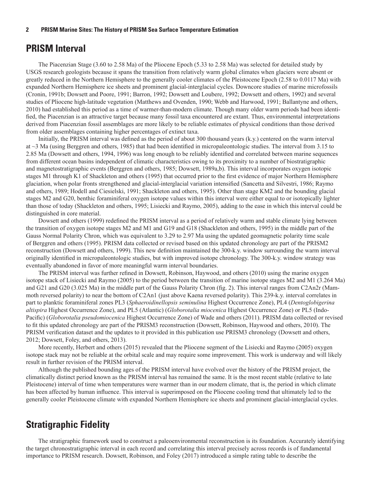## <span id="page-9-0"></span>**PRISM Interval**

The Piacenzian Stage (3.60 to 2.58 Ma) of the Pliocene Epoch (5.33 to 2.58 Ma) was selected for detailed study by USGS research geologists because it spans the transition from relatively warm global climates when glaciers were absent or greatly reduced in the Northern Hemisphere to the generally cooler climates of the Pleistocene Epoch (2.58 to 0.0117 Ma) with expanded Northern Hemisphere ice sheets and prominent glacial-interglacial cycles. Downcore studies of marine microfossils (Cronin, 1991b; Dowsett and Poore, 1991; Barron, 1992; Dowsett and Loubere, 1992; Dowsett and others, 1992) and several studies of Pliocene high-latitude vegetation (Matthews and Ovenden, 1990; Webb and Harwood, 1991; Ballantyne and others, 2010) had established this period as a time of warmer-than-modern climate. Though many older warm periods had been identified, the Piacenzian is an attractive target because many fossil taxa encountered are extant. Thus, environmental interpretations derived from Piacenzian fossil assemblages are more likely to be reliable estimates of physical conditions than those derived from older assemblages containing higher percentages of extinct taxa.

Initially, the PRISM interval was defined as the period of about 300 thousand years (k.y.) centered on the warm interval at  $\sim$ 3 Ma (using Berggren and others, 1985) that had been identified in micropaleontologic studies. The interval from 3.15 to 2.85 Ma (Dowsett and others, 1994, 1996) was long enough to be reliably identified and correlated between marine sequences from different ocean basins independent of climatic characteristics owing to its proximity to a number of biostratigraphic and magnetostratigraphic events (Berggren and others, 1985; Dowsett, 1989a,b). This interval incorporates oxygen isotopic stages M1 through K1 of Shackleton and others (1995) that occurred prior to the first evidence of major Northern Hemisphere glaciation, when polar fronts strengthened and glacial-interglacial variation intensified (Sancetta and Silvestri, 1986; Raymo and others, 1989; Hodell and Ciesielski, 1991; Shackleton and others, 1995). Other than stage KM2 and the bounding glacial stages M2 and G20, benthic foraminiferal oxygen isotope values within this interval were either equal to or isotopically lighter than those of today (Shackleton and others, 1995; Lisiecki and Raymo, 2005), adding to the ease in which this interval could be distinguished in core material.

Dowsett and others (1999) redefined the PRISM interval as a period of relatively warm and stable climate lying between the transition of oxygen isotope stages M2 and M1 and G19 and G18 (Shackleton and others, 1995) in the middle part of the Gauss Normal Polarity Chron, which was equivalent to 3.29 to 2.97 Ma using the updated geomagnetic polarity time scale of Berggren and others (1995). PRISM data collected or revised based on this updated chronology are part of the PRISM2 reconstruction (Dowsett and others, 1999). This new definition maintained the 300-k.y. window surrounding the warm interval originally identified in micropaleontologic studies, but with improved isotope chronology. The 300-k.y. window strategy was eventually abandoned in favor of more meaningful warm interval boundaries.

The PRISM interval was further refined in Dowsett, Robinson, Haywood, and others (2010) using the marine oxygen isotope stack of Lisiecki and Raymo (2005) to the period between the transition of marine isotope stages M2 and M1 (3.264 Ma) and G21 and G20 (3.025 Ma) in the middle part of the Gauss Polarity Chron (fig. 2). This interval ranges from C2An2r (Mammoth reversed polarity) to near the bottom of C2An1 (just above Kaena reversed polarity). This 239-k.y. interval correlates in part to planktic foraminiferal zones PL3 (*Sphaeroidinellopsis seminulina* Highest Occurrence Zone), PL4 (*Dentoglobigerina altispira* Highest Occurrence Zone), and PL5 (Atlantic) (*Globorotalia miocenica* Highest Occurrence Zone) or PL5 (Indo-Pacific) (*Globorotalia pseudomiocenica* Highest Occurrence Zone) of Wade and others (2011). PRISM data collected or revised to fit this updated chronology are part of the PRISM3 reconstruction (Dowsett, Robinson, Haywood and others, 2010). The PRISM verification dataset and the updates to it provided in this publication use PRISM3 chronology (Dowsett and others, 2012; Dowsett, Foley, and others, 2013).

More recently, Herbert and others (2015) revealed that the Pliocene segment of the Lisiecki and Raymo (2005) oxygen isotope stack may not be reliable at the orbital scale and may require some improvement. This work is underway and will likely result in further revision of the PRISM interval.

Although the published bounding ages of the PRISM interval have evolved over the history of the PRISM project, the climatically distinct period known as the PRISM interval has remained the same. It is the most recent stable (relative to late Pleistocene) interval of time when temperatures were warmer than in our modern climate, that is, the period in which climate has been affected by human influence. This interval is superimposed on the Pliocene cooling trend that ultimately led to the generally cooler Pleistocene climate with expanded Northern Hemisphere ice sheets and prominent glacial-interglacial cycles.

# **Stratigraphic Fidelity**

The stratigraphic framework used to construct a paleoenvironmental reconstruction is its foundation. Accurately identifying the target chronostratigraphic interval in each record and correlating this interval precisely across records is of fundamental importance to PRISM research. Dowsett, Robinson, and Foley (2017) introduced a simple rating table to describe the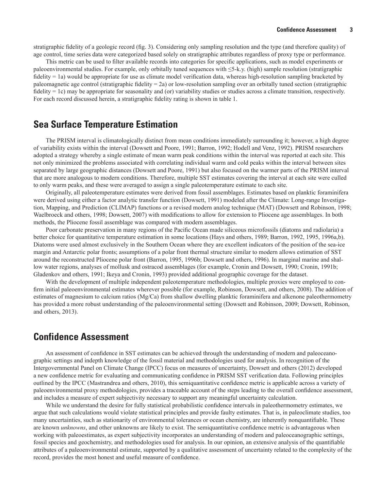<span id="page-10-0"></span>stratigraphic fidelity of a geologic record (fig. 3). Considering only sampling resolution and the type (and therefore quality) of age control, time series data were categorized based solely on stratigraphic attributes regardless of proxy type or performance.

This metric can be used to filter available records into categories for specific applications, such as model experiments or paleoenvironmental studies. For example, only orbitally tuned sequences with ≤5-k.y. (high) sample resolution (stratigraphic fidelity = 1a) would be appropriate for use as climate model verification data, whereas high-resolution sampling bracketed by paleomagnetic age control (stratigraphic fidelity = 2a) or low-resolution sampling over an orbitally tuned section (stratigraphic fidelity = 1c) may be appropriate for seasonality and (or) variability studies or studies across a climate transition, respectively. For each record discussed herein, a stratigraphic fidelity rating is shown in table 1.

# **Sea Surface Temperature Estimation**

The PRISM interval is climatologically distinct from mean conditions immediately surrounding it; however, a high degree of variability exists within the interval (Dowsett and Poore, 1991; Barron, 1992; Hodell and Venz, 1992). PRISM researchers adopted a strategy whereby a single estimate of mean warm peak conditions within the interval was reported at each site. This not only minimized the problems associated with correlating individual warm and cold peaks within the interval between sites separated by large geographic distances (Dowsett and Poore, 1991) but also focused on the warmer parts of the PRISM interval that are more analogous to modern conditions. Therefore, multiple SST estimates covering the interval at each site were culled to only warm peaks, and these were averaged to assign a single paleotemperature estimate to each site.

Originally, all paleotemperature estimates were derived from fossil assemblages. Estimates based on planktic foraminifera were derived using either a factor analytic transfer function (Dowsett, 1991) modeled after the Climate: Long-range Investigation, Mapping, and Prediction (CLIMAP) functions or a revised modern analog technique (MAT) (Dowsett and Robinson, 1998; Waelbroeck and others, 1998; Dowsett, 2007) with modifications to allow for extension to Pliocene age assemblages. In both methods, the Pliocene fossil assemblage was compared with modern assemblages.

Poor carbonate preservation in many regions of the Pacific Ocean made siliceous microfossils (diatoms and radiolaria) a better choice for quantitative temperature estimation in some locations (Hays and others, 1989; Barron, 1992, 1995, 1996a,b). Diatoms were used almost exclusively in the Southern Ocean where they are excellent indicators of the position of the sea-ice margin and Antarctic polar fronts; assumptions of a polar front thermal structure similar to modern allows estimation of SST around the reconstructed Pliocene polar front (Barron, 1995, 1996b; Dowsett and others, 1996). In marginal marine and shallow water regions, analyses of mollusk and ostracod assemblages (for example, Cronin and Dowsett, 1990; Cronin, 1991b; Gladenkov and others, 1991; Ikeya and Cronin, 1993) provided additional geographic coverage for the dataset.

With the development of multiple independent paleotemperature methodologies, multiple proxies were employed to confirm initial paleoenvironmental estimates wherever possible (for example, Robinson, Dowsett, and others, 2008). The addition of estimates of magnesium to calcium ratios (Mg/Ca) from shallow dwelling planktic foraminifera and alkenone paleothermometry has provided a more robust understanding of the paleoenvironmental setting (Dowsett and Robinson, 2009; Dowsett, Robinson, and others, 2013).

# **Confidence Assessment**

An assessment of confidence in SST estimates can be achieved through the understanding of modern and paleoceanographic settings and indepth knowledge of the fossil material and methodologies used for analysis. In recognition of the Intergovernmental Panel on Climate Change (IPCC) focus on measures of uncertainty, Dowsett and others (2012) developed a new confidence metric for evaluating and communicating confidence in PRISM SST verification data. Following principles outlined by the IPCC (Mastrandrea and others, 2010), this semiquantitative confidence metric is applicable across a variety of paleoenvironmental proxy methodologies, provides a traceable account of the steps leading to the overall confidence assessment, and includes a measure of expert subjectivity necessary to support any meaningful uncertainty calculation.

While we understand the desire for fully statistical probabilistic confidence intervals in paleothermometry estimates, we argue that such calculations would violate statistical principles and provide faulty estimates. That is, in paleoclimate studies, too many uncertainties, such as stationarity of environmental tolerances or ocean chemistry, are inherently nonquantifiable. These are known *unknowns*, and other unknowns are likely to exist. The semiquantitative confidence metric is advantageous when working with paleoestimates, as expert subjectivity incorporates an understanding of modern and paleoceanographic settings, fossil species and geochemistry, and methodologies used for analysis. In our opinion, an extensive analysis of the quantifiable attributes of a paleoenvironmental estimate, supported by a qualitative assessment of uncertainty related to the complexity of the record, provides the most honest and useful measure of confidence.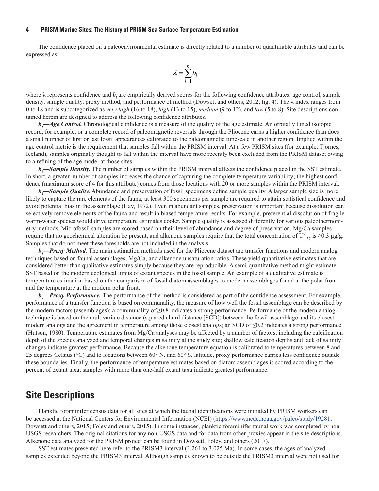<span id="page-11-0"></span>The confidence placed on a paleoenvironmental estimate is directly related to a number of quantifiable attributes and can be expressed as:

$$
\lambda = \sum_{i=1}^n b_i
$$

where λ represents confidence and *b<sub>i</sub>* are empirically derived scores for the following confidence attributes: age control, sample density, sample quality, proxy method, and performance of method (Dowsett and others, 2012; fig. 4). The  $\lambda$  index ranges from 0 to 18 and is subcategorized as *very high* (16 to 18), *high* (13 to 15), *medium* (9 to 12), and *low* (5 to 8). Site descriptions contained herein are designed to address the following confidence attributes.

*b<sub>1</sub>—Age Control*. Chronological confidence is a measure of the quality of the age estimate. An orbitally tuned isotopic record, for example, or a complete record of paleomagnetic reversals through the Pliocene earns a higher confidence than does a small number of first or last fossil appearances calibrated to the paleomagnetic timescale in another region. Implied within the age control metric is the requirement that samples fall within the PRISM interval. At a few PRISM sites (for example, Tjörnes, Iceland), samples originally thought to fall within the interval have more recently been excluded from the PRISM dataset owing to a refining of the age model at those sites.

*b***<sub>2</sub>—Sample Density**. The number of samples within the PRISM interval affects the confidence placed in the SST estimate. In short, a greater number of samples increases the chance of capturing the complete temperature variability; the highest confidence (maximum score of 4 for this attribute) comes from those locations with 20 or more samples within the PRISM interval.

*b<sub>3</sub>—Sample Quality*. Abundance and preservation of fossil specimens define sample quality. A larger sample size is more likely to capture the rare elements of the fauna; at least 300 specimens per sample are required to attain statistical confidence and avoid potential bias in the assemblage (Hay, 1972). Even in abundant samples, preservation is important because dissolution can selectively remove elements of the fauna and result in biased temperature results. For example, preferential dissolution of fragile warm-water species would drive temperature estimates cooler. Sample quality is assessed differently for various paleothermometry methods. Microfossil samples are scored based on their level of abundance and degree of preservation. Mg/Ca samples require that no geochemical alteration be present, and alkenone samples require that the total concentration of  $U^{k'}_{37}$  is  $\geq 0.3 \mu g/g$ . Samples that do not meet these thresholds are not included in the analysis.

*b4 —Proxy Method.* The main estimation methods used for the Pliocene dataset are transfer functions and modern analog techniques based on faunal assemblages, Mg/Ca, and alkenone unsaturation ratios. These yield quantitative estimates that are considered better than qualitative estimates simply because they are reproducible. A semi-quantitative method might estimate SST based on the modern ecological limits of extant species in the fossil sample. An example of a qualitative estimate is temperature estimation based on the comparison of fossil diatom assemblages to modern assemblages found at the polar front and the temperature at the modern polar front.

*b<sub>5</sub>—Proxy Performance*. The performance of the method is considered as part of the confidence assessment. For example, performance of a transfer function is based on communality, the measure of how well the fossil assemblage can be described by the modern factors (assemblages); a communality of ≥0.8 indicates a strong performance. Performance of the modern analog technique is based on the multivariate distance (squared chord distance [SCD]) between the fossil assemblage and its closest modern analogs and the agreement in temperature among those closest analogs; an SCD of ≤0.2 indicates a strong performance (Hutson, 1980). Temperature estimates from Mg/Ca analyses may be affected by a number of factors, including the calcification depth of the species analyzed and temporal changes in salinity at the study site; shallow calcification depths and lack of salinity changes indicate greatest performance. Because the alkenone temperature equation is calibrated to temperatures between 8 and 25 degrees Celsius (°C) and to locations between 60° N. and 60° S. latitude, proxy performance carries less confidence outside these boundaries. Finally, the performance of temperature estimates based on diatom assemblages is scored according to the percent of extant taxa; samples with more than one-half extant taxa indicate greatest performance.

## **Site Descriptions**

Planktic foraminifer census data for all sites at which the faunal identifications were initiated by PRISM workers can be accessed at the National Centers for Environmental Information (NCEI) [\(https://www.ncdc.noaa.gov/paleo/study/19281;](https://www.ncdc.noaa.gov/paleo/study/19281) Dowsett and others, 2015; Foley and others, 2015). In some instances, planktic foraminifer faunal work was completed by non-USGS researchers. The original citations for any non-USGS data and for data from other proxies appear in the site descriptions. Alkenone data analyzed for the PRISM project can be found in Dowsett, Foley, and others (2017).

SST estimates presented here refer to the PRISM3 interval (3.264 to 3.025 Ma). In some cases, the ages of analyzed samples extended beyond the PRISM3 interval. Although samples known to be outside the PRISM3 interval were not used for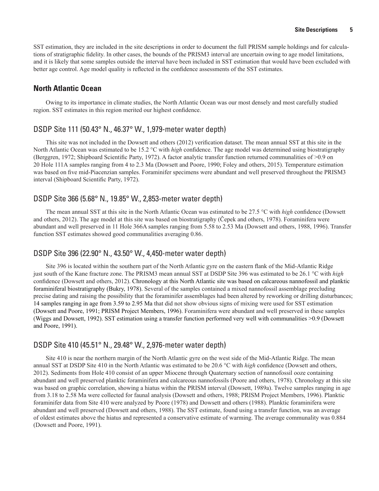<span id="page-12-0"></span>SST estimation, they are included in the site descriptions in order to document the full PRISM sample holdings and for calculations of stratigraphic fidelity. In other cases, the bounds of the PRISM3 interval are uncertain owing to age model limitations, and it is likely that some samples outside the interval have been included in SST estimation that would have been excluded with better age control. Age model quality is reflected in the confidence assessments of the SST estimates.

#### **North Atlantic Ocean**

Owing to its importance in climate studies, the North Atlantic Ocean was our most densely and most carefully studied region. SST estimates in this region merited our highest confidence.

#### DSDP Site 111 (50.43° N., 46.37° W., 1,979-meter water depth)

This site was not included in the Dowsett and others (2012) verification dataset. The mean annual SST at this site in the North Atlantic Ocean was estimated to be 15.2 °C with *high* confidence. The age model was determined using biostratigraphy (Berggren, 1972; Shipboard Scientific Party, 1972). A factor analytic transfer function returned communalities of >0.9 on 20 Hole 111A samples ranging from 4 to 2.3 Ma (Dowsett and Poore, 1990; Foley and others, 2015). Temperature estimation was based on five mid-Piacenzian samples. Foraminifer specimens were abundant and well preserved throughout the PRISM3 interval (Shipboard Scientific Party, 1972).

#### DSDP Site 366 (5.68° N., 19.85° W., 2,853-meter water depth)

The mean annual SST at this site in the North Atlantic Ocean was estimated to be 27.5 °C with *high* confidence (Dowsett and others, 2012). The age model at this site was based on biostratigraphy (Čepek and others, 1978). Foraminifera were abundant and well preserved in 11 Hole 366A samples ranging from 5.58 to 2.53 Ma (Dowsett and others, 1988, 1996). Transfer function SST estimates showed good communalities averaging 0.86.

#### DSDP Site 396 (22.90° N., 43.50° W., 4,450-meter water depth)

Site 396 is located within the southern part of the North Atlantic gyre on the eastern flank of the Mid-Atlantic Ridge just south of the Kane fracture zone. The PRISM3 mean annual SST at DSDP Site 396 was estimated to be 26.1 °C with *high* confidence (Dowsett and others, 2012). Chronology at this North Atlantic site was based on calcareous nannofossil and planktic foraminiferal biostratigraphy (Bukry, 1978). Several of the samples contained a mixed nannofossil assemblage precluding precise dating and raising the possibility that the foraminifer assemblages had been altered by reworking or drilling disturbances; 14 samples ranging in age from 3.59 to 2.95 Ma that did not show obvious signs of mixing were used for SST estimation (Dowsett and Poore, 1991; PRISM Project Members, 1996). Foraminifera were abundant and well preserved in these samples (Wiggs and Dowsett, 1992). SST estimation using a transfer function performed very well with communalities >0.9 (Dowsett and Poore, 1991).

#### DSDP Site 410 (45.51° N., 29.48° W., 2,976-meter water depth)

Site 410 is near the northern margin of the North Atlantic gyre on the west side of the Mid-Atlantic Ridge. The mean annual SST at DSDP Site 410 in the North Atlantic was estimated to be 20.6 °C with *high* confidence (Dowsett and others, 2012). Sediments from Hole 410 consist of an upper Miocene through Quaternary section of nannofossil ooze containing abundant and well preserved planktic foraminifera and calcareous nannofossils (Poore and others, 1978). Chronology at this site was based on graphic correlation, showing a hiatus within the PRISM interval (Dowsett, 1989a). Twelve samples ranging in age from 3.18 to 2.58 Ma were collected for faunal analysis (Dowsett and others, 1988; PRISM Project Members, 1996). Planktic foraminifer data from Site 410 were analyzed by Poore (1978) and Dowsett and others (1988). Planktic foraminifera were abundant and well preserved (Dowsett and others, 1988). The SST estimate, found using a transfer function, was an average of oldest estimates above the hiatus and represented a conservative estimate of warming. The average communality was 0.884 (Dowsett and Poore, 1991).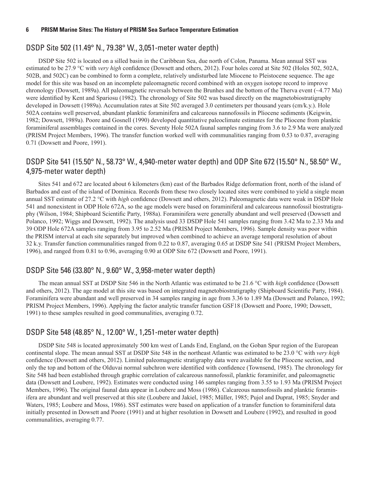## <span id="page-13-0"></span>DSDP Site 502 (11.49° N., 79.38° W., 3,051-meter water depth)

DSDP Site 502 is located on a silled basin in the Caribbean Sea, due north of Colon, Panama. Mean annual SST was estimated to be 27.9 °C with *very high* confidence (Dowsett and others, 2012). Four holes cored at Site 502 (Holes 502, 502A, 502B, and 502C) can be combined to form a complete, relatively undisturbed late Miocene to Pleistocene sequence. The age model for this site was based on an incomplete paleomagnetic record combined with an oxygen isotope record to improve chronology (Dowsett, 1989a). All paleomagnetic reversals between the Brunhes and the bottom of the Therva event (~4.77 Ma) were identified by Kent and Spariosu (1982). The chronology of Site 502 was based directly on the magnetobiostratigraphy developed in Dowsett (1989a). Accumulation rates at Site 502 averaged 3.0 centimeters per thousand years (cm/k.y.). Hole 502A contains well preserved, abundant planktic foraminifera and calcareous nannofossils in Pliocene sediments (Keigwin, 1982; Dowsett, 1989a). Poore and Gosnell (1990) developed quantitative paleoclimate estimates for the Pliocene from planktic foraminiferal assemblages contained in the cores. Seventy Hole 502A faunal samples ranging from 3.6 to 2.9 Ma were analyzed (PRISM Project Members, 1996). The transfer function worked well with communalities ranging from 0.53 to 0.87, averaging 0.71 (Dowsett and Poore, 1991).

## DSDP Site 541 (15.50° N., 58.73° W., 4,940-meter water depth) and ODP Site 672 (15.50° N., 58.50° W., 4,975-meter water depth)

Sites 541 and 672 are located about 6 kilometers (km) east of the Barbados Ridge deformation front, north of the island of Barbados and east of the island of Dominica. Records from these two closely located sites were combined to yield a single mean annual SST estimate of 27.2 °C with *high* confidence (Dowsett and others, 2012). Paleomagnetic data were weak in DSDP Hole 541 and nonexistent in ODP Hole 672A, so the age models were based on foraminiferal and calcareous nannofossil biostratigraphy (Wilson, 1984; Shipboard Scientific Party, 1988a). Foraminifera were generally abundant and well preserved (Dowsett and Polanco, 1992; Wiggs and Dowsett, 1992). The analysis used 33 DSDP Hole 541 samples ranging from 3.42 Ma to 2.33 Ma and 39 ODP Hole 672A samples ranging from 3.95 to 2.52 Ma (PRISM Project Members, 1996). Sample density was poor within the PRISM interval at each site separately but improved when combined to achieve an average temporal resolution of about 32 k.y. Transfer function communalities ranged from 0.22 to 0.87, averaging 0.65 at DSDP Site 541 (PRISM Project Members, 1996), and ranged from 0.81 to 0.96, averaging 0.90 at ODP Site 672 (Dowsett and Poore, 1991).

#### DSDP Site 546 (33.80° N., 9.60° W., 3,958-meter water depth)

The mean annual SST at DSDP Site 546 in the North Atlantic was estimated to be 21.6 °C with *high* confidence (Dowsett and others, 2012). The age model at this site was based on integrated magnetobiostratigraphy (Shipboard Scientific Party, 1984). Foraminifera were abundant and well preserved in 34 samples ranging in age from 3.36 to 1.89 Ma (Dowsett and Polanco, 1992; PRISM Project Members, 1996). Applying the factor analytic transfer function GSF18 (Dowsett and Poore, 1990; Dowsett, 1991) to these samples resulted in good communalities, averaging 0.72.

#### DSDP Site 548 (48.85° N., 12.00° W., 1,251-meter water depth)

DSDP Site 548 is located approximately 500 km west of Lands End, England, on the Goban Spur region of the European continental slope. The mean annual SST at DSDP Site 548 in the northeast Atlantic was estimated to be 23.0 °C with *very high* confidence (Dowsett and others, 2012). Limited paleomagnetic stratigraphy data were available for the Pliocene section, and only the top and bottom of the Olduvai normal subchron were identified with confidence (Townsend, 1985). The chronology for Site 548 had been established through graphic correlation of calcareous nannofossil, planktic foraminifer, and paleomagnetic data (Dowsett and Loubere, 1992). Estimates were conducted using 146 samples ranging from 3.55 to 1.93 Ma (PRISM Project Members, 1996). The original faunal data appear in Loubere and Moss (1986). Calcareous nannofossils and planktic foraminifera are abundant and well preserved at this site (Loubere and Jakiel, 1985; Müller, 1985; Pujol and Duprat, 1985; Snyder and Waters, 1985; Loubere and Moss, 1986). SST estimates were based on application of a transfer function to foraminiferal data initially presented in Dowsett and Poore (1991) and at higher resolution in Dowsett and Loubere (1992), and resulted in good communalities, averaging 0.77.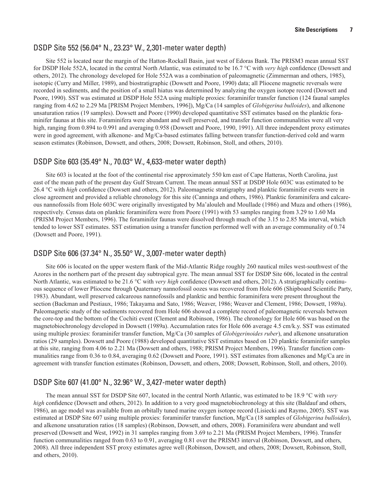#### <span id="page-14-0"></span>DSDP Site 552 (56.04° N., 23.23° W., 2,301-meter water depth)

Site 552 is located near the margin of the Hatton-Rockall Basin, just west of Edoras Bank. The PRISM3 mean annual SST for DSDP Hole 552A, located in the central North Atlantic, was estimated to be 16.7 °C with *very high* confidence (Dowsett and others, 2012). The chronology developed for Hole 552A was a combination of paleomagnetic (Zimmerman and others, 1985), isotopic (Curry and Miller, 1989), and biostratigraphic (Dowsett and Poore, 1990) data; all Pliocene magnetic reversals were recorded in sediments, and the position of a small hiatus was determined by analyzing the oxygen isotope record (Dowsett and Poore, 1990). SST was estimated at DSDP Hole 552A using multiple proxies: foraminifer transfer function (124 faunal samples ranging from 4.62 to 2.29 Ma [PRISM Project Members, 1996]), Mg/Ca (14 samples of *Globigerina bulloides*), and alkenone unsaturation ratios (19 samples). Dowsett and Poore (1990) developed quantitative SST estimates based on the planktic foraminifer faunas at this site. Foraminifera were abundant and well preserved, and transfer function communalities were all very high, ranging from 0.894 to 0.991 and averaging 0.958 (Dowsett and Poore, 1990, 1991). All three independent proxy estimates were in good agreement, with alkenone- and Mg/Ca-based estimates falling between transfer function-derived cold and warm season estimates (Robinson, Dowsett, and others, 2008; Dowsett, Robinson, Stoll, and others, 2010).

#### DSDP Site 603 (35.49° N., 70.03° W., 4,633-meter water depth)

Site 603 is located at the foot of the continental rise approximately 550 km east of Cape Hatteras, North Carolina, just east of the mean path of the present day Gulf Stream Current. The mean annual SST at DSDP Hole 603C was estimated to be 26.4 °C with *high* confidence (Dowsett and others, 2012). Paleomagnetic stratigraphy and planktic foraminifer events were in close agreement and provided a reliable chronology for this site (Canninga and others, 1986). Planktic foraminifera and calcareous nannofossils from Hole 603C were originally investigated by Ma'alouleh and Moullade (1986) and Muza and others (1986), respectively. Census data on planktic foraminifera were from Poore (1991) with 53 samples ranging from 3.29 to 1.60 Ma (PRISM Project Members, 1996). The foraminifer faunas were dissolved through much of the 3.15 to 2.85 Ma interval, which tended to lower SST estimates. SST estimation using a transfer function performed well with an average communality of 0.74 (Dowsett and Poore, 1991).

#### DSDP Site 606 (37.34° N., 35.50° W., 3,007-meter water depth)

Site 606 is located on the upper western flank of the Mid-Atlantic Ridge roughly 260 nautical miles west-southwest of the Azores in the northern part of the present day subtropical gyre. The mean annual SST for DSDP Site 606, located in the central North Atlantic, was estimated to be 21.6 °C with *very high* confidence (Dowsett and others, 2012). A stratigraphically continuous sequence of lower Pliocene through Quaternary nannofossil oozes was recovered from Hole 606 (Shipboard Scientific Party, 1983). Abundant, well preserved calcareous nannofossils and planktic and benthic foraminifera were present throughout the section (Backman and Pestiaux, 1986; Takayama and Sato, 1986; Weaver, 1986; Weaver and Clement, 1986; Dowsett, 1989a). Paleomagnetic study of the sediments recovered from Hole 606 showed a complete record of paleomagnetic reversals between the core-top and the bottom of the Cochiti event (Clement and Robinson, 1986). The chronology for Hole 606 was based on the magnetobiochronology developed in Dowsett (1989a). Accumulation rates for Hole 606 average 4.5 cm/k.y. SST was estimated using multiple proxies: foraminifer transfer function, Mg/Ca (30 samples of *Globigerinoides ruber*), and alkenone unsaturation ratios (29 samples). Dowsett and Poore (1988) developed quantitative SST estimates based on 120 planktic foraminifer samples at this site, ranging from 4.06 to 2.21 Ma (Dowsett and others, 1988; PRISM Project Members, 1996). Transfer function communalities range from 0.36 to 0.84, averaging 0.62 (Dowsett and Poore, 1991). SST estimates from alkenones and Mg/Ca are in agreement with transfer function estimates (Robinson, Dowsett, and others, 2008; Dowsett, Robinson, Stoll, and others, 2010).

#### DSDP Site 607 (41.00° N., 32.96° W., 3,427-meter water depth)

The mean annual SST for DSDP Site 607, located in the central North Atlantic, was estimated to be 18.9 °C with *very high* confidence (Dowsett and others, 2012). In addition to a very good magnetobiochronology at this site (Baldauf and others, 1986), an age model was available from an orbitally tuned marine oxygen isotope record (Lisiecki and Raymo, 2005). SST was estimated at DSDP Site 607 using multiple proxies: foraminifer transfer function, Mg/Ca (18 samples of *Globigerina bulloides*), and alkenone unsaturation ratios (18 samples) (Robinson, Dowsett, and others, 2008). Foraminifera were abundant and well preserved (Dowsett and West, 1992) in 31 samples ranging from 3.69 to 2.21 Ma (PRISM Project Members, 1996). Transfer function communalities ranged from 0.63 to 0.91, averaging 0.81 over the PRISM3 interval (Robinson, Dowsett, and others, 2008). All three independent SST proxy estimates agree well (Robinson, Dowsett, and others, 2008; Dowsett, Robinson, Stoll, and others, 2010).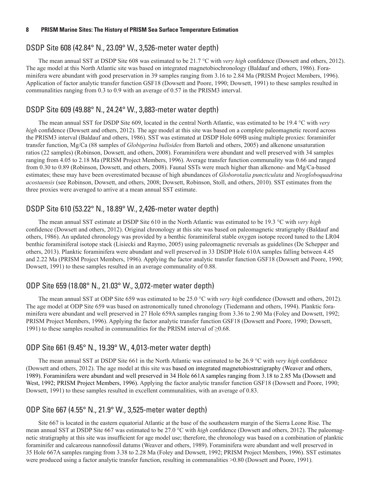## <span id="page-15-0"></span>DSDP Site 608 (42.84° N., 23.09° W., 3,526-meter water depth)

The mean annual SST at DSDP Site 608 was estimated to be 21.7 °C with *very high* confidence (Dowsett and others, 2012). The age model at this North Atlantic site was based on integrated magnetobiochronology (Baldauf and others, 1986). Foraminifera were abundant with good preservation in 39 samples ranging from 3.16 to 2.84 Ma (PRISM Project Members, 1996). Application of factor analytic transfer function GSF18 (Dowsett and Poore, 1990; Dowsett, 1991) to these samples resulted in communalities ranging from 0.3 to 0.9 with an average of 0.57 in the PRISM3 interval.

#### DSDP Site 609 (49.88° N., 24.24° W., 3,883-meter water depth)

The mean annual SST for DSDP Site 609, located in the central North Atlantic, was estimated to be 19.4 °C with *very high* confidence (Dowsett and others, 2012). The age model at this site was based on a complete paleomagnetic record across the PRISM3 interval (Baldauf and others, 1986). SST was estimated at DSDP Hole 609B using multiple proxies: foraminifer transfer function, Mg/Ca (88 samples of *Globigerina bulloides* from Bartoli and others, 2005) and alkenone unsaturation ratios (22 samples) (Robinson, Dowsett, and others, 2008). Foraminifera were abundant and well preserved with 34 samples ranging from 4.05 to 2.18 Ma (PRISM Project Members, 1996). Average transfer function communality was 0.66 and ranged from 0.30 to 0.89 (Robinson, Dowsett, and others, 2008). Faunal SSTs were much higher than alkenone- and Mg/Ca-based estimates; these may have been overestimated because of high abundances of *Globorotalia puncticulata* and *Neogloboquadrina acostaensis* (see Robinson, Dowsett, and others, 2008; Dowsett, Robinson, Stoll, and others, 2010). SST estimates from the three proxies were averaged to arrive at a mean annual SST estimate.

#### DSDP Site 610 (53.22° N., 18.89° W., 2,426-meter water depth)

The mean annual SST estimate at DSDP Site 610 in the North Atlantic was estimated to be 19.3 °C with *very high* confidence (Dowsett and others, 2012). Original chronology at this site was based on paleomagnetic stratigraphy (Baldauf and others, 1986). An updated chronology was provided by a benthic foraminiferal stable oxygen isotope record tuned to the LR04 benthic foraminiferal isotope stack (Lisiecki and Raymo, 2005) using paleomagnetic reversals as guidelines (De Schepper and others, 2013). Planktic foraminifera were abundant and well preserved in 33 DSDP Hole 610A samples falling between 4.45 and 2.22 Ma (PRISM Project Members, 1996). Applying the factor analytic transfer function GSF18 (Dowsett and Poore, 1990; Dowsett, 1991) to these samples resulted in an average communality of 0.88.

#### ODP Site 659 (18.08° N., 21.03° W., 3,072-meter water depth)

The mean annual SST at ODP Site 659 was estimated to be 25.0 °C with *very high* confidence (Dowsett and others, 2012). The age model at ODP Site 659 was based on astronomically tuned chronology (Tiedemann and others, 1994). Planktic foraminifera were abundant and well preserved in 27 Hole 659A samples ranging from 3.36 to 2.90 Ma (Foley and Dowsett, 1992; PRISM Project Members, 1996). Applying the factor analytic transfer function GSF18 (Dowsett and Poore, 1990; Dowsett, 1991) to these samples resulted in communalities for the PRISM interval of ≥0.68.

#### ODP Site 661 (9.45° N., 19.39° W., 4,013-meter water depth)

The mean annual SST at DSDP Site 661 in the North Atlantic was estimated to be 26.9 °C with *very high* confidence (Dowsett and others, 2012). The age model at this site was based on integrated magnetobiostratigraphy (Weaver and others, 1989). Foraminifera were abundant and well preserved in 34 Hole 661A samples ranging from 3.18 to 2.85 Ma (Dowsett and West, 1992; PRISM Project Members, 1996). Applying the factor analytic transfer function GSF18 (Dowsett and Poore, 1990; Dowsett, 1991) to these samples resulted in excellent communalities, with an average of 0.83.

#### ODP Site 667 (4.55° N., 21.9° W., 3,525-meter water depth)

Site 667 is located in the eastern equatorial Atlantic at the base of the southeastern margin of the Sierra Leone Rise. The mean annual SST at DSDP Site 667 was estimated to be 27.0 °C with *high* confidence (Dowsett and others, 2012). The paleomagnetic stratigraphy at this site was insufficient for age model use; therefore, the chronology was based on a combination of planktic foraminifer and calcareous nannofossil datums (Weaver and others, 1989). Foraminifera were abundant and well preserved in 35 Hole 667A samples ranging from 3.38 to 2.28 Ma (Foley and Dowsett, 1992; PRISM Project Members, 1996). SST estimates were produced using a factor analytic transfer function, resulting in communalities >0.80 (Dowsett and Poore, 1991).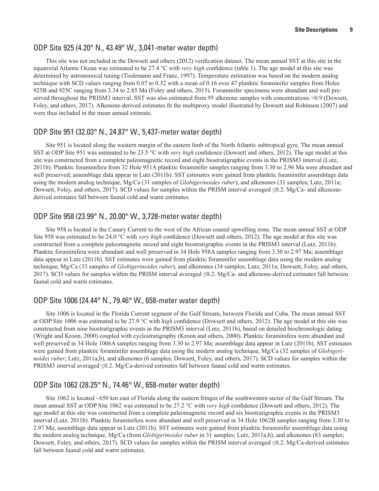#### <span id="page-16-0"></span>ODP Site 925 (4.20° N., 43.49° W., 3,041-meter water depth)

This site was not included in the Dowsett and others (2012) verification dataset. The mean annual SST at this site in the equatorial Atlantic Ocean was estimated to be 27.4 °C with *very high* confidence (table 1). The age model at this site was determined by astronomical tuning (Tiedemann and Franz, 1997). Temperature estimation was based on the modern analog technique with SCD values ranging from 0.07 to 0.32 with a mean of 0.16 over 47 planktic foraminifer samples from Holes 925B and 925C ranging from 3.34 to 2.85 Ma (Foley and others, 2015). Foraminifer specimens were abundant and well preserved throughout the PRISM3 interval. SST was also estimated from 95 alkenone samples with concentrations >0.9 (Dowsett, Foley, and others, 2017). Alkenone-derived estimates fit the multiproxy model illustrated by Dowsett and Robinson (2007) and were thus included in the mean annual estimate.

#### ODP Site 951 (32.03° N., 24.87° W., 5,437-meter water depth)

Site 951 is located along the western margin of the eastern limb of the North Atlantic subtropical gyre. The mean annual SST at ODP Site 951 was estimated to be 23.5 °C with *very high* confidence (Dowsett and others, 2012). The age model at this site was constructed from a complete paleomagnetic record and eight biostratigraphic events in the PRISM3 interval (Lutz, 2011b). Planktic foraminifera from 32 Hole 951A planktic foraminifer samples ranging from 3.30 to 2.96 Ma were abundant and well preserved; assemblage data appear in Lutz (2011b). SST estimates were gained from planktic foraminifer assemblage data using the modern analog technique, Mg/Ca (31 samples of *Globigerinoides ruber*), and alkenones (31 samples; Lutz, 2011a; Dowsett, Foley, and others, 2017). SCD values for samples within the PRISM interval averaged ≤0.2. Mg/Ca- and alkenonederived estimates fall between faunal cold and warm estimates.

#### ODP Site 958 (23.99° N., 20.00° W., 3,728-meter water depth)

Site 958 is located in the Canary Current to the west of the African coastal upwelling zone. The mean annual SST at ODP Site 958 was estimated to be 24.0 °C with *very high* confidence (Dowsett and others, 2012). The age model at this site was constructed from a complete paleomagnetic record and eight biostratigraphic events in the PRISM3 interval (Lutz, 2011b). Planktic foraminifera were abundant and well preserved in 34 Hole 958A samples ranging from 3.30 to 2.97 Ma; assemblage data appear in Lutz (2011b). SST estimates were gained from planktic foraminifer assemblage data using the modern analog technique, Mg/Ca (33 samples of *Globigerinoides ruber*), and alkenones (34 samples; Lutz, 2011a; Dowsett, Foley, and others, 2017). SCD values for samples within the PRISM interval averaged ≤0.2. Mg/Ca- and alkenone-derived estimates fall between faunal cold and warm estimates.

#### ODP Site 1006 (24.44° N., 79.46° W., 658-meter water depth)

Site 1006 is located in the Florida Current segment of the Gulf Stream, between Florida and Cuba. The mean annual SST at ODP Site 1006 was estimated to be 27.9 °C with *high* confidence (Dowsett and others, 2012). The age model at this site was constructed from nine biostratigraphic events in the PRISM3 interval (Lutz, 2011b), based on detailed biochronologic dating (Wright and Kroon, 2000) coupled with cyclostratigraphy (Kroon and others, 2000). Planktic foraminifera were abundant and well preserved in 34 Hole 1006A samples ranging from 3.30 to 2.97 Ma; assemblage data appear in Lutz (2011b). SST estimates were gained from planktic foraminifer assemblage data using the modern analog technique, Mg/Ca (32 samples of *Globigerinoides ruber*; Lutz, 2011a,b), and alkenones (6 samples; Dowsett, Foley, and others, 2017). SCD values for samples within the PRISM3 interval averaged ≤0.2. Mg/Ca-derived estimates fall between faunal cold and warm estimates.

#### ODP Site 1062 (28.25° N., 74.46° W., 658-meter water depth)

Site 1062 is located ~650 km east of Florida along the eastern fringes of the southwestern sector of the Gulf Stream. The mean annual SST at ODP Site 1062 was estimated to be 27.2 °C with *very high* confidence (Dowsett and others, 2012). The age model at this site was constructed from a complete paleomagnetic record and six biostratigraphic events in the PRISM3 interval (Lutz, 2011b). Planktic foraminifera were abundant and well preserved in 34 Hole 1062B samples ranging from 3.30 to 2.97 Ma; assemblage data appear in Lutz (2011b). SST estimates were gained from planktic foraminifer assemblage data using the modern analog technique, Mg/Ca (from *Globigerinoides ruber* in 31 samples; Lutz, 2011a,b), and alkenones (83 samples; Dowsett, Foley, and others, 2017). SCD values for samples within the PRISM interval averaged ≤0.2. Mg/Ca-derived estimates fall between faunal cold and warm estimates.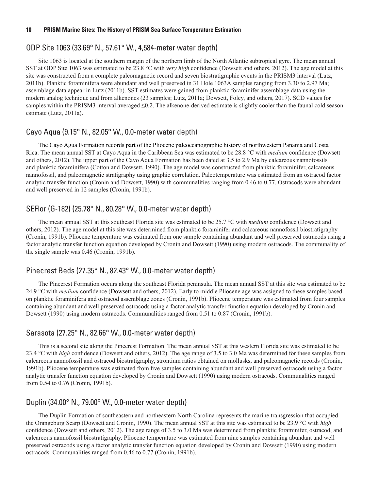#### <span id="page-17-0"></span>ODP Site 1063 (33.69° N., 57.61° W., 4,584-meter water depth)

Site 1063 is located at the southern margin of the northern limb of the North Atlantic subtropical gyre. The mean annual SST at ODP Site 1063 was estimated to be 23.8 °C with *very high* confidence (Dowsett and others, 2012). The age model at this site was constructed from a complete paleomagnetic record and seven biostratigraphic events in the PRISM3 interval (Lutz, 2011b). Planktic foraminifera were abundant and well preserved in 31 Hole 1063A samples ranging from 3.30 to 2.97 Ma; assemblage data appear in Lutz (2011b). SST estimates were gained from planktic foraminifer assemblage data using the modern analog technique and from alkenones (23 samples; Lutz, 2011a; Dowsett, Foley, and others, 2017). SCD values for samples within the PRISM3 interval averaged ≤0.2. The alkenone-derived estimate is slightly cooler than the faunal cold season estimate (Lutz, 2011a).

#### Cayo Aqua (9.15° N., 82.05° W., 0.0-meter water depth)

The Cayo Agua Formation records part of the Pliocene paleoceanographic history of northwestern Panama and Costa Rica. The mean annual SST at Cayo Aqua in the Caribbean Sea was estimated to be 28.8 °C with *medium* confidence (Dowsett and others, 2012). The upper part of the Cayo Aqua Formation has been dated at 3.5 to 2.9 Ma by calcareous nannofossils and planktic foraminifera (Cotton and Dowsett, 1990). The age model was constructed from planktic foraminifer, calcareous nannofossil, and paleomagnetic stratigraphy using graphic correlation. Paleotemperature was estimated from an ostracod factor analytic transfer function (Cronin and Dowsett, 1990) with communalities ranging from 0.46 to 0.77. Ostracods were abundant and well preserved in 12 samples (Cronin, 1991b).

#### SEFlor (G-182) (25.78° N., 80.28° W., 0.0-meter water depth)

The mean annual SST at this southeast Florida site was estimated to be 25.7 °C with *medium* confidence (Dowsett and others, 2012). The age model at this site was determined from planktic foraminifer and calcareous nannofossil biostratigraphy (Cronin, 1991b). Pliocene temperature was estimated from one sample containing abundant and well preserved ostracods using a factor analytic transfer function equation developed by Cronin and Dowsett (1990) using modern ostracods. The communality of the single sample was 0.46 (Cronin, 1991b).

#### Pinecrest Beds (27.35° N., 82.43° W., 0.0-meter water depth)

The Pinecrest Formation occurs along the southeast Florida peninsula. The mean annual SST at this site was estimated to be 24.9 °C with *medium* confidence (Dowsett and others, 2012). Early to middle Pliocene age was assigned to these samples based on planktic foraminifera and ostracod assemblage zones (Cronin, 1991b). Pliocene temperature was estimated from four samples containing abundant and well preserved ostracods using a factor analytic transfer function equation developed by Cronin and Dowsett (1990) using modern ostracods. Communalities ranged from 0.51 to 0.87 (Cronin, 1991b).

#### Sarasota (27.25° N., 82.66° W., 0.0-meter water depth)

This is a second site along the Pinecrest Formation. The mean annual SST at this western Florida site was estimated to be 23.4 °C with *high* confidence (Dowsett and others, 2012). The age range of 3.5 to 3.0 Ma was determined for these samples from calcareous nannofossil and ostracod biostratigraphy, strontium ratios obtained on mollusks, and paleomagnetic records (Cronin, 1991b). Pliocene temperature was estimated from five samples containing abundant and well preserved ostracods using a factor analytic transfer function equation developed by Cronin and Dowsett (1990) using modern ostracods. Communalities ranged from 0.54 to 0.76 (Cronin, 1991b).

#### Duplin (34.00° N., 79.00° W., 0.0-meter water depth)

The Duplin Formation of southeastern and northeastern North Carolina represents the marine transgression that occupied the Orangeburg Scarp (Dowsett and Cronin, 1990). The mean annual SST at this site was estimated to be 23.9 °C with *high* confidence (Dowsett and others, 2012). The age range of 3.5 to 3.0 Ma was determined from planktic foraminifer, ostracod, and calcareous nannofossil biostratigraphy. Pliocene temperature was estimated from nine samples containing abundant and well preserved ostracods using a factor analytic transfer function equation developed by Cronin and Dowsett (1990) using modern ostracods. Communalities ranged from 0.46 to 0.77 (Cronin, 1991b).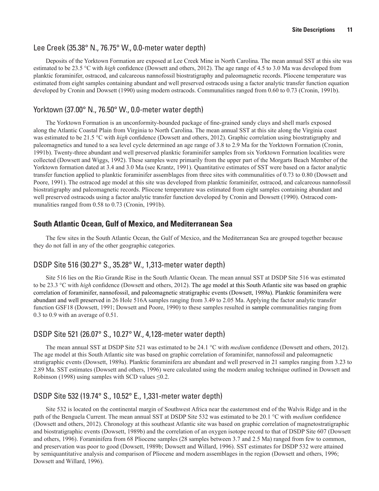#### <span id="page-18-0"></span>Lee Creek (35.38° N., 76.75° W., 0.0-meter water depth)

Deposits of the Yorktown Formation are exposed at Lee Creek Mine in North Carolina. The mean annual SST at this site was estimated to be 23.5 °C with *high* confidence (Dowsett and others, 2012). The age range of 4.5 to 3.0 Ma was developed from planktic foraminifer, ostracod, and calcareous nannofossil biostratigraphy and paleomagnetic records. Pliocene temperature was estimated from eight samples containing abundant and well preserved ostracods using a factor analytic transfer function equation developed by Cronin and Dowsett (1990) using modern ostracods. Communalities ranged from 0.60 to 0.73 (Cronin, 1991b).

#### Yorktown (37.00° N., 76.50° W., 0.0-meter water depth)

The Yorktown Formation is an unconformity-bounded package of fine-grained sandy clays and shell marls exposed along the Atlantic Coastal Plain from Virginia to North Carolina. The mean annual SST at this site along the Virginia coast was estimated to be 21.5 °C with *high* confidence (Dowsett and others, 2012). Graphic correlation using biostratigraphy and paleomagnetics and tuned to a sea level cycle determined an age range of 3.8 to 2.9 Ma for the Yorktown Formation (Cronin, 1991b). Twenty-three abundant and well preserved planktic foraminifer samples from six Yorktown Formation localities were collected (Dowsett and Wiggs, 1992). These samples were primarily from the upper part of the Morgarts Beach Member of the Yorktown formation dated at 3.4 and 3.0 Ma (see Krantz, 1991). Quantitative estimates of SST were based on a factor analytic transfer function applied to planktic foraminifer assemblages from three sites with communalities of 0.73 to 0.80 (Dowsett and Poore, 1991). The ostracod age model at this site was developed from planktic foraminifer, ostracod, and calcareous nannofossil biostratigraphy and paleomagnetic records. Pliocene temperature was estimated from eight samples containing abundant and well preserved ostracods using a factor analytic transfer function developed by Cronin and Dowsett (1990). Ostracod communalities ranged from 0.58 to 0.73 (Cronin, 1991b).

## **South Atlantic Ocean, Gulf of Mexico, and Mediterranean Sea**

The few sites in the South Atlantic Ocean, the Gulf of Mexico, and the Mediterranean Sea are grouped together because they do not fall in any of the other geographic categories.

#### DSDP Site 516 (30.27° S., 35.28° W., 1,313-meter water depth)

Site 516 lies on the Rio Grande Rise in the South Atlantic Ocean. The mean annual SST at DSDP Site 516 was estimated to be 23.3 °C with *high* confidence (Dowsett and others, 2012). The age model at this South Atlantic site was based on graphic correlation of foraminifer, nannofossil, and paleomagnetic stratigraphic events (Dowsett, 1989a). Planktic foraminifera were abundant and well preserved in 26 Hole 516A samples ranging from 3.49 to 2.05 Ma. Applying the factor analytic transfer function GSF18 (Dowsett, 1991; Dowsett and Poore, 1990) to these samples resulted in sample communalities ranging from 0.3 to 0.9 with an average of 0.51.

#### DSDP Site 521 (26.07° S., 10.27° W., 4,128-meter water depth)

The mean annual SST at DSDP Site 521 was estimated to be 24.1 °C with *medium* confidence (Dowsett and others, 2012). The age model at this South Atlantic site was based on graphic correlation of foraminifer, nannofossil and paleomagnetic stratigraphic events (Dowsett, 1989a). Planktic foraminifera are abundant and well preserved in 21 samples ranging from 3.23 to 2.89 Ma. SST estimates (Dowsett and others, 1996) were calculated using the modern analog technique outlined in Dowsett and Robinson (1998) using samples with SCD values  $\leq 0.2$ .

## DSDP Site 532 (19.74° S., 10.52° E., 1,331-meter water depth)

Site 532 is located on the continental margin of Southwest Africa near the easternmost end of the Walvis Ridge and in the path of the Benguela Current. The mean annual SST at DSDP Site 532 was estimated to be 20.1 °C with *medium* confidence (Dowsett and others, 2012). Chronology at this southeast Atlantic site was based on graphic correlation of magnetostratigraphic and biostratigraphic events (Dowsett, 1989b) and the correlation of an oxygen isotope record to that of DSDP Site 607 (Dowsett and others, 1996). Foraminifera from 68 Pliocene samples (28 samples between 3.7 and 2.5 Ma) ranged from few to common, and preservation was poor to good (Dowsett, 1989b; Dowsett and Willard, 1996). SST estimates for DSDP 532 were attained by semiquantitative analysis and comparison of Pliocene and modern assemblages in the region (Dowsett and others, 1996; Dowsett and Willard, 1996).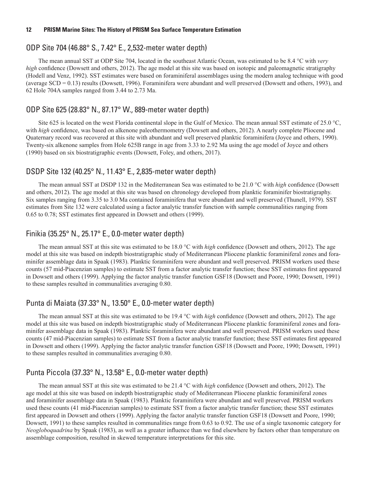#### <span id="page-19-0"></span>ODP Site 704 (46.88° S., 7.42° E., 2,532-meter water depth)

The mean annual SST at ODP Site 704, located in the southeast Atlantic Ocean, was estimated to be 8.4 °C with *very high* confidence (Dowsett and others, 2012). The age model at this site was based on isotopic and paleomagnetic stratigraphy (Hodell and Venz, 1992). SST estimates were based on foraminiferal assemblages using the modern analog technique with good (average SCD = 0.13) results (Dowsett, 1996). Foraminifera were abundant and well preserved (Dowsett and others, 1993), and 62 Hole 704A samples ranged from 3.44 to 2.73 Ma.

#### ODP Site 625 (28.83° N., 87.17° W., 889-meter water depth)

Site 625 is located on the west Florida continental slope in the Gulf of Mexico. The mean annual SST estimate of 25.0 °C, with *high* confidence, was based on alkenone paleothermometry (Dowsett and others, 2012). A nearly complete Pliocene and Quaternary record was recovered at this site with abundant and well preserved planktic foraminifera (Joyce and others, 1990). Twenty-six alkenone samples from Hole 625B range in age from 3.33 to 2.92 Ma using the age model of Joyce and others (1990) based on six biostratigraphic events (Dowsett, Foley, and others, 2017).

#### DSDP Site 132 (40.25° N., 11.43° E., 2,835-meter water depth)

The mean annual SST at DSDP 132 in the Mediterranean Sea was estimated to be 21.0 °C with *high* confidence (Dowsett and others, 2012). The age model at this site was based on chronology developed from planktic foraminifer biostratigraphy. Six samples ranging from 3.35 to 3.0 Ma contained foraminifera that were abundant and well preserved (Thunell, 1979). SST estimates from Site 132 were calculated using a factor analytic transfer function with sample communalities ranging from 0.65 to 0.78; SST estimates first appeared in Dowsett and others (1999).

#### Finikia (35.25° N., 25.17° E., 0.0-meter water depth)

The mean annual SST at this site was estimated to be 18.0 °C with *high* confidence (Dowsett and others, 2012). The age model at this site was based on indepth biostratigraphic study of Mediterranean Pliocene planktic foraminiferal zones and foraminifer assemblage data in Spaak (1983). Planktic foraminifera were abundant and well preserved. PRISM workers used these counts (57 mid-Piacenzian samples) to estimate SST from a factor analytic transfer function; these SST estimates first appeared in Dowsett and others (1999). Applying the factor analytic transfer function GSF18 (Dowsett and Poore, 1990; Dowsett, 1991) to these samples resulted in communalities averaging 0.80.

#### Punta di Maiata (37.33° N., 13.50° E., 0.0-meter water depth)

The mean annual SST at this site was estimated to be 19.4 °C with *high* confidence (Dowsett and others, 2012). The age model at this site was based on indepth biostratigraphic study of Mediterranean Pliocene planktic foraminiferal zones and foraminifer assemblage data in Spaak (1983). Planktic foraminifera were abundant and well preserved. PRISM workers used these counts (47 mid-Piacenzian samples) to estimate SST from a factor analytic transfer function; these SST estimates first appeared in Dowsett and others (1999). Applying the factor analytic transfer function GSF18 (Dowsett and Poore, 1990; Dowsett, 1991) to these samples resulted in communalities averaging 0.80.

#### Punta Piccola (37.33° N., 13.58° E., 0.0-meter water depth)

The mean annual SST at this site was estimated to be 21.4 °C with *high* confidence (Dowsett and others, 2012). The age model at this site was based on indepth biostratigraphic study of Mediterranean Pliocene planktic foraminiferal zones and foraminifer assemblage data in Spaak (1983). Planktic foraminifera were abundant and well preserved. PRISM workers used these counts (41 mid-Piacenzian samples) to estimate SST from a factor analytic transfer function; these SST estimates first appeared in Dowsett and others (1999). Applying the factor analytic transfer function GSF18 (Dowsett and Poore, 1990; Dowsett, 1991) to these samples resulted in communalities range from 0.63 to 0.92. The use of a single taxonomic category for *Neogloboquadrina* by Spaak (1983), as well as a greater influence than we find elsewhere by factors other than temperature on assemblage composition, resulted in skewed temperature interpretations for this site.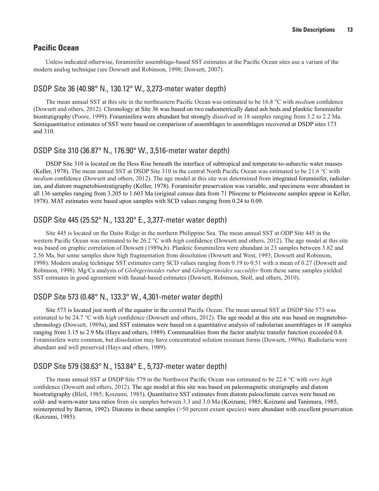## <span id="page-20-0"></span>**Pacific Ocean**

Unless indicated otherwise, foraminifer assemblage-based SST estimates at the Pacific Ocean sites use a variant of the modern analog technique (see Dowsett and Robinson, 1998; Dowsett, 2007).

#### DSDP Site 36 (40.98° N., 130.12° W., 3,273-meter water depth)

The mean annual SST at this site in the northeastern Pacific Ocean was estimated to be 16.8 °C with *medium* confidence (Dowsett and others, 2012). Chronology at Site 36 was based on two radiometrically dated ash beds and planktic foraminifer biostratigraphy (Poore, 1999). Foraminifera were abundant but strongly dissolved in 18 samples ranging from 3.2 to 2.2 Ma. Semiquantitative estimates of SST were based on comparison of assemblages to assemblages recovered at DSDP sites 173 and 310.

#### DSDP Site 310 (36.87° N., 176.90° W., 3,516-meter water depth)

DSDP Site 310 is located on the Hess Rise beneath the interface of subtropical and temperate-to-subarctic water masses (Keller, 1978). The mean annual SST at DSDP Site 310 in the central North Pacific Ocean was estimated to be 21.6 °C with *medium* confidence (Dowsett and others, 2012). The age model at this site was determined from integrated foraminifer, radiolarian, and diatom magnetobiostratigraphy (Keller, 1978). Foraminifer preservation was variable, and specimens were abundant in all 136 samples ranging from 3.205 to 1.603 Ma (original census data from 71 Pliocene to Pleistocene samples appear in Keller, 1978). MAT estimates were based upon samples with SCD values ranging from 0.24 to 0.09.

#### DSDP Site 445 (25.52° N., 133.20° E., 3,377-meter water depth)

Site 445 is located on the Daito Ridge in the northern Philippine Sea. The mean annual SST at ODP Site 445 in the western Pacific Ocean was estimated to be 26.2 °C with *high* confidence (Dowsett and others, 2012). The age model at this site was based on graphic correlation of Dowsett (1989a,b). Planktic foraminifera were abundant in 23 samples between 3.82 and 2.56 Ma, but some samples show high fragmentation from dissolution (Dowsett and West, 1993; Dowsett and Robinson, 1998). Modern analog technique SST estimates carry SCD values ranging from 0.19 to 0.51 with a mean of 0.27 (Dowsett and Robinson, 1998). Mg/Ca analysis of *Globigerinoides ruber* and *Globigerinoides sacculifer* from these same samples yielded SST estimates in good agreement with faunal-based estimates (Dowsett, Robinson, Stoll, and others, 2010).

## DSDP Site 573 (0.48° N., 133.3° W., 4,301-meter water depth)

Site 573 is located just north of the equator in the central Pacific Ocean. The mean annual SST at DSDP Site 573 was estimated to be 24.7 °C with *high* confidence (Dowsett and others, 2012). The age model at this site was based on magnetobiochronology (Dowsett, 1989a), and SST estimates were based on a quantitative analysis of radiolarian assemblages in 18 samples ranging from 3.15 to 2.9 Ma (Hays and others, 1989). Communalities from the factor analytic transfer function exceeded 0.8. Foraminifera were common, but dissolution may have concentrated solution resistant forms (Dowsett, 1989a). Radiolaria were abundant and well preserved (Hays and others, 1989).

## DSDP Site 579 (38.63° N., 153.84° E., 5,737-meter water depth)

The mean annual SST at DSDP Site 579 in the Northwest Pacific Ocean was estimated to be 22.6 °C with *very high* confidence (Dowsett and others, 2012). The age model at this site was based on paleomagnetic stratigraphy and diatom biostratigraphy (Bleil, 1985; Koizumi, 1985). Quantitative SST estimates from diatom paleoclimate curves were based on cold- and warm-water taxa ratios from six samples between 3.3 and 3.0 Ma (Koizumi, 1985; Koizumi and Tanimura, 1985, reinterpreted by Barron, 1992). Diatoms in these samples (>50 percent extant species) were abundant with excellent preservation (Koizumi, 1985).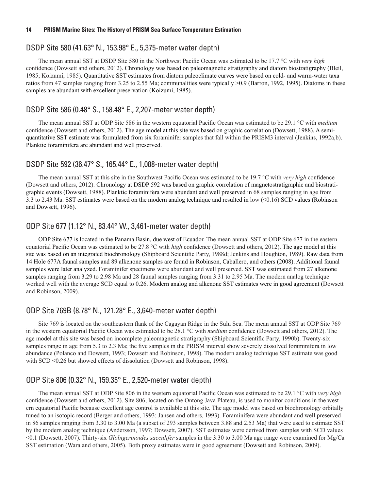#### <span id="page-21-0"></span>DSDP Site 580 (41.63° N., 153.98° E., 5,375-meter water depth)

The mean annual SST at DSDP Site 580 in the Northwest Pacific Ocean was estimated to be 17.7 °C with *very high* confidence (Dowsett and others, 2012). Chronology was based on paleomagnetic stratigraphy and diatom biostratigraphy (Bleil, 1985; Koizumi, 1985). Quantitative SST estimates from diatom paleoclimate curves were based on cold- and warm-water taxa ratios from 47 samples ranging from 3.25 to 2.55 Ma; communalities were typically >0.9 (Barron, 1992, 1995). Diatoms in these samples are abundant with excellent preservation (Koizumi, 1985).

#### DSDP Site 586 (0.48° S., 158.48° E., 2,207-meter water depth)

The mean annual SST at ODP Site 586 in the western equatorial Pacific Ocean was estimated to be 29.1 °C with *medium* confidence (Dowsett and others, 2012). The age model at this site was based on graphic correlation (Dowsett, 1988). A semiquantitative SST estimate was formulated from six foraminifer samples that fall within the PRISM3 interval (Jenkins, 1992a,b). Planktic foraminifera are abundant and well preserved.

#### DSDP Site 592 (36.47° S., 165.44° E., 1,088-meter water depth)

The mean annual SST at this site in the Southwest Pacific Ocean was estimated to be 19.7 °C with *very high* confidence (Dowsett and others, 2012). Chronology at DSDP 592 was based on graphic correlation of magnetostratigraphic and biostratigraphic events (Dowsett, 1988). Planktic foraminifera were abundant and well preserved in 68 samples ranging in age from 3.3 to 2.43 Ma. SST estimates were based on the modern analog technique and resulted in low (≤0.16) SCD values (Robinson and Dowsett, 1996).

#### ODP Site 677 (1.12° N., 83.44° W., 3,461-meter water depth)

ODP Site 677 is located in the Panama Basin, due west of Ecuador. The mean annual SST at ODP Site 677 in the eastern equatorial Pacific Ocean was estimated to be 27.8 °C with *high* confidence (Dowsett and others, 2012). The age model at this site was based on an integrated biochronology (Shipboard Scientific Party, 1988d; Jenkins and Houghton, 1989). Raw data from 14 Hole 677A faunal samples and 89 alkenone samples are found in Robinson, Caballero, and others (2008). Additional faunal samples were later analyzed. Foraminifer specimens were abundant and well preserved. SST was estimated from 27 alkenone samples ranging from 3.29 to 2.98 Ma and 28 faunal samples ranging from 3.31 to 2.95 Ma. The modern analog technique worked well with the average SCD equal to 0.26. Modern analog and alkenone SST estimates were in good agreement (Dowsett and Robinson, 2009).

#### ODP Site 769B (8.78° N., 121.28° E., 3,640-meter water depth)

Site 769 is located on the southeastern flank of the Cagayan Ridge in the Sulu Sea. The mean annual SST at ODP Site 769 in the western equatorial Pacific Ocean was estimated to be 28.1 °C with *medium* confidence (Dowsett and others, 2012). The age model at this site was based on incomplete paleomagnetic stratigraphy (Shipboard Scientific Party, 1990b). Twenty-six samples range in age from 5.3 to 2.3 Ma; the five samples in the PRISM interval show severely dissolved foraminifera in low abundance (Polanco and Dowsett, 1993; Dowsett and Robinson, 1998). The modern analog technique SST estimate was good with SCD <0.26 but showed effects of dissolution (Dowsett and Robinson, 1998).

#### ODP Site 806 (0.32° N., 159.35° E., 2,520-meter water depth)

The mean annual SST at ODP Site 806 in the western equatorial Pacific Ocean was estimated to be 29.1 °C with *very high* confidence (Dowsett and others, 2012). Site 806, located on the Ontong Java Plateau, is used to monitor conditions in the western equatorial Pacific because excellent age control is available at this site. The age model was based on biochronology orbitally tuned to an isotopic record (Berger and others, 1993; Jansen and others, 1993). Foraminifera were abundant and well preserved in 86 samples ranging from 3.30 to 3.00 Ma (a subset of 293 samples between 3.88 and 2.53 Ma) that were used to estimate SST by the modern analog technique (Andersson, 1997; Dowsett, 2007). SST estimates were derived from samples with SCD values <0.1 (Dowsett, 2007). Thirty-six *Globigerinoides sacculifer* samples in the 3.30 to 3.00 Ma age range were examined for Mg/Ca SST estimation (Wara and others, 2005). Both proxy estimates were in good agreement (Dowsett and Robinson, 2009).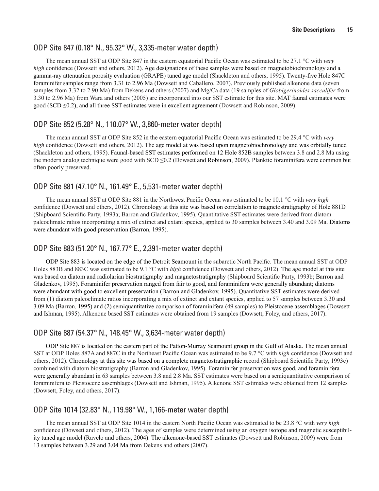#### <span id="page-22-0"></span>ODP Site 847 (0.18° N., 95.32° W., 3,335-meter water depth)

The mean annual SST at ODP Site 847 in the eastern equatorial Pacific Ocean was estimated to be 27.1 °C with *very high* confidence (Dowsett and others, 2012). Age designations of these samples were based on magnetobiochronology and a gamma-ray attenuation porosity evaluation (GRAPE) tuned age model (Shackleton and others, 1995). Twenty-five Hole 847C foraminifer samples range from 3.31 to 2.96 Ma (Dowsett and Caballero, 2007). Previously published alkenone data (seven samples from 3.32 to 2.90 Ma) from Dekens and others (2007) and Mg/Ca data (19 samples of *Globigerinoides sacculifer* from 3.30 to 2.96 Ma) from Wara and others (2005) are incorporated into our SST estimate for this site. MAT faunal estimates were good (SCD ≤0.2), and all three SST estimates were in excellent agreement (Dowsett and Robinson, 2009).

#### ODP Site 852 (5.28° N., 110.07° W., 3,860-meter water depth)

The mean annual SST at ODP Site 852 in the eastern equatorial Pacific Ocean was estimated to be 29.4 °C with *very high* confidence (Dowsett and others, 2012). The age model at was based upon magnetobiochronology and was orbitally tuned (Shackleton and others, 1995). Faunal-based SST estimates performed on 12 Hole 852B samples between 3.8 and 2.8 Ma using the modern analog technique were good with SCD ≤0.2 (Dowsett and Robinson, 2009). Planktic foraminifera were common but often poorly preserved.

## ODP Site 881 (47.10° N., 161.49° E., 5,531-meter water depth)

The mean annual SST at ODP Site 881 in the Northwest Pacific Ocean was estimated to be 10.1 °C with *very high* confidence (Dowsett and others, 2012). Chronology at this site was based on correlation to magnetostratigraphy of Hole 881D (Shipboard Scientific Party, 1993a; Barron and Gladenkov, 1995). Quantitative SST estimates were derived from diatom paleoclimate ratios incorporating a mix of extinct and extant species, applied to 30 samples between 3.40 and 3.09 Ma. Diatoms were abundant with good preservation (Barron, 1995).

## ODP Site 883 (51.20° N., 167.77° E., 2,391-meter water depth)

ODP Site 883 is located on the edge of the Detroit Seamount in the subarctic North Pacific. The mean annual SST at ODP Holes 883B and 883C was estimated to be 9.1 °C with *high* confidence (Dowsett and others, 2012). The age model at this site was based on diatom and radiolarian biostratigraphy and magnetostratigraphy (Shipboard Scientific Party, 1993b; Barron and Gladenkov, 1995). Foraminifer preservation ranged from fair to good, and foraminifera were generally abundant; diatoms were abundant with good to excellent preservation (Barron and Gladenkov, 1995). Quantitative SST estimates were derived from (1) diatom paleoclimate ratios incorporating a mix of extinct and extant species, applied to 57 samples between 3.30 and 3.09 Ma (Barron, 1995) and (2) semiquantitative comparison of foraminifera (49 samples) to Pleistocene assemblages (Dowsett and Ishman, 1995). Alkenone based SST estimates were obtained from 19 samples (Dowsett, Foley, and others, 2017).

## ODP Site 887 (54.37° N., 148.45° W., 3,634-meter water depth)

ODP Site 887 is located on the eastern part of the Patton-Murray Seamount group in the Gulf of Alaska. The mean annual SST at ODP Holes 887A and 887C in the Northeast Pacific Ocean was estimated to be 9.7 °C with *high* confidence (Dowsett and others, 2012). Chronology at this site was based on a complete magnetostratigraphic record (Shipboard Scientific Party, 1993c) combined with diatom biostratigraphy (Barron and Gladenkov, 1995). Foraminifer preservation was good, and foraminifera were generally abundant in 63 samples between 3.8 and 2.8 Ma. SST estimates were based on a semiquantitative comparison of foraminifera to Pleistocene assemblages (Dowsett and Ishman, 1995). Alkenone SST estimates were obtained from 12 samples (Dowsett, Foley, and others, 2017).

## ODP Site 1014 (32.83° N., 119.98° W., 1,166-meter water depth)

The mean annual SST at ODP Site 1014 in the eastern North Pacific Ocean was estimated to be 23.8 °C with *very high* confidence (Dowsett and others, 2012). The ages of samples were determined using an oxygen isotope and magnetic susceptibility tuned age model (Ravelo and others, 2004). The alkenone-based SST estimates (Dowsett and Robinson, 2009) were from 13 samples between 3.29 and 3.04 Ma from Dekens and others (2007).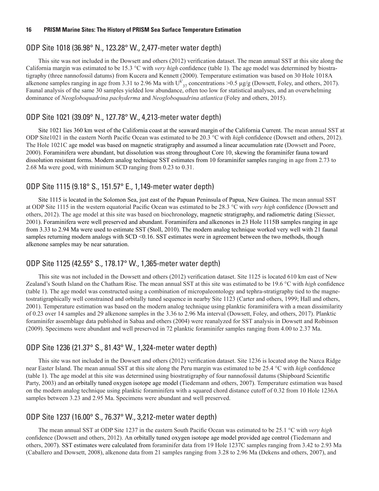#### <span id="page-23-0"></span>ODP Site 1018 (36.98° N., 123.28° W., 2,477-meter water depth)

This site was not included in the Dowsett and others (2012) verification dataset. The mean annual SST at this site along the California margin was estimated to be 15.3 °C with *very high* confidence (table 1). The age model was determined by biostratigraphy (three nannofossil datums) from Kucera and Kennett (2000). Temperature estimation was based on 30 Hole 1018A alkenone samples ranging in age from 3.31 to 2.96 Ma with  $U_{37}^k$  concentrations >0.5 µg/g (Dowsett, Foley, and others, 2017). Faunal analysis of the same 30 samples yielded low abundance, often too low for statistical analyses, and an overwhelming dominance of *Neogloboquadrina pachyderma* and *Neogloboquadrina atlantica* (Foley and others, 2015).

#### ODP Site 1021 (39.09° N., 127.78° W., 4,213-meter water depth)

Site 1021 lies 360 km west of the California coast at the seaward margin of the California Current. The mean annual SST at ODP Site1021 in the eastern North Pacific Ocean was estimated to be 20.3 °C with *high* confidence (Dowsett and others, 2012). The Hole 1021C age model was based on magnetic stratigraphy and assumed a linear accumulation rate (Dowsett and Poore, 2000). Foraminifera were abundant, but dissolution was strong throughout Core 10, skewing the foraminifer fauna toward dissolution resistant forms. Modern analog technique SST estimates from 10 foraminifer samples ranging in age from 2.73 to 2.68 Ma were good, with minimum SCD ranging from 0.23 to 0.31.

#### ODP Site 1115 (9.18° S., 151.57° E., 1,149-meter water depth)

Site 1115 is located in the Solomon Sea, just east of the Papuan Peninsula of Papua, New Guinea. The mean annual SST at ODP Site 1115 in the western equatorial Pacific Ocean was estimated to be 28.3 °C with *very high* confidence (Dowsett and others, 2012). The age model at this site was based on biochronology, magnetic stratigraphy, and radiometric dating (Siesser, 2001). Foraminifera were well preserved and abundant. Foraminifera and alkenones in 23 Hole 1115B samples ranging in age from 3.33 to 2.94 Ma were used to estimate SST (Stoll, 2010). The modern analog technique worked very well with 21 faunal samples returning modern analogs with SCD <0.16. SST estimates were in agreement between the two methods, though alkenone samples may be near saturation.

#### ODP Site 1125 (42.55° S., 178.17° W., 1,365-meter water depth)

This site was not included in the Dowsett and others (2012) verification dataset. Site 1125 is located 610 km east of New Zealand's South Island on the Chatham Rise. The mean annual SST at this site was estimated to be 19.6 °C with *high* confidence (table 1). The age model was constructed using a combination of micropaleontology and tephra-stratigraphy tied to the magnetostratigraphically well constrained and orbitally tuned sequence in nearby Site 1123 (Carter and others, 1999; Hall and others, 2001). Temperature estimation was based on the modern analog technique using planktic foraminifera with a mean dissimilarity of 0.23 over 14 samples and 29 alkenone samples in the 3.36 to 2.96 Ma interval (Dowsett, Foley, and others, 2017). Planktic foraminifer assemblage data published in Sabaa and others (2004) were reanalyzed for SST analysis in Dowsett and Robinson (2009). Specimens were abundant and well preserved in 72 planktic foraminifer samples ranging from 4.00 to 2.37 Ma.

#### ODP Site 1236 (21.37° S., 81.43° W., 1,324-meter water depth)

This site was not included in the Dowsett and others (2012) verification dataset. Site 1236 is located atop the Nazca Ridge near Easter Island. The mean annual SST at this site along the Peru margin was estimated to be 25.4 °C with *high* confidence (table 1). The age model at this site was determined using biostratigraphy of four nannofossil datums (Shipboard Scientific Party, 2003) and an orbitally tuned oxygen isotope age model (Tiedemann and others, 2007). Temperature estimation was based on the modern analog technique using planktic foraminifera with a squared chord distance cutoff of 0.32 from 10 Hole 1236A samples between 3.23 and 2.95 Ma. Specimens were abundant and well preserved.

## ODP Site 1237 (16.00° S., 76.37° W., 3,212-meter water depth)

The mean annual SST at ODP Site 1237 in the eastern South Pacific Ocean was estimated to be 25.1 °C with *very high* confidence (Dowsett and others, 2012). An orbitally tuned oxygen isotope age model provided age control (Tiedemann and others, 2007). SST estimates were calculated from foraminifer data from 19 Hole 1237C samples ranging from 3.42 to 2.93 Ma (Caballero and Dowsett, 2008), alkenone data from 21 samples ranging from 3.28 to 2.96 Ma (Dekens and others, 2007), and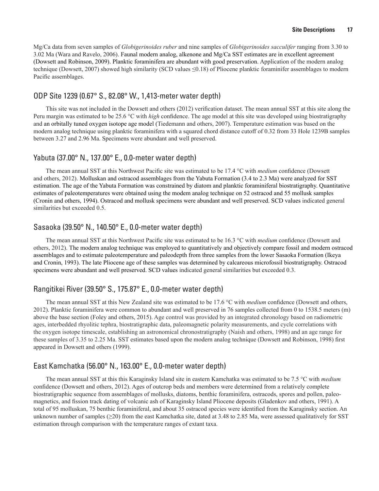<span id="page-24-0"></span>Mg/Ca data from seven samples of *Globigerinoides ruber* and nine samples of *Globigerinoides sacculifer* ranging from 3.30 to 3.02 Ma (Wara and Ravelo, 2006). Faunal modern analog, alkenone and Mg/Ca SST estimates are in excellent agreement (Dowsett and Robinson, 2009). Planktic foraminifera are abundant with good preservation. Application of the modern analog technique (Dowsett, 2007) showed high similarity (SCD values ≤0.18) of Pliocene planktic foraminifer assemblages to modern Pacific assemblages.

#### ODP Site 1239 (0.67° S., 82.08° W., 1,413-meter water depth)

This site was not included in the Dowsett and others (2012) verification dataset. The mean annual SST at this site along the Peru margin was estimated to be 25.6 °C with *high* confidence. The age model at this site was developed using biostratigraphy and an orbitally tuned oxygen isotope age model (Tiedemann and others, 2007). Temperature estimation was based on the modern analog technique using planktic foraminifera with a squared chord distance cutoff of 0.32 from 33 Hole 1239B samples between 3.27 and 2.96 Ma. Specimens were abundant and well preserved.

#### Yabuta (37.00° N., 137.00° E., 0.0-meter water depth)

The mean annual SST at this Northwest Pacific site was estimated to be 17.4 °C with *medium* confidence (Dowsett and others, 2012). Molluskan and ostracod assemblages from the Yabuta Formation (3.4 to 2.3 Ma) were analyzed for SST estimation. The age of the Yabuta Formation was constrained by diatom and planktic foraminiferal biostratigraphy. Quantitative estimates of paleotemperatures were obtained using the modem analog technique on 52 ostracod and 55 mollusk samples (Cronin and others, 1994). Ostracod and mollusk specimens were abundant and well preserved. SCD values indicated general similarities but exceeded 0.5.

#### Sasaoka (39.50° N., 140.50° E., 0.0-meter water depth)

The mean annual SST at this Northwest Pacific site was estimated to be 16.3 °C with *medium* confidence (Dowsett and others, 2012). The modern analog technique was employed to quantitatively and objectively compare fossil and modern ostracod assemblages and to estimate paleotemperature and paleodepth from three samples from the lower Sasaoka Formation (Ikeya and Cronin, 1993). The late Pliocene age of these samples was determined by calcareous microfossil biostratigraphy. Ostracod specimens were abundant and well preserved. SCD values indicated general similarities but exceeded 0.3.

## Rangitikei River (39.50° S., 175.87° E., 0.0-meter water depth)

The mean annual SST at this New Zealand site was estimated to be 17.6 °C with *medium* confidence (Dowsett and others, 2012). Planktic foraminifera were common to abundant and well preserved in 76 samples collected from 0 to 1538.5 meters (m) above the base section (Foley and others, 2015). Age control was provided by an integrated chronology based on radiometric ages, interbedded rhyolitic tephra, biostratigraphic data, paleomagnetic polarity measurements, and cycle correlations with the oxygen isotope timescale, establishing an astronomical chronostratigraphy (Naish and others, 1998) and an age range for these samples of 3.35 to 2.25 Ma. SST estimates based upon the modern analog technique (Dowsett and Robinson, 1998) first appeared in Dowsett and others (1999).

## East Kamchatka (56.00° N., 163.00° E., 0.0-meter water depth)

The mean annual SST at this this Karaginsky Island site in eastern Kamchatka was estimated to be 7.5 °C with *medium* confidence (Dowsett and others, 2012). Ages of outcrop beds and members were determined from a relatively complete biostratigraphic sequence from assemblages of mollusks, diatoms, benthic foraminifera, ostracods, spores and pollen, paleomagnetics, and fission track dating of volcanic ash of Karaginsky Island Pliocene deposits (Gladenkov and others, 1991). A total of 95 molluskan, 75 benthic foraminiferal, and about 35 ostracod species were identified from the Karaginsky section. An unknown number of samples ( $\geq$ 20) from the east Kamchatka site, dated at 3.48 to 2.85 Ma, were assessed qualitatively for SST estimation through comparison with the temperature ranges of extant taxa.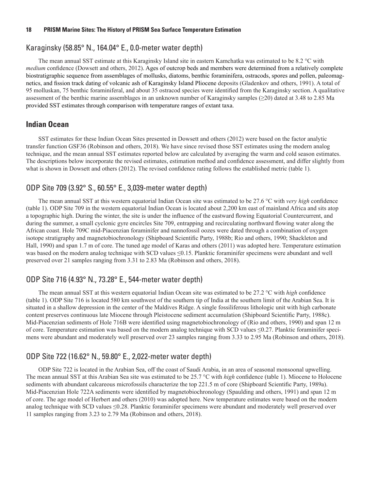#### <span id="page-25-0"></span>Karaginsky (58.85° N., 164.04° E., 0.0-meter water depth)

The mean annual SST estimate at this Karaginsky Island site in eastern Kamchatka was estimated to be 8.2 °C with *medium* confidence (Dowsett and others, 2012). Ages of outcrop beds and members were determined from a relatively complete biostratigraphic sequence from assemblages of mollusks, diatoms, benthic foraminifera, ostracods, spores and pollen, paleomagnetics, and fission track dating of volcanic ash of Karaginsky Island Pliocene deposits (Gladenkov and others, 1991). A total of 95 molluskan, 75 benthic foraminiferal, and about 35 ostracod species were identified from the Karaginsky section. A qualitative assessment of the benthic marine assemblages in an unknown number of Karaginsky samples (≥20) dated at 3.48 to 2.85 Ma provided SST estimates through comparison with temperature ranges of extant taxa.

#### **Indian Ocean**

SST estimates for these Indian Ocean Sites presented in Dowsett and others (2012) were based on the factor analytic transfer function GSF36 (Robinson and others, 2018). We have since revised those SST estimates using the modern analog technique, and the mean annual SST estimates reported below are calculated by averaging the warm and cold season estimates. The descriptions below incorporate the revised estimates, estimation method and confidence assessment, and differ slightly from what is shown in Dowsett and others (2012). The revised confidence rating follows the established metric (table 1).

## ODP Site 709 (3.92° S., 60.55° E., 3,039-meter water depth)

The mean annual SST at this western equatorial Indian Ocean site was estimated to be 27.6 °C with *very high* confidence (table 1). ODP Site 709 in the western equatorial Indian Ocean is located about 2,200 km east of mainland Africa and sits atop a topographic high. During the winter, the site is under the influence of the eastward flowing Equatorial Countercurrent, and during the summer, a small cyclonic gyre encircles Site 709, entrapping and recirculating northward flowing water along the African coast. Hole 709C mid-Piacenzian foraminifer and nannofossil oozes were dated through a combination of oxygen isotope stratigraphy and magnetobiochronology (Shipboard Scientific Party, 1988b; Rio and others, 1990; Shackleton and Hall, 1990) and span 1.7 m of core. The tuned age model of Karas and others (2011) was adopted here. Temperature estimation was based on the modern analog technique with SCD values ≤0.15. Planktic foraminifer specimens were abundant and well preserved over 21 samples ranging from 3.31 to 2.83 Ma (Robinson and others, 2018).

#### ODP Site 716 (4.93° N., 73.28° E., 544-meter water depth)

The mean annual SST at this western equatorial Indian Ocean site was estimated to be 27.2 °C with *high* confidence (table 1). ODP Site 716 is located 580 km southwest of the southern tip of India at the southern limit of the Arabian Sea. It is situated in a shallow depression in the center of the Maldives Ridge. A single fossiliferous lithologic unit with high carbonate content preserves continuous late Miocene through Pleistocene sediment accumulation (Shipboard Scientific Party, 1988c). Mid-Piacenzian sediments of Hole 716B were identified using magnetobiochronology of (Rio and others, 1990) and span 12 m of core. Temperature estimation was based on the modern analog technique with SCD values ≤0.27. Planktic foraminifer specimens were abundant and moderately well preserved over 23 samples ranging from 3.33 to 2.95 Ma (Robinson and others, 2018).

#### ODP Site 722 (16.62° N., 59.80° E., 2,022-meter water depth)

ODP Site 722 is located in the Arabian Sea, off the coast of Saudi Arabia, in an area of seasonal monsoonal upwelling. The mean annual SST at this Arabian Sea site was estimated to be 25.7 °C with *high* confidence (table 1). Miocene to Holocene sediments with abundant calcareous microfossils characterize the top 221.5 m of core (Shipboard Scientific Party, 1989a). Mid-Piacenzian Hole 722A sediments were identified by magnetobiochronology (Spaulding and others, 1991) and span 12 m of core. The age model of Herbert and others (2010) was adopted here. New temperature estimates were based on the modern analog technique with SCD values ≤0.28. Planktic foraminifer specimens were abundant and moderately well preserved over 11 samples ranging from 3.23 to 2.79 Ma (Robinson and others, 2018).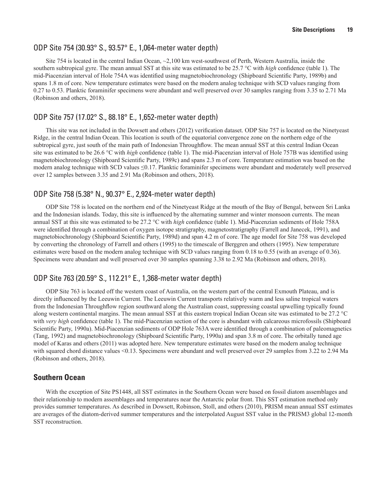#### <span id="page-26-0"></span>ODP Site 754 (30.93° S., 93.57° E., 1,064-meter water depth)

Site 754 is located in the central Indian Ocean, ~2,100 km west-southwest of Perth, Western Australia, inside the southern subtropical gyre. The mean annual SST at this site was estimated to be 25.7 °C with *high* confidence (table 1). The mid-Piacenzian interval of Hole 754A was identified using magnetobiochronology (Shipboard Scientific Party, 1989b) and spans 1.8 m of core. New temperature estimates were based on the modern analog technique with SCD values ranging from 0.27 to 0.53. Planktic foraminifer specimens were abundant and well preserved over 30 samples ranging from 3.35 to 2.71 Ma (Robinson and others, 2018).

#### ODP Site 757 (17.02° S., 88.18° E., 1,652-meter water depth)

This site was not included in the Dowsett and others (2012) verification dataset. ODP Site 757 is located on the Ninetyeast Ridge, in the central Indian Ocean. This location is south of the equatorial convergence zone on the northern edge of the subtropical gyre, just south of the main path of Indonesian Throughflow. The mean annual SST at this central Indian Ocean site was estimated to be 26.6 °C with *high* confidence (table 1). The mid-Piacenzian interval of Hole 757B was identified using magnetobiochronology (Shipboard Scientific Party, 1989c) and spans 2.3 m of core. Temperature estimation was based on the modern analog technique with SCD values ≤0.17. Planktic foraminifer specimens were abundant and moderately well preserved over 12 samples between 3.35 and 2.91 Ma (Robinson and others, 2018).

## ODP Site 758 (5.38° N., 90.37° E., 2,924-meter water depth)

ODP Site 758 is located on the northern end of the Ninetyeast Ridge at the mouth of the Bay of Bengal, between Sri Lanka and the Indonesian islands. Today, this site is influenced by the alternating summer and winter monsoon currents. The mean annual SST at this site was estimated to be 27.2 °C with *high* confidence (table 1). Mid-Piacenzian sediments of Hole 758A were identified through a combination of oxygen isotope stratigraphy, magnetostratigraphy (Farrell and Janecek, 1991), and magnetobiochronology (Shipboard Scientific Party, 1989d) and span 4.2 m of core. The age model for Site 758 was developed by converting the chronology of Farrell and others (1995) to the timescale of Berggren and others (1995). New temperature estimates were based on the modern analog technique with SCD values ranging from 0.18 to 0.55 (with an average of 0.36). Specimens were abundant and well preserved over 30 samples spanning 3.38 to 2.92 Ma (Robinson and others, 2018).

## ODP Site 763 (20.59° S., 112.21° E., 1,368-meter water depth)

ODP Site 763 is located off the western coast of Australia, on the western part of the central Exmouth Plateau, and is directly influenced by the Leeuwin Current. The Leeuwin Current transports relatively warm and less saline tropical waters from the Indonesian Throughflow region southward along the Australian coast, suppressing coastal upwelling typically found along western continental margins. The mean annual SST at this eastern tropical Indian Ocean site was estimated to be 27.2 °C with *very high* confidence (table 1). The mid-Piacenzian section of the core is abundant with calcareous microfossils (Shipboard Scientific Party, 1990a). Mid-Piacenzian sediments of ODP Hole 763A were identified through a combination of paleomagnetics (Tang, 1992) and magnetobiochronology (Shipboard Scientific Party, 1990a) and span 3.8 m of core. The orbitally tuned age model of Karas and others (2011) was adopted here. New temperature estimates were based on the modern analog technique with squared chord distance values <0.13. Specimens were abundant and well preserved over 29 samples from 3.22 to 2.94 Ma (Robinson and others, 2018).

## **Southern Ocean**

With the exception of Site PS1448, all SST estimates in the Southern Ocean were based on fossil diatom assemblages and their relationship to modern assemblages and temperatures near the Antarctic polar front. This SST estimation method only provides summer temperatures. As described in Dowsett, Robinson, Stoll, and others (2010), PRISM mean annual SST estimates are averages of the diatom-derived summer temperatures and the interpolated August SST value in the PRISM3 global 12-month SST reconstruction.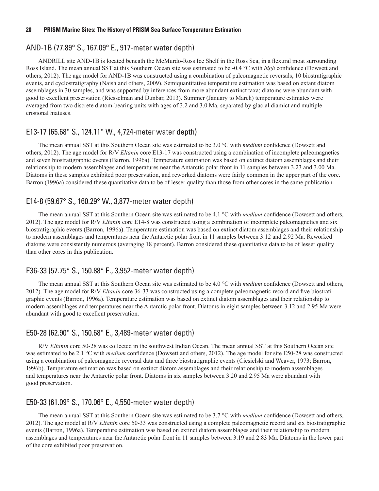#### <span id="page-27-0"></span>AND-1B (77.89° S., 167.09° E., 917-meter water depth)

ANDRILL site AND-1B is located beneath the McMurdo-Ross Ice Shelf in the Ross Sea, in a flexural moat surrounding Ross Island. The mean annual SST at this Southern Ocean site was estimated to be -0.4 °C with *high* confidence (Dowsett and others, 2012). The age model for AND-1B was constructed using a combination of paleomagnetic reversals, 10 biostratigraphic events, and cyclostratigraphy (Naish and others, 2009). Semiquantitative temperature estimation was based on extant diatom assemblages in 30 samples, and was supported by inferences from more abundant extinct taxa; diatoms were abundant with good to excellent preservation (Riesselman and Dunbar, 2013). Summer (January to March) temperature estimates were averaged from two discrete diatom-bearing units with ages of 3.2 and 3.0 Ma, separated by glacial diamict and multiple erosional hiatuses.

#### E13-17 (65.68° S., 124.11° W., 4,724-meter water depth)

The mean annual SST at this Southern Ocean site was estimated to be 3.0 °C with *medium* confidence (Dowsett and others, 2012). The age model for R/V *Eltanin* core E13-17 was constructed using a combination of incomplete paleomagnetics and seven biostratigraphic events (Barron, 1996a). Temperature estimation was based on extinct diatom assemblages and their relationship to modern assemblages and temperatures near the Antarctic polar front in 11 samples between 3.23 and 3.00 Ma. Diatoms in these samples exhibited poor preservation, and reworked diatoms were fairly common in the upper part of the core. Barron (1996a) considered these quantitative data to be of lesser quality than those from other cores in the same publication.

#### E14-8 (59.67° S., 160.29° W., 3,877-meter water depth)

The mean annual SST at this Southern Ocean site was estimated to be 4.1 °C with *medium* confidence (Dowsett and others, 2012). The age model for R/V *Eltanin* core E14-8 was constructed using a combination of incomplete paleomagnetics and six biostratigraphic events (Barron, 1996a). Temperature estimation was based on extinct diatom assemblages and their relationship to modern assemblages and temperatures near the Antarctic polar front in 11 samples between 3.12 and 2.92 Ma. Reworked diatoms were consistently numerous (averaging 18 percent). Barron considered these quantitative data to be of lesser quality than other cores in this publication.

#### E36-33 (57.75° S., 150.88° E., 3,952-meter water depth)

The mean annual SST at this Southern Ocean site was estimated to be 4.0 °C with *medium* confidence (Dowsett and others, 2012). The age model for R/V *Eltanin* core 36-33 was constructed using a complete paleomagnetic record and five biostratigraphic events (Barron, 1996a). Temperature estimation was based on extinct diatom assemblages and their relationship to modern assemblages and temperatures near the Antarctic polar front. Diatoms in eight samples between 3.12 and 2.95 Ma were abundant with good to excellent preservation.

#### E50-28 (62.90° S., 150.68° E., 3,489-meter water depth)

R/V *Eltanin* core 50-28 was collected in the southwest Indian Ocean. The mean annual SST at this Southern Ocean site was estimated to be 2.1 °C with *medium* confidence (Dowsett and others, 2012). The age model for site E50-28 was constructed using a combination of paleomagnetic reversal data and three biostratigraphic events (Ciesielski and Weaver, 1973; Barron, 1996b). Temperature estimation was based on extinct diatom assemblages and their relationship to modern assemblages and temperatures near the Antarctic polar front. Diatoms in six samples between 3.20 and 2.95 Ma were abundant with good preservation.

#### E50-33 (61.09° S., 170.06° E., 4,550-meter water depth)

The mean annual SST at this Southern Ocean site was estimated to be 3.7 °C with *medium* confidence (Dowsett and others, 2012). The age model at R/V *Eltanin* core 50-33 was constructed using a complete paleomagnetic record and six biostratigraphic events (Barron, 1996a). Temperature estimation was based on extinct diatom assemblages and their relationship to modern assemblages and temperatures near the Antarctic polar front in 11 samples between 3.19 and 2.83 Ma. Diatoms in the lower part of the core exhibited poor preservation.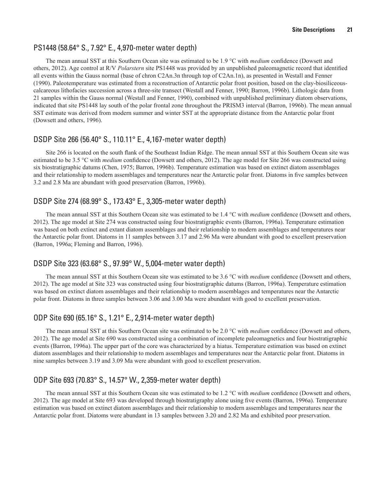#### <span id="page-28-0"></span>PS1448 (58.64° S., 7.92° E., 4,970-meter water depth)

The mean annual SST at this Southern Ocean site was estimated to be 1.9 °C with *medium* confidence (Dowsett and others, 2012). Age control at R/V *Polarstern* site PS1448 was provided by an unpublished paleomagnetic record that identified all events within the Gauss normal (base of chron C2An.3n through top of C2An.1n), as presented in Westall and Fenner (1990). Paleotemperature was estimated from a reconstruction of Antarctic polar front position, based on the clay-biosiliceouscalcareous lithofacies succession across a three-site transect (Westall and Fenner, 1990; Barron, 1996b). Lithologic data from 21 samples within the Gauss normal (Westall and Fenner, 1990), combined with unpublished preliminary diatom observations, indicated that site PS1448 lay south of the polar frontal zone throughout the PRISM3 interval (Barron, 1996b). The mean annual SST estimate was derived from modern summer and winter SST at the appropriate distance from the Antarctic polar front (Dowsett and others, 1996).

#### DSDP Site 266 (56.40° S., 110.11° E., 4,167-meter water depth)

Site 266 is located on the south flank of the Southeast Indian Ridge. The mean annual SST at this Southern Ocean site was estimated to be 3.5 °C with *medium* confidence (Dowsett and others, 2012). The age model for Site 266 was constructed using six biostratigraphic datums (Chen, 1975; Barron, 1996b). Temperature estimation was based on extinct diatom assemblages and their relationship to modern assemblages and temperatures near the Antarctic polar front. Diatoms in five samples between 3.2 and 2.8 Ma are abundant with good preservation (Barron, 1996b).

## DSDP Site 274 (68.99° S., 173.43° E., 3,305-meter water depth)

The mean annual SST at this Southern Ocean site was estimated to be 1.4 °C with *medium* confidence (Dowsett and others, 2012). The age model at Site 274 was constructed using four biostratigraphic events (Barron, 1996a). Temperature estimation was based on both extinct and extant diatom assemblages and their relationship to modern assemblages and temperatures near the Antarctic polar front. Diatoms in 11 samples between 3.17 and 2.96 Ma were abundant with good to excellent preservation (Barron, 1996a; Fleming and Barron, 1996).

#### DSDP Site 323 (63.68° S., 97.99° W., 5,004-meter water depth)

The mean annual SST at this Southern Ocean site was estimated to be 3.6 °C with *medium* confidence (Dowsett and others, 2012). The age model at Site 323 was constructed using four biostratigraphic datums (Barron, 1996a). Temperature estimation was based on extinct diatom assemblages and their relationship to modern assemblages and temperatures near the Antarctic polar front. Diatoms in three samples between 3.06 and 3.00 Ma were abundant with good to excellent preservation.

## ODP Site 690 (65.16° S., 1.21° E., 2,914-meter water depth)

The mean annual SST at this Southern Ocean site was estimated to be 2.0 °C with *medium* confidence (Dowsett and others, 2012). The age model at Site 690 was constructed using a combination of incomplete paleomagnetics and four biostratigraphic events (Barron, 1996a). The upper part of the core was characterized by a hiatus. Temperature estimation was based on extinct diatom assemblages and their relationship to modern assemblages and temperatures near the Antarctic polar front. Diatoms in nine samples between 3.19 and 3.09 Ma were abundant with good to excellent preservation.

## ODP Site 693 (70.83° S., 14.57° W., 2,359-meter water depth)

The mean annual SST at this Southern Ocean site was estimated to be 1.2 °C with *medium* confidence (Dowsett and others, 2012). The age model at Site 693 was developed through biostratigraphy alone using five events (Barron, 1996a). Temperature estimation was based on extinct diatom assemblages and their relationship to modern assemblages and temperatures near the Antarctic polar front. Diatoms were abundant in 13 samples between 3.20 and 2.82 Ma and exhibited poor preservation.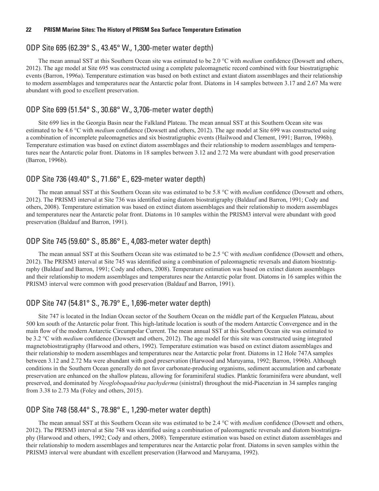#### <span id="page-29-0"></span>ODP Site 695 (62.39° S., 43.45° W., 1,300-meter water depth)

The mean annual SST at this Southern Ocean site was estimated to be 2.0 °C with *medium* confidence (Dowsett and others, 2012). The age model at Site 695 was constructed using a complete paleomagnetic record combined with four biostratigraphic events (Barron, 1996a). Temperature estimation was based on both extinct and extant diatom assemblages and their relationship to modern assemblages and temperatures near the Antarctic polar front. Diatoms in 14 samples between 3.17 and 2.67 Ma were abundant with good to excellent preservation.

#### ODP Site 699 (51.54° S., 30.68° W., 3,706-meter water depth)

Site 699 lies in the Georgia Basin near the Falkland Plateau. The mean annual SST at this Southern Ocean site was estimated to be 4.6 °C with *medium* confidence (Dowsett and others, 2012). The age model at Site 699 was constructed using a combination of incomplete paleomagnetics and six biostratigraphic events (Hailwood and Clement, 1991; Barron, 1996b). Temperature estimation was based on extinct diatom assemblages and their relationship to modern assemblages and temperatures near the Antarctic polar front. Diatoms in 18 samples between 3.12 and 2.72 Ma were abundant with good preservation (Barron, 1996b).

#### ODP Site 736 (49.40° S., 71.66° E., 629-meter water depth)

The mean annual SST at this Southern Ocean site was estimated to be 5.8 °C with *medium* confidence (Dowsett and others, 2012). The PRISM3 interval at Site 736 was identified using diatom biostratigraphy (Baldauf and Barron, 1991; Cody and others, 2008). Temperature estimation was based on extinct diatom assemblages and their relationship to modern assemblages and temperatures near the Antarctic polar front. Diatoms in 10 samples within the PRISM3 interval were abundant with good preservation (Baldauf and Barron, 1991).

#### ODP Site 745 (59.60° S., 85.86° E., 4,083-meter water depth)

The mean annual SST at this Southern Ocean site was estimated to be 2.5 °C with *medium* confidence (Dowsett and others, 2012). The PRISM3 interval at Site 745 was identified using a combination of paleomagnetic reversals and diatom biostratigraphy (Baldauf and Barron, 1991; Cody and others, 2008). Temperature estimation was based on extinct diatom assemblages and their relationship to modern assemblages and temperatures near the Antarctic polar front. Diatoms in 16 samples within the PRISM3 interval were common with good preservation (Baldauf and Barron, 1991).

#### ODP Site 747 (54.81° S., 76.79° E., 1,696-meter water depth)

Site 747 is located in the Indian Ocean sector of the Southern Ocean on the middle part of the Kerguelen Plateau, about 500 km south of the Antarctic polar front. This high-latitude location is south of the modern Antarctic Convergence and in the main flow of the modern Antarctic Circumpolar Current. The mean annual SST at this Southern Ocean site was estimated to be 3.2 °C with *medium* confidence (Dowsett and others, 2012). The age model for this site was constructed using integrated magnetobiostratigraphy (Harwood and others, 1992). Temperature estimation was based on extinct diatom assemblages and their relationship to modern assemblages and temperatures near the Antarctic polar front. Diatoms in 12 Hole 747A samples between 3.12 and 2.72 Ma were abundant with good preservation (Harwood and Maruyama, 1992; Barron, 1996b). Although conditions in the Southern Ocean generally do not favor carbonate-producing organisms, sediment accumulation and carbonate preservation are enhanced on the shallow plateau, allowing for foraminiferal studies. Planktic foraminifera were abundant, well preserved, and dominated by *Neogloboquadrina pachyderma* (sinistral) throughout the mid-Piacenzian in 34 samples ranging from 3.38 to 2.73 Ma (Foley and others, 2015).

#### ODP Site 748 (58.44° S., 78.98° E., 1,290-meter water depth)

The mean annual SST at this Southern Ocean site was estimated to be 2.4 °C with *medium* confidence (Dowsett and others, 2012). The PRISM3 interval at Site 748 was identified using a combination of paleomagnetic reversals and diatom biostratigraphy (Harwood and others, 1992; Cody and others, 2008). Temperature estimation was based on extinct diatom assemblages and their relationship to modern assemblages and temperatures near the Antarctic polar front. Diatoms in seven samples within the PRISM3 interval were abundant with excellent preservation (Harwood and Maruyama, 1992).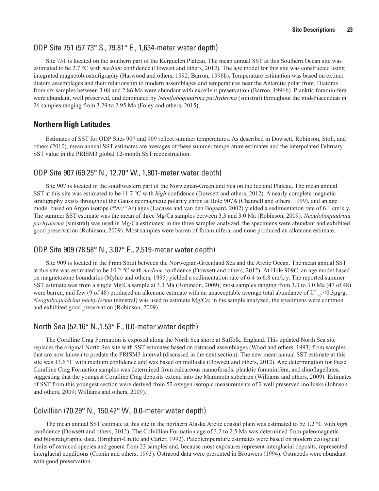#### <span id="page-30-0"></span>ODP Site 751 (57.73° S., 79.81° E., 1,634-meter water depth)

Site 751 is located on the southern part of the Kerguelen Plateau. The mean annual SST at this Southern Ocean site was estimated to be 2.7 °C with *medium* confidence (Dowsett and others, 2012). The age model for this site was constructed using integrated magnetobiostratigraphy (Harwood and others, 1992; Barron, 1996b). Temperature estimation was based on extinct diatom assemblages and their relationship to modern assemblages and temperatures near the Antarctic polar front. Diatoms from six samples between 3.08 and 2.86 Ma were abundant with excellent preservation (Barron, 1996b). Planktic foraminifera were abundant, well preserved, and dominated by *Neogloboquadrina pachyderma* (sinistral) throughout the mid-Piacenzian in 26 samples ranging from 3.29 to 2.95 Ma (Foley and others, 2015).

#### **Northern High Latitudes**

Estimates of SST for ODP Sites 907 and 909 reflect summer temperatures. As described in Dowsett, Robinson, Stoll, and others (2010), mean annual SST estimates are averages of these summer temperature estimates and the interpolated February SST value in the PRISM3 global 12-month SST reconstruction.

## ODP Site 907 (69.25° N., 12.70° W., 1,801-meter water depth)

Site 907 is located in the southwestern part of the Norwegian-Greenland Sea on the Iceland Plateau. The mean annual SST at this site was estimated to be 11.7 °C with *high* confidence (Dowsett and others, 2012). A nearly complete magnetic stratigraphy exists throughout the Gauss geomagnetic polarity chron at Hole 907A (Channell and others, 1999), and an age model based on Argon isotope ( $^{40}Ar/{}^{39}Ar$ ) ages (Lacasse and van den Bogaard, 2002) yielded a sedimentation rate of 6.1 cm/k.y. The summer SST estimate was the mean of three Mg/Ca samples between 3.3 and 3.0 Ma (Robinson, 2009). *Neogloboquadrina pachyderma* (sinistral) was used in Mg/Ca estimates; in the three samples analyzed, the specimens were abundant and exhibited good preservation (Robinson, 2009). Most samples were barren of foraminifera, and none produced an alkenone estimate.

## ODP Site 909 (78.58° N., 3.07° E., 2,519-meter water depth)

Site 909 is located in the Fram Strait between the Norwegian-Greenland Sea and the Arctic Ocean. The mean annual SST at this site was estimated to be 10.2 °C with *medium* confidence (Dowsett and others, 2012). At Hole 909C, an age model based on magnetozone boundaries (Myhre and others, 1995) yielded a sedimentation rate of 6.4 to 6.8 cm/k.y. The reported summer SST estimate was from a single Mg/Ca sample at 3.3 Ma (Robinson, 2009); most samples ranging from 3.3 to 3.0 Ma (47 of 48) were barren, and few (9 of 48) produced an alkenone estimate with an unacceptable average total abundance of  $U_{37}^{k'}$  <0.3µg/g. *Neogloboquadrina pachyderma* (sinistral) was used to estimate Mg/Ca; in the sample analyzed, the specimens were common and exhibited good preservation (Robinson, 2009).

## North Sea (52.16° N.,1.53° E., 0.0-meter water depth)

The Coralline Crag Formation is exposed along the North Sea shore at Suffolk, England. This updated North Sea site replaces the original North Sea site with SST estimates based on ostracod assemblages (Wood and others, 1993) from samples that are now known to predate the PRISM3 interval (discussed in the next section). The new mean annual SST estimate at this site was 13.6 °C with medium confidence and was based on mollusks (Dowsett and others, 2012). Age determination for these Coralline Crag Formation samples was determined from calcareous nannofossils, planktic foraminifera, and dinoflagellates, suggesting that the youngest Coralline Crag deposits extend into the Mammoth subchron (Williams and others, 2009). Estimates of SST from this youngest section were derived from 52 oxygen isotopic measurements of 2 well preserved mollusks (Johnson and others, 2009; Williams and others, 2009).

#### Colvillian (70.29° N., 150.42° W., 0.0-meter water depth)

The mean annual SST estimate at this site in the northern Alaska Arctic coastal plain was estimated to be 1.2 °C with *high* confidence (Dowsett and others, 2012). The Colvillian Formation age of 3.2 to 2.5 Ma was determined from paleomagnetic and biostratigraphic data. (Brigham-Grette and Carter, 1992). Paleotemperature estimates were based on modern ecological limits of ostracod species and genera from 23 samples and, because most exposures represent interglacial deposits, represented interglacial conditions (Cronin and others, 1993). Ostracod data were presented in Brouwers (1994). Ostracods were abundant with good preservation.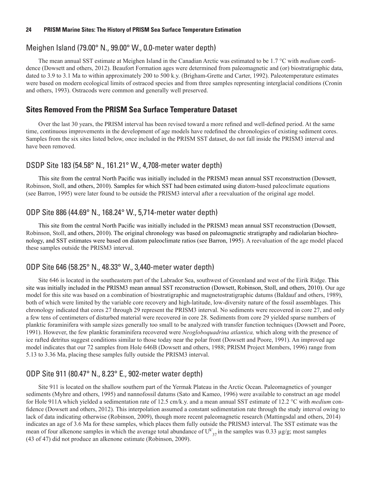#### <span id="page-31-0"></span>Meighen Island (79.00° N., 99.00° W., 0.0-meter water depth)

The mean annual SST estimate at Meighen Island in the Canadian Arctic was estimated to be 1.7 °C with *medium* confidence (Dowsett and others, 2012). Beaufort Formation ages were determined from paleomagnetic and (or) biostratigraphic data, dated to 3.9 to 3.1 Ma to within approximately 200 to 500 k.y. (Brigham-Grette and Carter, 1992). Paleotemperature estimates were based on modern ecological limits of ostracod species and from three samples representing interglacial conditions (Cronin and others, 1993). Ostracods were common and generally well preserved.

#### **Sites Removed From the PRISM Sea Surface Temperature Dataset**

Over the last 30 years, the PRISM interval has been revised toward a more refined and well-defined period. At the same time, continuous improvements in the development of age models have redefined the chronologies of existing sediment cores. Samples from the six sites listed below, once included in the PRISM SST dataset, do not fall inside the PRISM3 interval and have been removed.

#### DSDP Site 183 (54.58° N., 161.21° W., 4,708-meter water depth)

This site from the central North Pacific was initially included in the PRISM3 mean annual SST reconstruction (Dowsett, Robinson, Stoll, and others, 2010). Samples for which SST had been estimated using diatom-based paleoclimate equations (see Barron, 1995) were later found to be outside the PRISM3 interval after a reevaluation of the original age model.

## ODP Site 886 (44.69° N., 168.24° W., 5,714-meter water depth)

This site from the central North Pacific was initially included in the PRISM3 mean annual SST reconstruction (Dowsett, Robinson, Stoll, and others, 2010). The original chronology was based on paleomagnetic stratigraphy and radiolarian biochronology, and SST estimates were based on diatom paleoclimate ratios (see Barron, 1995). A reevaluation of the age model placed these samples outside the PRISM3 interval.

## ODP Site 646 (58.25° N., 48.33° W., 3,440-meter water depth)

Site 646 is located in the southeastern part of the Labrador Sea, southwest of Greenland and west of the Eirik Ridge. This site was initially included in the PRISM3 mean annual SST reconstruction (Dowsett, Robinson, Stoll, and others, 2010). Our age model for this site was based on a combination of biostratigraphic and magnetostratigraphic datums (Baldauf and others, 1989), both of which were limited by the variable core recovery and high-latitude, low-diversity nature of the fossil assemblages. This chronology indicated that cores 27 through 29 represent the PRISM3 interval. No sediments were recovered in core 27, and only a few tens of centimeters of disturbed material were recovered in core 28. Sediments from core 29 yielded sparse numbers of planktic foraminifera with sample sizes generally too small to be analyzed with transfer function techniques (Dowsett and Poore, 1991). However, the few planktic foraminifera recovered were *Neogloboquadrina atlantica,* which along with the presence of ice rafted detritus suggest conditions similar to those today near the polar front (Dowsett and Poore, 1991). An improved age model indicates that our 72 samples from Hole 646B (Dowsett and others, 1988; PRISM Project Members, 1996) range from 5.13 to 3.36 Ma, placing these samples fully outside the PRISM3 interval.

## ODP Site 911 (80.47° N., 8.23° E., 902-meter water depth)

Site 911 is located on the shallow southern part of the Yermak Plateau in the Arctic Ocean. Paleomagnetics of younger sediments (Myhre and others, 1995) and nannofossil datums (Sato and Kameo, 1996) were available to construct an age model for Hole 911A which yielded a sedimentation rate of 12.5 cm/k.y. and a mean annual SST estimate of 12.2 °C with *medium* confidence (Dowsett and others, 2012). This interpolation assumed a constant sedimentation rate through the study interval owing to lack of data indicating otherwise (Robinson, 2009), though more recent paleomagnetic research (Mattingsdal and others, 2014) indicates an age of 3.6 Ma for these samples, which places them fully outside the PRISM3 interval. The SST estimate was the mean of four alkenone samples in which the average total abundance of  $U^{k'}_{37}$  in the samples was 0.33 µg/g; most samples (43 of 47) did not produce an alkenone estimate (Robinson, 2009).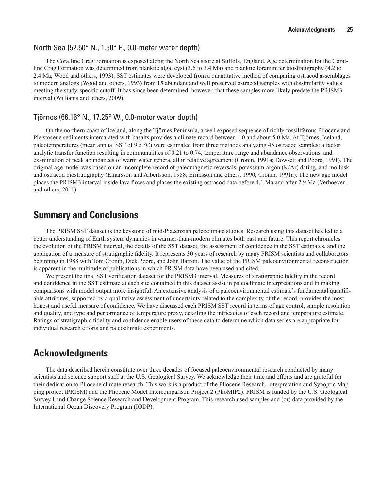#### <span id="page-32-0"></span>North Sea (52.50° N., 1.50° E., 0.0-meter water depth)

The Coralline Crag Formation is exposed along the North Sea shore at Suffolk, England. Age determination for the Coralline Crag Formation was determined from planktic algal cyst (3.6 to 3.4 Ma) and planktic foraminifer biostratigraphy (4.2 to 2.4 Ma; Wood and others, 1993). SST estimates were developed from a quantitative method of comparing ostracod assemblages to modern analogs (Wood and others, 1993) from 15 abundant and well preserved ostracod samples with dissimilarity values meeting the study-specific cutoff. It has since been determined, however, that these samples more likely predate the PRISM3 interval (Williams and others, 2009).

#### Tjörnes (66.16° N., 17.25° W., 0.0-meter water depth)

On the northern coast of Iceland, along the Tjörnes Peninsula, a well exposed sequence of richly fossiliferous Pliocene and Pleistocene sediments intercalated with basalts provides a climate record between 1.0 and about 5.0 Ma. At Tjörnes, Iceland, paleotemperatures (mean annual SST of 9.5 °C) were estimated from three methods analyzing 45 ostracod samples: a factor analytic transfer function resulting in communalities of 0.21 to 0.74, temperature range and abundance observations, and examination of peak abundances of warm water genera, all in relative agreement (Cronin, 1991a; Dowsett and Poore, 1991). The original age model was based on an incomplete record of paleomagnetic reversals, potassium-argon (K/Ar) dating, and mollusk and ostracod biostratigraphy (Einarsson and Albertsson, 1988; Eiríksson and others, 1990; Cronin, 1991a). The new age model places the PRISM3 interval inside lava flows and places the existing ostracod data before 4.1 Ma and after 2.9 Ma (Verhoeven and others, 2011).

# **Summary and Conclusions**

The PRISM SST dataset is the keystone of mid-Piacenzian paleoclimate studies. Research using this dataset has led to a better understanding of Earth system dynamics in warmer-than-modern climates both past and future. This report chronicles the evolution of the PRISM interval, the details of the SST dataset, the assessment of confidence in the SST estimates, and the application of a measure of stratigraphic fidelity. It represents 30 years of research by many PRISM scientists and collaborators beginning in 1988 with Tom Cronin, Dick Poore, and John Barron. The value of the PRISM paleoenvironmental reconstruction is apparent in the multitude of publications in which PRISM data have been used and cited.

We present the final SST verification dataset for the PRISM3 interval. Measures of stratigraphic fidelity in the record and confidence in the SST estimate at each site contained in this dataset assist in paleoclimate interpretations and in making comparisons with model output more insightful. An extensive analysis of a paleoenvironmental estimate's fundamental quantifiable attributes, supported by a qualitative assessment of uncertainty related to the complexity of the record, provides the most honest and useful measure of confidence. We have discussed each PRISM SST record in terms of age control, sample resolution and quality, and type and performance of temperature proxy, detailing the intricacies of each record and temperature estimate. Ratings of stratigraphic fidelity and confidence enable users of these data to determine which data series are appropriate for individual research efforts and paleoclimate experiments.

# **Acknowledgments**

The data described herein constitute over three decades of focused paleoenvironmental research conducted by many scientists and science support staff at the U.S. Geological Survey. We acknowledge their time and efforts and are grateful for their dedication to Pliocene climate research. This work is a product of the Pliocene Research, Interpretation and Synoptic Mapping project (PRISM) and the Pliocene Model Intercomparison Project 2 (PlioMIP2). PRISM is funded by the U.S. Geological Survey Land Change Science Research and Development Program. This research used samples and (or) data provided by the International Ocean Discovery Program (IODP).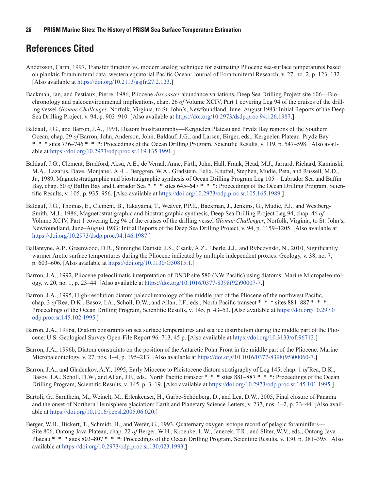# <span id="page-33-0"></span>**References Cited**

- Andersson, Carin, 1997, Transfer function vs. modern analog technique for estimating Pliocene sea-surface temperatures based on planktic foraminiferal data, western equatorial Pacific Ocean: Journal of Foraminiferal Research, v. 27, no. 2, p. 123–132. [Also available at<https://doi.org/10.2113/gsjfr.27.2.123>.]
- Backman, Jan, and Pestiaux, Pierre, 1986, Pliocene *discoaster* abundance variations, Deep Sea Drilling Project site 606—Biochronology and paleoenvironmental implications, chap. 26 *of* Volume XCIV, Part 1 covering Leg 94 of the cruises of the drilling vessel *Glomar Challenger*, Norfolk, Virginia, to St. John's, Newfoundland, June–August 1983: Initial Reports of the Deep Sea Drilling Project, v. 94, p. 903–910. [Also available at [https://doi.org/10.2973/dsdp.proc.94.126.1987.](https://doi.org/10.2973/dsdp.proc.94.126.1987)]
- Baldauf, J.G., and Barron, J.A., 1991, Diatom biostratigraphy—Kerguelen Plateau and Prydz Bay regions of the Southern Ocean, chap. 29 *of* Barron, John, Anderson, John, Baldauf, J.G., and Larsen, Birger, eds., Kerguelen Plateau–Prydz Bay \* \* \* sites 736–746 \* \* \*: Proceedings of the Ocean Drilling Program, Scientific Results, v. 119, p. 547–598. [Also available at [https://doi.org/10.2973/odp.proc.sr.119.135.1991.](https://doi.org/10.2973/odp.proc.sr.119.135.1991)]
- Baldauf, J.G., Clement, Bradford, Aksu, A.E., de Vernal, Anne, Firth, John, Hall, Frank, Head, M.J., Jarrard, Richard, Kaminski, M.A., Lazarus, Dave, Monjanel, A.-L., Berggren, W.A., Gradstein, Felix, Knuttel, Stephen, Mudie, Peta, and Russell, M.D., Jr., 1989, Magnetostratigraphic and biostratigraphic synthesis of Ocean Drilling Program Leg 105—Labrador Sea and Baffin Bay, chap. 50 *of* Baffin Bay and Labrador Sea \* \* \* sites 645–647 \* \* \*: Proceedings of the Ocean Drilling Program, Scientific Results, v. 105, p. 935–956. [Also available at <https://doi.org/10.2973/odp.proc.sr.105.165.1989>.]
- Baldauf, J.G., Thomas, E., Clement, B., Takayama, T., Weaver, P.P.E., Backman, J., Jenkins, G., Mudie, P.J., and Westberg-Smith, M.J., 1986, Magnetostratigraphic and biostratigraphic synthesis, Deep Sea Drilling Project Leg 94, chap. 46 *of* Volume XCIV, Part 1 covering Leg 94 of the cruises of the drilling vessel *Glomar Challenger*, Norfolk, Virginia, to St. John's, Newfoundland, June–August 1983: Initial Reports of the Deep Sea Drilling Project, v. 94, p. 1159–1205. [Also available at [https://doi.org/10.2973/dsdp.proc.94.146.1987.](https://doi.org/10.2973/dsdp.proc.94.146.1987)]
- Ballantyne, A.P., Greenwood, D.R., Sinninghe Damsté, J.S., Csank, A.Z., Eberle, J.J., and Rybczynski, N., 2010, Significantly warmer Arctic surface temperatures during the Pliocene indicated by multiple independent proxies: Geology, v. 38, no. 7, p. 603–606. [Also available at [https://doi.org/10.1130/G30815.1.](https://doi.org/10.1130/G30815.1)]
- Barron, J.A., 1992, Pliocene paleoclimatic interpretation of DSDP site 580 (NW Pacific) using diatoms: Marine Micropaleontology, v. 20, no. 1, p. 23–44. [Also available at [https://doi.org/10.1016/0377-8398\(92\)90007-7](https://doi.org/10.1016/0377-8398(92)90007-7).]
- Barron, J.A., 1995, High-resolution diatom paleoclimatology of the middle part of the Pliocene of the northwest Pacific, chap. 3 *of* Rea, D.K., Basov, I.A., Scholl, D.W., and Allan, J.F., eds., North Pacific transect \* \* \* sites 881–887 \* \* \*: Proceedings of the Ocean Drilling Program, Scientific Results, v. 145, p. 43–53. [Also available at [https://doi.org/10.2973/](https://doi.org/10.2973/odp.proc.sr.145.102.1995) [odp.proc.sr.145.102.1995.](https://doi.org/10.2973/odp.proc.sr.145.102.1995)]
- Barron, J.A., 1996a, Diatom constraints on sea surface temperatures and sea ice distribution during the middle part of the Pliocene: U.S. Geological Survey Open-File Report 96–713, 45 p. [Also available at <https://doi.org/10.3133/ofr96713>.]
- Barron, J.A., 1996b, Diatom constraints on the position of the Antarctic Polar Front in the middle part of the Pliocene: Marine Micropaleontology, v. 27, nos. 1–4, p. 195–213. [Also available at [https://doi.org/10.1016/0377-8398\(95\)00060-7.](https://doi.org/10.1016/0377-8398(95)00060-7)]
- Barron, J.A., and Gladenkov, A.Y., 1995, Early Miocene to Pleistocene diatom stratigraphy of Leg 145, chap. 1 *of* Rea, D.K., Basov, I.A., Scholl, D.W., and Allan, J.F., eds., North Pacific transect \* \* \* sites 881–887 \* \* \*: Proceedings of the Ocean Drilling Program, Scientific Results, v. 145, p. 3–19. [Also available at [https://doi.org/10.2973/odp.proc.sr.145.101.1995.](https://doi.org/10.2973/odp.proc.sr.145.101.1995)]
- Bartoli, G., Sarnthein, M., Weinelt, M., Erlenkeuser, H., Garbe-Schönberg, D., and Lea, D.W., 2005, Final closure of Panama and the onset of Northern Hemisphere glaciation: Earth and Planetary Science Letters, v. 237, nos. 1–2, p. 33–44. [Also available at <https://doi.org/10.1016/j.epsl.2005.06.020>.]
- Berger, W.H., Bickert, T., Schmidt, H., and Wefer, G., 1993, Quaternary oxygen isotope record of pelagic foraminifers— Site 806, Ontong Java Plateau, chap. 22 *of* Berger, W.H., Kroenke, L.W., Janecek, T.R., and Sliter, W.V., eds., Ontong Java Plateau \* \* \* sites 803–807 \* \* \*: Proceedings of the Ocean Drilling Program, Scientific Results, v. 130, p. 381–395. [Also available at [https://doi.org/10.2973/odp.proc.sr.130.023.1993.](https://doi.org/10.2973/odp.proc.sr.130.023.1993)]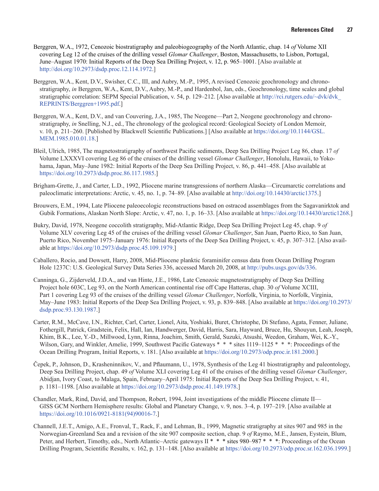- Berggren, W.A., 1972, Cenozoic biostratigraphy and paleobiogeography of the North Atlantic, chap. 14 *of* Volume XII covering Leg 12 of the cruises of the drilling vessel *Glomar Challenger*, Boston, Massachusetts, to Lisbon, Portugal, June–August 1970: Initial Reports of the Deep Sea Drilling Project, v. 12, p. 965–1001. [Also available at [http://doi.org/10.2973/dsdp.proc.12.114.1972.](http://doi.org/10.2973/dsdp.proc.12.114.1972)]
- Berggren, W.A., Kent, D.V., Swisher, C.C., III, and Aubry, M.-P., 1995, A revised Cenozoic geochronology and chronostratigraphy, *in* Berggren, W.A., Kent, D.V., Aubry, M.-P., and Hardenbol, Jan, eds., Geochronology, time scales and global stratigraphic correlation: SEPM Special Publication, v. 54, p. 129–212. [Also available at [http://rci.rutgers.edu/~dvk/dvk\\_](http://rci.rutgers.edu/~dvk/dvk_REPRINTS/Berggren+1995.pdf) [REPRINTS/Berggren+1995.pdf.](http://rci.rutgers.edu/~dvk/dvk_REPRINTS/Berggren+1995.pdf)]
- Berggren, W.A., Kent, D.V., and van Couvering, J.A., 1985, The Neogene—Part 2, Neogene geochronology and chronostratigraphy, *in* Snelling, N.J., ed., The chronology of the geological record: Geological Society of London Memoir, v. 10, p. 211–260. [Published by Blackwell Scientific Publications.] [Also available at [https://doi.org/10.1144/GSL.](https://doi.org/10.1144/GSL.MEM.1985.010.01.18) [MEM.1985.010.01.18.](https://doi.org/10.1144/GSL.MEM.1985.010.01.18)]
- Bleil, Ulrich, 1985, The magnetostratigraphy of northwest Pacific sediments, Deep Sea Drilling Project Leg 86, chap. 17 *of* Volume LXXXVI covering Leg 86 of the cruises of the drilling vessel *Glomar Challenger*, Honolulu, Hawaii, to Yokohama, Japan, May–June 1982: Initial Reports of the Deep Sea Drilling Project, v. 86, p. 441–458. [Also available at [https://doi.org/10.2973/dsdp.proc.86.117.1985.](https://doi.org/10.2973/dsdp.proc.86.117.1985)]
- Brigham-Grette, J., and Carter, L.D., 1992, Pliocene marine transgressions of northern Alaska—Circumarctic correlations and paleoclimatic interpretations: Arctic, v. 45, no. 1, p. 74–89. [Also available at [http://doi.org/10.14430/arctic1375.](http://doi.org/10.14430/arctic1375)]
- Brouwers, E.M., 1994, Late Pliocene paleoecologic reconstructions based on ostracod assemblages from the Sagavanirktok and Gubik Formations, Alaskan North Slope: Arctic, v. 47, no. 1, p. 16–33. [Also available at [https://doi.org/10.14430/arctic1268.](https://doi.org/10.14430/arctic1268)]
- Bukry, David, 1978, Neogene coccolith stratigraphy, Mid-Atlantic Ridge, Deep Sea Drilling Project Leg 45, chap. 9 *of* Volume XLV covering Leg 45 of the cruises of the drilling vessel *Glomar Challenger*, San Juan, Puerto Rico, to San Juan, Puerto Rico, November 1975–January 1976: Initial Reports of the Deep Sea Drilling Project, v. 45, p. 307–312. [Also available at [https://doi.org/10.2973/dsdp.proc.45.109.1979.](https://doi.org/10.2973/dsdp.proc.45.109.1979)]
- Caballero, Rocio, and Dowsett, Harry, 2008, Mid-Pliocene planktic foraminifer census data from Ocean Drilling Program Hole 1237C: U.S. Geological Survey Data Series 336, accessed March 20, 2008, at<http://pubs.usgs.gov/ds/336>.
- Canninga, G., Zijderveld, J.D.A., and van Hinte, J.E., 1986, Late Cenozoic magnetostratigraphy of Deep Sea Drilling Project hole 603C, Leg 93, on the North American continental rise off Cape Hatteras, chap. 30 *of* Volume XCIII, Part 1 covering Leg 93 of the cruises of the drilling vessel *Glomar Challenger*, Norfolk, Virginia, to Norfolk, Virginia, May–June 1983: Initial Reports of the Deep Sea Drilling Project, v. 93, p. 839–848. [Also available at [https://doi.org/10.2973/](https://doi.org/10.2973/dsdp.proc.93.130.1987) [dsdp.proc.93.130.1987.](https://doi.org/10.2973/dsdp.proc.93.130.1987)]
- Carter, R.M., McCave, I.N., Richter, Carl, Carter, Lionel, Aita, Yoshiaki, Buret, Christophe, Di Stefano, Agata, Fenner, Juliane, Fothergill, Patrick, Gradstein, Felix, Hall, Ian, Handwerger, David, Harris, Sara, Hayward, Bruce, Hu, Shouyun, Leah, Joseph, Khim, B.K., Lee, Y.-D., Millwood, Lynn, Rinna, Joachim, Smith, Gerald, Suzuki, Atsushi, Weedon, Graham, Wei, K.-Y., Wilson, Gary, and Winkler, Amelie, 1999, Southwest Pacific Gateways \* \* \* sites 1119–1125 \* \* \*: Proceedings of the Ocean Drilling Program, Initial Reports, v. 181. [Also available at <https://doi.org/10.2973/odp.proc.ir.181.2000>.]
- Čepek, P., Johnson, D., Krasheninnikov, V., and Pflaumann, U., 1978, Synthesis of the Leg 41 biostratigraphy and paleontology, Deep Sea Drilling Project, chap. 49 *of* Volume XLI covering Leg 41 of the cruises of the drilling vessel *Glomar Challenger*, Abidjan, Ivory Coast, to Malaga, Spain, February–April 1975: Initial Reports of the Deep Sea Drilling Project, v. 41, p. 1181–1198. [Also available at <https://doi.org/10.2973/dsdp.proc.41.149.1978>.]
- Chandler, Mark, Rind, David, and Thompson, Robert, 1994, Joint investigations of the middle Pliocene climate II— GISS GCM Northern Hemisphere results: Global and Planetary Change, v. 9, nos. 3–4, p. 197–219. [Also available at [https://doi.org/10.1016/0921-8181\(94\)90016-7.](https://doi.org/10.1016/0921-8181(94)90016-7)]
- Channell, J.E.T., Amigo, A.E., Fronval, T., Rack, F., and Lehman, B., 1999, Magnetic stratigraphy at sites 907 and 985 in the Norwegian-Greenland Sea and a revision of the site 907 composite section, chap. 9 *of* Raymo, M.E., Jansen, Eystein, Blum, Peter, and Herbert, Timothy, eds., North Atlantic–Arctic gateways II \* \* \* sites 980–987 \* \* \*: Proceedings of the Ocean Drilling Program, Scientific Results, v. 162, p. 131–148. [Also available at [https://doi.org/10.2973/odp.proc.sr.162.036.1999.](https://doi.org/10.2973/odp.proc.sr.162.036.1999)]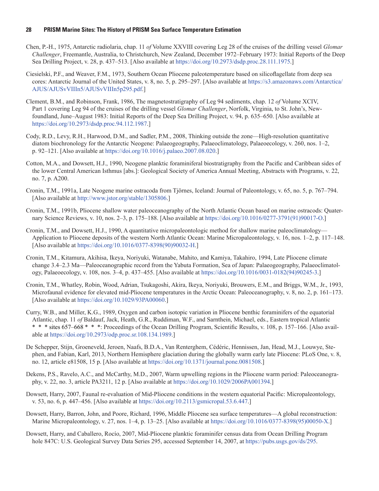- Chen, P.-H., 1975, Antarctic radiolaria, chap. 11 *of* Volume XXVIII covering Leg 28 of the cruises of the drilling vessel *Glomar Challenger*, Freemantle, Australia, to Christchurch, New Zealand, December 1972–February 1973: Initial Reports of the Deep Sea Drilling Project, v. 28, p. 437–513. [Also available at [https://doi.org/10.2973/dsdp.proc.28.111.1975.](https://doi.org/10.2973/dsdp.proc.28.111.1975)]
- Ciesielski, P.F., and Weaver, F.M., 1973, Southern Ocean Pliocene paleotemperature based on silicoflagellate from deep sea cores: Antarctic Journal of the United States, v. 8, no. 5, p. 295–297. [Also available at [https://s3.amazonaws.com/Antarctica/](https://s3.amazonaws.com/Antarctica/AJUS/AJUSvVIIIn5/AJUSvVIIIn5p295.pdf) [AJUS/AJUSvVIIIn5/AJUSvVIIIn5p295.pdf.](https://s3.amazonaws.com/Antarctica/AJUS/AJUSvVIIIn5/AJUSvVIIIn5p295.pdf)]
- Clement, B.M., and Robinson, Frank, 1986, The magnetostratigraphy of Leg 94 sediments, chap. 12 *of* Volume XCIV, Part 1 covering Leg 94 of the cruises of the drilling vessel *Glomar Challenger*, Norfolk, Virginia, to St. John's, Newfoundland, June–August 1983: Initial Reports of the Deep Sea Drilling Project, v. 94, p. 635–650. [Also available at [https://doi.org/10.2973/dsdp.proc.94.112.1987.](https://doi.org/10.2973/dsdp.proc.94.112.1987)]
- Cody, R.D., Levy, R.H., Harwood, D.M., and Sadler, P.M., 2008, Thinking outside the zone—High-resolution quantitative diatom biochronology for the Antarctic Neogene: Palaeogeography, Palaeoclimatology, Palaeoecology, v. 260, nos. 1–2, p. 92–121. [Also available at <https://doi.org/10.1016/j.palaeo.2007.08.020>.]
- Cotton, M.A., and Dowsett, H.J., 1990, Neogene planktic foraminiferal biostratigraphy from the Pacific and Caribbean sides of the lower Central American Isthmus [abs.]: Geological Society of America Annual Meeting, Abstracts with Programs, v. 22, no. 7, p. A200.
- Cronin, T.M., 1991a, Late Neogene marine ostracoda from Tjörnes, Iceland: Journal of Paleontology, v. 65, no. 5, p. 767–794. [Also available at [http://www.jstor.org/stable/1305806.](http://www.jstor.org/stable/1305806)]
- Cronin, T.M., 1991b, Pliocene shallow water paleoceanography of the North Atlantic Ocean based on marine ostracods: Quaternary Science Reviews, v. 10, nos. 2–3, p. 175–188. [Also available at [https://doi.org/10.1016/0277-3791\(91\)90017-O](https://doi.org/10.1016/0277-3791(91)90017-O).]
- Cronin, T.M., and Dowsett, H.J., 1990, A quantitative micropaleontologic method for shallow marine paleoclimatology— Application to Pliocene deposits of the western North Atlantic Ocean: Marine Micropaleontology, v. 16, nos. 1–2, p. 117–148. [Also available at [https://doi.org/10.1016/0377-8398\(90\)90032-H.](https://doi.org/10.1016/0377-8398(90)90032-H)]
- Cronin, T.M., Kitamura, Akihisa, Ikeya, Noriyuki, Watanabe, Mahito, and Kamiya, Takahiro, 1994, Late Pliocene climate change 3.4–2.3 Ma—Paleoceanographic record from the Yabuta Formation, Sea of Japan: Palaeogeography, Palaeoclimatology, Palaeoecology, v. 108, nos. 3–4, p. 437–455. [Also available at [https://doi.org/10.1016/0031-0182\(94\)90245-3.](https://doi.org/10.1016/0031-0182(94)90245-3)]
- Cronin, T.M., Whatley, Robin, Wood, Adrian, Tsukagoshi, Akira, Ikeya, Noriyuki, Brouwers, E.M., and Briggs, W.M., Jr., 1993, Microfaunal evidence for elevated mid-Pliocene temperatures in the Arctic Ocean: Paleoceanography, v. 8, no. 2, p. 161–173. [Also available at [https://doi.org/10.1029/93PA00060.](https://doi.org/10.1029/93PA00060)]
- Curry, W.B., and Miller, K.G., 1989, Oxygen and carbon isotopic variation in Pliocene benthic foraminifers of the equatorial Atlantic, chap. 11 *of* Baldauf, Jack, Heath, G.R., Ruddiman, W.F., and Sarnthein, Michael, eds., Eastern tropical Atlantic \* \* \* sites 657–668 \* \* \*: Proceedings of the Ocean Drilling Program, Scientific Results, v. 108, p. 157–166. [Also available at <https://doi.org/10.2973/odp.proc.sr.108.134.1989>.]
- De Schepper, Stijn, Groeneveld, Jeroen, Naafs, B.D.A., Van Renterghem, Cédéric, Hennissen, Jan, Head, M.J., Louwye, Stephen, and Fabian, Karl, 2013, Northern Hemisphere glaciation during the globally warm early late Pliocene: PLoS One, v. 8, no. 12, article e81508, 15 p. [Also available at<https://doi.org/10.1371/journal.pone.0081508>.]
- Dekens, P.S., Ravelo, A.C., and McCarthy, M.D., 2007, Warm upwelling regions in the Pliocene warm period: Paleoceanography, v. 22, no. 3, article PA3211, 12 p. [Also available at<https://doi.org/10.1029/2006PA001394>.]
- Dowsett, Harry, 2007, Faunal re-evaluation of Mid-Pliocene conditions in the western equatorial Pacific: Micropaleontology, v. 53, no. 6, p. 447–456. [Also available at <https://doi.org/10.2113/gsmicropal.53.6.447>.]
- Dowsett, Harry, Barron, John, and Poore, Richard, 1996, Middle Pliocene sea surface temperatures—A global reconstruction: Marine Micropaleontology, v. 27, nos. 1–4, p. 13–25. [Also available at [https://doi.org/10.1016/0377-8398\(95\)00050-X](https://doi.org/10.1016/0377-8398(95)00050-X).]
- Dowsett, Harry, and Caballero, Rocío, 2007, Mid-Pliocene planktic foraminifer census data from Ocean Drilling Program hole 847C: U.S. Geological Survey Data Series 295, accessed September 14, 2007, at [https://pubs.usgs.gov/ds/295.](https://pubs.usgs.gov/ds/295)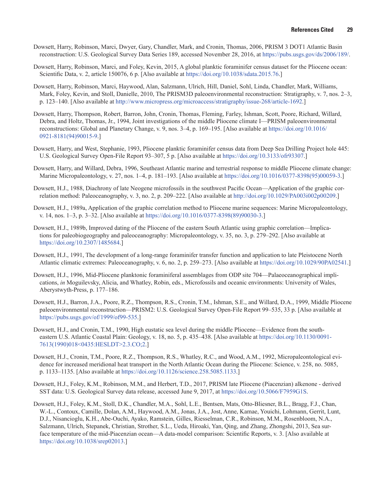- Dowsett, Harry, Robinson, Marci, Dwyer, Gary, Chandler, Mark, and Cronin, Thomas, 2006, PRISM 3 DOT1 Atlantic Basin reconstruction: U.S. Geological Survey Data Series 189, accessed November 28, 2016, at [https://pubs.usgs.gov/ds/2006/189/.](https://pubs.usgs.gov/ds/2006/189/)
- Dowsett, Harry, Robinson, Marci, and Foley, Kevin, 2015, A global planktic foraminifer census dataset for the Pliocene ocean: Scientific Data, v. 2, article 150076, 6 p. [Also available at <https://doi.org/10.1038/sdata.2015.76>.]
- Dowsett, Harry, Robinson, Marci, Haywood, Alan, Salzmann, Ulrich, Hill, Daniel, Sohl, Linda, Chandler, Mark, Williams, Mark, Foley, Kevin, and Stoll, Danielle, 2010, The PRISM3D paleoenvironmental reconstruction: Stratigraphy, v. 7, nos. 2–3, p. 123–140. [Also available at [http://www.micropress.org/microaccess/stratigraphy/issue-268/article-1692.](http://www.micropress.org/microaccess/stratigraphy/issue-268/article-1692)]
- Dowsett, Harry, Thompson, Robert, Barron, John, Cronin, Thomas, Fleming, Farley, Ishman, Scott, Poore, Richard, Willard, Debra, and Holtz, Thomas, Jr., 1994, Joint investigations of the middle Pliocene climate I—PRISM paleoenvironmental reconstructions: Global and Planetary Change, v. 9, nos. 3–4, p. 169–195. [Also available at [https://doi.org/10.1016/](https://doi.org/10.1016/0921-8181(94)90015-9) [0921-8181\(94\)90015-9](https://doi.org/10.1016/0921-8181(94)90015-9).]
- Dowsett, Harry, and West, Stephanie, 1993, Pliocene planktic foraminifer census data from Deep Sea Drilling Project hole 445: U.S. Geological Survey Open-File Report 93–307, 5 p. [Also available at [https://doi.org/10.3133/ofr93307.](https://doi.org/10.3133/ofr93307)]
- Dowsett, Harry, and Willard, Debra, 1996, Southeast Atlantic marine and terrestrial response to middle Pliocene climate change: Marine Micropaleontology, v. 27, nos. 1–4, p. 181–193. [Also available at [https://doi.org/10.1016/0377-8398\(95\)00059-3](https://doi.org/10.1016/0377-8398(95)00059-3).]
- Dowsett, H.J., 1988, Diachrony of late Neogene microfossils in the southwest Pacific Ocean—Application of the graphic correlation method: Paleoceanography, v. 3, no. 2, p. 209–222. [Also available at <http://doi.org/10.1029/PA003i002p00209>.]
- Dowsett, H.J., 1989a, Application of the graphic correlation method to Pliocene marine sequences: Marine Micropaleontology, v. 14, nos. 1–3, p. 3–32. [Also available at [https://doi.org/10.1016/0377-8398\(89\)90030-3.](https://doi.org/10.1016/0377-8398(89)90030-3)]
- Dowsett, H.J., 1989b, Improved dating of the Pliocene of the eastern South Atlantic using graphic correlation—Implications for paleobiogeography and paleoceanography: Micropaleontology, v. 35, no. 3, p. 279–292. [Also available at <https://doi.org/10.2307/1485684>.]
- Dowsett, H.J., 1991, The development of a long-range foraminifer transfer function and application to late Pleistocene North Atlantic climatic extremes: Paleoceanography, v. 6, no. 2, p. 259–273. [Also available at [https://doi.org/10.1029/90PA02541.](https://doi.org/10.1029/90PA02541)]
- Dowsett, H.J., 1996, Mid-Pliocene planktonic foraminiferal assemblages from ODP site 704—Palaeoceanographical implications, *in* Moguilevsky, Alicia, and Whatley, Robin, eds., Microfossils and oceanic environments: University of Wales, Aberystwyth-Press, p. 177–186.
- Dowsett, H.J., Barron, J.A., Poore, R.Z., Thompson, R.S., Cronin, T.M., Ishman, S.E., and Willard, D.A., 1999, Middle Pliocene paleoenvironmental reconstruction—PRISM2: U.S. Geological Survey Open-File Report 99–535, 33 p. [Also available at [https://pubs.usgs.gov/of/1999/of99-535.](https://pubs.usgs.gov/of/1999/of99-535)]
- Dowsett, H.J., and Cronin, T.M., 1990, High eustatic sea level during the middle Pliocene—Evidence from the southeastern U.S. Atlantic Coastal Plain: Geology, v. 18, no. 5, p. 435–438. [Also available at [https://doi.org/10.1130/0091-](https://doi.org/10.1130/0091-7613(1990)018%3c0435:HESLDT%3e2.3.CO;2) [7613\(1990\)018<0435:HESLDT>2.3.CO;2](https://doi.org/10.1130/0091-7613(1990)018%3c0435:HESLDT%3e2.3.CO;2).]
- Dowsett, H.J., Cronin, T.M., Poore, R.Z., Thompson, R.S., Whatley, R.C., and Wood, A.M., 1992, Micropaleontological evidence for increased meridional heat transport in the North Atlantic Ocean during the Pliocene: Science, v. 258, no. 5085, p. 1133–1135. [Also available at [https://doi.org/10.1126/science.258.5085.1133.](https://doi.org/10.1126/science.258.5085.1133)]
- Dowsett, H.J., Foley, K.M., Robinson, M.M., and Herbert, T.D., 2017, PRISM late Pliocene (Piacenzian) alkenone derived SST data: U.S. Geological Survey data release, accessed June 9, 2017, at [https://doi.org/10.5066/F7959G1S.](https://doi.org/10.5066/F7959G1S)
- Dowsett, H.J., Foley, K.M., Stoll, D.K., Chandler, M.A., Sohl, L.E., Bentsen, Mats, Otto-Bliesner, B.L., Bragg, F.J., Chan, W.-L., Contoux, Camille, Dolan, A.M., Haywood, A.M., Jonas, J.A., Jost, Anne, Kamae, Youichi, Lohmann, Gerrit, Lunt, D.J., Nisancioglu, K.H., Abe-Ouchi, Ayako, Ramstein, Gilles, Riesselman, C.R., Robinson, M.M., Rosenbloom, N.A., Salzmann, Ulrich, Stepanek, Christian, Strother, S.L., Ueda, Hiroaki, Yan, Qing, and Zhang, Zhongshi, 2013, Sea surface temperature of the mid-Piacenzian ocean—A data-model comparison: Scientific Reports, v. 3. [Also available at [https://doi.org/10.1038/srep02013.](https://doi.org/10.1038/srep02013)]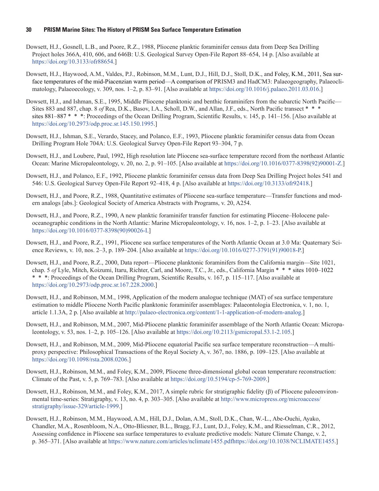- Dowsett, H.J., Gosnell, L.B., and Poore, R.Z., 1988, Pliocene planktic foraminifer census data from Deep Sea Drilling Project holes 366A, 410, 606, and 646B: U.S. Geological Survey Open-File Report 88–654, 14 p. [Also available at [https://doi.org/10.3133/ofr88654.](https://doi.org/10.3133/ofr88654)]
- Dowsett, H.J., Haywood, A.M., Valdes, P.J., Robinson, M.M., Lunt, D.J., Hill, D.J., Stoll, D.K., and Foley, K.M., 2011, Sea surface temperatures of the mid-Piacenzian warm period—A comparison of PRISM3 and HadCM3: Palaeogeography, Palaeoclimatology, Palaeoecology, v. 309, nos. 1–2, p. 83–91. [Also available at [https://doi.org/10.1016/j.palaeo.2011.03.016.](https://doi.org/10.1016/j.palaeo.2011.03.016)]
- Dowsett, H.J., and Ishman, S.E., 1995, Middle Pliocene planktonic and benthic foraminifers from the subarctic North Pacific— Sites 883 and 887, chap. 8 *of* Rea, D.K., Basov, I.A., Scholl, D.W., and Allan, J.F., eds., North Pacific transect \* \* \* sites 881–887 \* \* \*: Proceedings of the Ocean Drilling Program, Scientific Results, v. 145, p. 141–156. [Also available at <https://doi.org/10.2973/odp.proc.sr.145.150.1995>.]
- Dowsett, H.J., Ishman, S.E., Verardo, Stacey, and Polanco, E.F., 1993, Pliocene planktic foraminifer census data from Ocean Drilling Program Hole 704A: U.S. Geological Survey Open-File Report 93–304, 7 p.
- Dowsett, H.J., and Loubere, Paul, 1992, High resolution late Pliocene sea-surface temperature record from the northeast Atlantic Ocean: Marine Micropaleontology, v. 20, no. 2, p. 91–105. [Also available at [https://doi.org/10.1016/0377-8398\(92\)90001-Z](https://doi.org/10.1016/0377-8398(92)90001-Z).]
- Dowsett, H.J., and Polanco, E.F., 1992, Pliocene planktic foraminifer census data from Deep Sea Drilling Project holes 541 and 546: U.S. Geological Survey Open-File Report 92–418, 4 p. [Also available at [https://doi.org/10.3133/ofr92418.](https://doi.org/10.3133/ofr92418)]
- Dowsett, H.J., and Poore, R.Z., 1988, Quantitative estimates of Pliocene sea-surface temperature—Transfer functions and modern analogs [abs.]: Geological Society of America Abstracts with Programs, v. 20, A254.
- Dowsett, H.J., and Poore, R.Z., 1990, A new planktic foraminifer transfer function for estimating Pliocene–Holocene paleoceanographic conditions in the North Atlantic: Marine Micropaleontology, v. 16, nos. 1–2, p. 1–23. [Also available at [https://doi.org/10.1016/0377-8398\(90\)90026-I.](https://doi.org/10.1016/0377-8398(90)90026-I)]
- Dowsett, H.J., and Poore, R.Z., 1991, Pliocene sea surface temperatures of the North Atlantic Ocean at 3.0 Ma: Quaternary Science Reviews, v. 10, nos. 2–3, p. 189–204. [Also available at [https://doi.org/10.1016/0277-3791\(91\)90018-P.](https://doi.org/10.1016/0277-3791(91)90018-P)]
- Dowsett, H.J., and Poore, R.Z., 2000, Data report—Pliocene planktonic foraminifers from the California margin—Site 1021, chap. 5 *of* Lyle, Mitch, Koizumi, Itaru, Richter, Carl, and Moore, T.C., Jr., eds., California Margin \* \* \* sites 1010–1022 \* \* \*: Proceedings of the Ocean Drilling Program, Scientific Results, v. 167, p. 115–117. [Also available at <https://doi.org/10.2973/odp.proc.sr.167.228.2000>.]
- Dowsett, H.J., and Robinson, M.M., 1998, Application of the modern analogue technique (MAT) of sea surface temperature estimation to middle Pliocene North Pacific planktonic foraminifer assemblages: Palaeontologia Electronica, v. 1, no. 1, article 1.1.3A, 2 p. [Also available at [http://palaeo-electronica.org/content/1-1-application-of-modern-analog.](http://palaeo-electronica.org/content/1-1-application-of-modern-analog)]
- Dowsett, H.J., and Robinson, M.M., 2007, Mid-Pliocene planktic foraminifer assemblage of the North Atlantic Ocean: Micropaleontology, v. 53, nos. 1–2, p. 105–126. [Also available at [https://doi.org/10.2113/gsmicropal.53.1-2.105.](https://doi.org/10.2113/gsmicropal.53.1-2.105)]
- Dowsett, H.J., and Robinson, M.M., 2009, Mid-Pliocene equatorial Pacific sea surface temperature reconstruction—A multiproxy perspective: Philosophical Transactions of the Royal Society A, v. 367, no. 1886, p. 109–125. [Also available at [https://doi.org/10.1098/rsta.2008.0206.](https://doi.org/10.1098/rsta.2008.0206)]
- Dowsett, H.J., Robinson, M.M., and Foley, K.M., 2009, Pliocene three-dimensional global ocean temperature reconstruction: Climate of the Past, v. 5, p. 769–783. [Also available at <https://doi.org/10.5194/cp-5-769-2009>.]
- Dowsett, H.J., Robinson, M.M., and Foley, K.M., 2017, A simple rubric for stratigraphic fidelity (β) of Pliocene paleoenviron[mental time-series: Stratigraphy, v. 13, no. 4, p. 303–305. \[Also available at](http://www.micropress.org/microaccess/stratigraphy/issue-329/article-1999) http://www.micropress.org/microaccess/ stratigraphy/issue-329/article-1999.]
- Dowsett, H.J., Robinson, M.M., Haywood, A.M., Hill, D.J., Dolan, A.M., Stoll, D.K., Chan, W.-L., Abe-Ouchi, Ayako, Chandler, M.A., Rosenbloom, N.A., Otto-Bliesner, B.L., Bragg, F.J., Lunt, D.J., Foley, K.M., and Riesselman, C.R., 2012, Assessing confidence in Pliocene sea surface temperatures to evaluate predictive models: Nature Climate Change, v. 2, p. 365–371. [Also available at <https://www.nature.com/articles/nclimate1455.pdf>[https://doi.org/10.1038/NCLIMATE1455.](https://doi.org/10.1038/NCLIMATE1455)]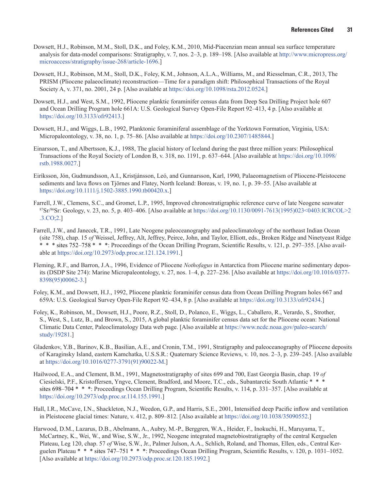- Dowsett, H.J., Robinson, M.M., Stoll, D.K., and Foley, K.M., 2010, Mid-Piacenzian mean annual sea surface temperature analysis for data-model comparisons: Stratigraphy, v. 7, nos. 2–3, p. 189–198. [Also available at [http://www.micropress.org/](http://www.micropress.org/microaccess/stratigraphy/issue-268/article-1696) [microaccess/stratigraphy/issue-268/article-1696.](http://www.micropress.org/microaccess/stratigraphy/issue-268/article-1696)]
- Dowsett, H.J., Robinson, M.M., Stoll, D.K., Foley, K.M., Johnson, A.L.A., Williams, M., and Riesselman, C.R., 2013, The PRISM (Pliocene palaeoclimate) reconstruction—Time for a paradigm shift: Philosophical Transactions of the Royal Society A, v. 371, no. 2001, 24 p. [Also available at [https://doi.org/10.1098/rsta.2012.0524.](https://doi.org/10.1098/rsta.2012.0524)]
- Dowsett, H.J., and West, S.M., 1992, Pliocene planktic foraminifer census data from Deep Sea Drilling Project hole 607 and Ocean Drilling Program hole 661A: U.S. Geological Survey Open-File Report 92–413, 4 p. [Also available at [https://doi.org/10.3133/ofr92413.](https://doi.org/10.3133/ofr92413)]
- Dowsett, H.J., and Wiggs, L.B., 1992, Planktonic foraminiferal assemblage of the Yorktown Formation, Virginia, USA: Micropaleontology, v. 38, no. 1, p. 75–86. [Also available at [https://doi.org/10.2307/1485844.](https://doi.org/10.2307/1485844)]
- Einarsson, T., and Albertsson, K.J., 1988, The glacial history of Iceland during the past three million years: Philosophical Transactions of the Royal Society of London B, v. 318, no. 1191, p. 637–644. [Also available at [https://doi.org/10.1098/](https://doi.org/10.1098/rstb.1988.0027) [rstb.1988.0027](https://doi.org/10.1098/rstb.1988.0027).]
- Eiríksson, Jón, Gudmundsson, A.I., Kristjánsson, Leó, and Gunnarsson, Karl, 1990, Palaeomagnetism of Pliocene-Pleistocene sediments and lava flows on Tjörnes and Flatey, North Iceland: Boreas, v. 19, no. 1, p. 39–55. [Also available at <https://doi.org/10.1111/j.1502-3885.1990.tb00420.x>.]
- Farrell, J.W., Clemens, S.C., and Gromet, L.P., 1995, Improved chronostratigraphic reference curve of late Neogene seawater  $87$ Sr/ $86$ Sr: Geology, v. 23, no. 5, p. 403–406. [Also available at [https://doi.org/10.1130/0091-7613\(1995\)023<0403:ICRCOL>2](https://doi.org/10.1130/0091-7613(1995)023%3C0403:ICRCOL%3E2.3.CO;2) [.3.CO;2](https://doi.org/10.1130/0091-7613(1995)023%3C0403:ICRCOL%3E2.3.CO;2).]
- Farrell, J.W., and Janecek, T.R., 1991, Late Neogene paleoceanography and paleoclimatology of the northeast Indian Ocean (site 758), chap. 15 *of* Weissel, Jeffrey, Alt, Jeffrey, Peirce, John, and Taylor, Elliott, eds., Broken Ridge and Ninetyeast Ridge \* \* \* sites 752–758 \* \* \*: Proceedings of the Ocean Drilling Program, Scientific Results, v. 121, p. 297–355. [Also available at <https://doi.org/10.2973/odp.proc.sr.121.124.1991>.]
- Fleming, R.F., and Barron, J.A., 1996, Evidence of Pliocene *Nothofagus* in Antarctica from Pliocene marine sedimentary deposits (DSDP Site 274): Marine Micropaleontology, v. 27, nos. 1–4, p. 227–236. [Also available at [https://doi.org/10.1016/0377-](https://doi.org/10.1016/0377-8398(95)00062-3) [8398\(95\)00062-3.](https://doi.org/10.1016/0377-8398(95)00062-3)]
- Foley, K.M., and Dowsett, H.J., 1992, Pliocene planktic foraminifer census data from Ocean Drilling Program holes 667 and 659A: U.S. Geological Survey Open-File Report 92–434, 8 p. [Also available at <https://doi.org/10.3133/ofr92434>.]
- Foley, K., Robinson, M., Dowsett, H.J., Poore, R.Z., Stoll, D., Polanco, E., Wiggs, L., Caballero, R., Verardo, S., Strother, S., West, S., Lutz, B., and Brown, S., 2015, A global planktic foraminifer census data set for the Pliocene ocean: National Climatic Data Center, Paleoclimatology Data web page. [Also available at [https://www.ncdc.noaa.gov/paleo-search/](https://www.ncdc.noaa.gov/paleo-search/study/19281) [study/19281](https://www.ncdc.noaa.gov/paleo-search/study/19281).]
- Gladenkov, Y.B., Barinov, K.B., Basilian, A.E., and Cronin, T.M., 1991, Stratigraphy and paleoceanography of Pliocene deposits of Karaginsky Island, eastern Kamchatka, U.S.S.R.: Quaternary Science Reviews, v. 10, nos. 2–3, p. 239–245. [Also available at [https://doi.org/10.1016/0277-3791\(91\)90022-M](https://doi.org/10.1016/0277-3791(91)90022-M).]
- Hailwood, E.A., and Clement, B.M., 1991, Magnetostratigraphy of sites 699 and 700, East Georgia Basin, chap. 19 *of* Ciesielski, P.F., Kristoffersen, Yngve, Clement, Bradford, and Moore, T.C., eds., Subantarctic South Atlantic \* \* \* sites 698–704 \* \* \*: Proceedings Ocean Drilling Program, Scientific Results, v. 114, p. 331–357. [Also available at [https://doi.org/10.2973/odp.proc.sr.114.155.1991.](https://doi.org/10.2973/odp.proc.sr.114.155.1991)]
- Hall, I.R., McCave, I.N., Shackleton, N.J., Weedon, G.P., and Harris, S.E., 2001, Intensified deep Pacific inflow and ventilation in Pleistocene glacial times: Nature, v. 412, p. 809–812. [Also available at <https://doi.org/10.1038/35090552>.]
- Harwood, D.M., Lazarus, D.B., Abelmann, A., Aubry, M.-P., Berggren, W.A., Heider, F., Inokuchi, H., Maruyama, T., McCartney, K., Wei, W., and Wise, S.W., Jr., 1992, Neogene integrated magnetobiostratigraphy of the central Kerguelen Plateau, Leg 120, chap. 57 *of* Wise, S.W., Jr., Palmer Julson, A.A., Schlich, Roland, and Thomas, Ellen, eds., Central Kerguelen Plateau \* \* \* sites 747–751 \* \* \*: Proceedings Ocean Drilling Program, Scientific Results, v. 120, p. 1031–1052. [Also available at<https://doi.org/10.2973/odp.proc.sr.120.185.1992>.]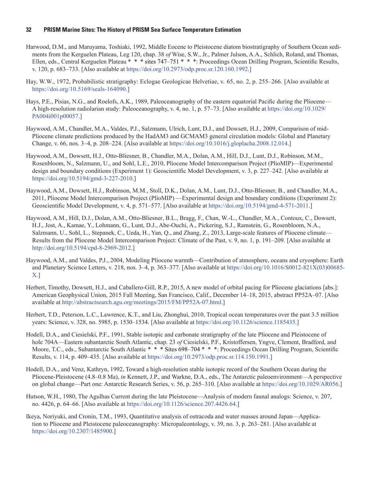- Harwood, D.M., and Maruyama, Toshiaki, 1992, Middle Eocene to Pleistocene diatom biostratigraphy of Southern Ocean sediments from the Kerguelen Plateau, Leg 120, chap. 38 *of* Wise, S.W., Jr., Palmer Julson, A.A., Schlich, Roland, and Thomas, Ellen, eds., Central Kerguelen Plateau \* \* \* sites 747–751 \* \* \*: Proceedings Ocean Drilling Program, Scientific Results, v. 120, p. 683–733. [Also available at [https://doi.org/10.2973/odp.proc.sr.120.160.1992.](https://doi.org/10.2973/odp.proc.sr.120.160.1992)]
- Hay, W.W., 1972, Probabilistic stratigraphy: Eclogae Geologicae Helvetiae, v. 65, no. 2, p. 255–266. [Also available at <https://doi.org/10.5169/seals-164090>.]
- Hays, P.E., Pisias, N.G., and Roelofs, A.K., 1989, Paleoceanography of the eastern equatorial Pacific during the Pliocene— A high-resolution radiolarian study: Paleoceanography, v. 4, no. 1, p. 57–73. [Also available at [https://doi.org/10.1029/](https://doi.org/10.1029/PA004i001p00057) [PA004i001p00057.](https://doi.org/10.1029/PA004i001p00057)]
- Haywood, A.M., Chandler, M.A., Valdes, P.J., Salzmann, Ulrich, Lunt, D.J., and Dowsett, H.J., 2009, Comparison of mid-Pliocene climate predictions produced by the HadAM3 and GCMAM3 general circulation models: Global and Planetary Change, v. 66, nos. 3–4, p. 208–224. [Also available at [https://doi.org/10.1016/j.gloplacha.2008.12.014.](https://doi.org/10.1016/j.gloplacha.2008.12.014)]
- Haywood, A.M., Dowsett, H.J., Otto-Bliesner, B., Chandler, M.A., Dolan, A.M., Hill, D.J., Lunt, D.J., Robinson, M.M., Rosenbloom, N., Salzmann, U., and Sohl, L.E., 2010, Pliocene Model Intercomparison Project (PlioMIP)—Experimental design and boundary conditions (Experiment 1): Geoscientific Model Development, v. 3, p. 227–242. [Also available at <https://doi.org/10.5194/gmd-3-227-2010>.]
- Haywood, A.M., Dowsett, H.J., Robinson, M.M., Stoll, D.K., Dolan, A.M., Lunt, D.J., Otto-Bliesner, B., and Chandler, M.A., 2011, Pliocene Model Intercomparison Project (PlioMIP) —Experimental design and boundary conditions (Experiment 2): Geoscientific Model Development, v. 4, p. 571–577. [Also available at [https://doi.org/10.5194/gmd-4-571-2011.](https://doi.org/10.5194/gmd-4-571-2011)]
- Haywood, A.M., Hill, D.J., Dolan, A.M., Otto-Bliesner, B.L., Bragg, F., Chan, W.-L., Chandler, M.A., Contoux, C., Dowsett, H.J., Jost, A., Kamae, Y., Lohmann, G., Lunt, D.J., Abe-Ouchi, A., Pickering, S.J., Ramstein, G., Rosenbloom, N.A., Salzmann, U., Sohl, L., Stepanek, C., Ueda, H., Yan, Q., and Zhang, Z., 2013, Large-scale features of Pliocene climate— Results from the Pliocene Model Intercomparison Project: Climate of the Past, v. 9, no. 1, p. 191–209. [Also available at [http://doi.org/10.5194/cpd-8-2969-2012.](http://doi.org/10.5194/cpd-8-2969-2012)]
- Haywood, A.M., and Valdes, P.J., 2004, Modeling Pliocene warmth—Contribution of atmosphere, oceans and cryosphere: Earth and Planetary Science Letters, v. 218, nos. 3–4, p. 363–377. [Also available at [https://doi.org/10.1016/S0012-821X\(03\)00685-](https://doi.org/10.1016/S0012-821X(03)00685-X) [X](https://doi.org/10.1016/S0012-821X(03)00685-X).]
- Herbert, Timothy, Dowsett, H.J., and Caballero-Gill, R.P., 2015, A new model of orbital pacing for Pliocene glaciations [abs.]: American Geophysical Union, 2015 Fall Meeting, San Francisco, Calif., December 14–18, 2015, abstract PP52A–07. [Also available at [http://abstractsearch.agu.org/meetings/2015/FM/PP52A-07.html.](http://abstractsearch.agu.org/meetings/2015/FM/PP52A-07.html)]
- Herbert, T.D., Peterson, L.C., Lawrence, K.T., and Liu, Zhonghui, 2010, Tropical ocean temperatures over the past 3.5 million years: Science, v. 328, no. 5985, p. 1530–1534. [Also available at <https://doi.org/10.1126/science.1185435>.]
- Hodell, D.A., and Ciesielski, P.F., 1991, Stable isotopic and carbonate stratigraphy of the late Pliocene and Pleistocene of hole 704A—Eastern subantarctic South Atlantic, chap. 23 *of* Ciesielski, P.F., Kristoffersen, Yngve, Clement, Bradford, and Moore, T.C., eds., Subantarctic South Atlantic \* \* \* Sites 698–704 \* \* \*: Proceedings Ocean Drilling Program, Scientific Results, v. 114, p. 409–435. [Also available at <https://doi.org/10.2973/odp.proc.sr.114.150.1991>.]
- Hodell, D.A., and Venz, Kathryn, 1992, Toward a high-resolution stable isotopic record of the Southern Ocean during the Pliocene-Pleistocene (4.8–0.8 Ma), *in* Kennett, J.P., and Warkne, D.A., eds., The Antarctic paleoenvironment—A perspective on global change—Part one: Antarctic Research Series, v. 56, p. 265–310. [Also available at [https://doi.org/10.1029/AR056.](https://doi.org/10.1029/AR056p0265)]
- Hutson, W.H., 1980, The Agulhas Current during the late Pleistocene—Analysis of modern faunal analogs: Science, v. 207, no. 4426, p. 64–66. [Also available at [https://doi.org/10.1126/science.207.4426.64.](https://doi.org/10.1126/science.207.4426.64)]
- Ikeya, Noriyuki, and Cronin, T.M., 1993, Quantitative analysis of ostracoda and water masses around Japan—Application to Pliocene and Pleistocene paleoceanography: Micropaleontology, v. 39, no. 3, p. 263–281. [Also available at <https://doi.org/10.2307/1485900>.]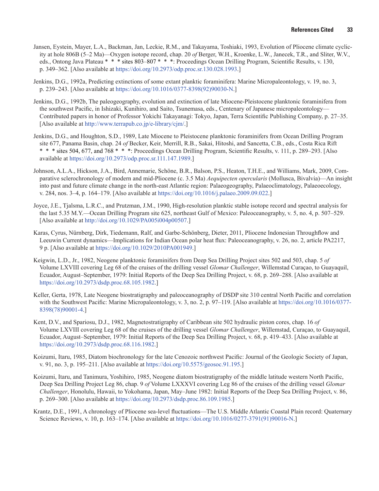- Jansen, Eystein, Mayer, L.A., Backman, Jan, Leckie, R.M., and Takayama, Toshiaki, 1993, Evolution of Pliocene climate cyclicity at hole 806B (5–2 Ma)—Oxygen isotope record, chap. 20 *of* Berger, W.H., Kroenke, L.W., Janecek, T.R., and Sliter, W.V., eds., Ontong Java Plateau \* \* \* sites 803–807 \* \* \*: Proceedings Ocean Drilling Program, Scientific Results, v. 130, p. 349–362. [Also available at <https://doi.org/10.2973/odp.proc.sr.130.028.1993>.]
- Jenkins, D.G., 1992a, Predicting extinctions of some extant planktic foraminifera: Marine Micropaleontology, v. 19, no. 3, p. 239–243. [Also available at [https://doi.org/10.1016/0377-8398\(92\)90030-N.](https://doi.org/10.1016/0377-8398(92)90030-N)]
- Jenkins, D.G., 1992b, The paleogeography, evolution and extinction of late Miocene-Pleistocene planktonic foraminifera from the southwest Pacific, in Ishizaki, Kunihiro, and Saito, Tsunemasa, eds., Centenary of Japanese micropaleontology— Contributed papers in honor of Professor Yokichi Takayanagi: Tokyo, Japan, Terra Scientific Publishing Company, p. 27–35. [Also available at [http://www.terrapub.co.jp/e-library/cjm/.](http://www.terrapub.co.jp/e-library/cjm/)]
- Jenkins, D.G., and Houghton, S.D., 1989, Late Miocene to Pleistocene planktonic foraminifers from Ocean Drilling Program site 677, Panama Basin, chap. 24 *of* Becker, Keir, Merrill, R.B., Sakai, Hitoshi, and Sancetta, C.B., eds., Costa Rica Rift \* \* \* sites 504, 677, and 768 \* \* \*: Proceedings Ocean Drilling Program, Scientific Results, v. 111, p. 289–293. [Also available at [https://doi.org/10.2973/odp.proc.sr.111.147.1989.](https://doi.org/10.2973/odp.proc.sr.111.147.1989)]
- Johnson, A.L.A., Hickson, J.A., Bird, Annemarie, Schöne, B.R., Balson, P.S., Heaton, T.H.E., and Williams, Mark, 2009, Comparative sclerochronology of modern and mid-Pliocene (c. 3.5 Ma) *Aequipecten opercularis* (Mollusca, Bivalvia)—An insight into past and future climate change in the north-east Atlantic region: Palaeogeography, Palaeoclimatology, Palaeoecology, v. 284, nos. 3–4, p. 164–179. [Also available at <https://doi.org/10.1016/j.palaeo.2009.09.022>.]
- Joyce, J.E., Tjalsma, L.R.C., and Prutzman, J.M., 1990, High-resolution planktic stable isotope record and spectral analysis for the last 5.35 M.Y.—Ocean Drilling Program site 625, northeast Gulf of Mexico: Paleoceanography, v. 5, no. 4, p. 507–529. [Also available at<http://doi.org/10.1029/PA005i004p00507>.]
- Karas, Cyrus, Nürnberg, Dirk, Tiedemann, Ralf, and Garbe-Schönberg, Dieter, 2011, Pliocene Indonesian Throughflow and Leeuwin Current dynamics—Implications for Indian Ocean polar heat flux: Paleoceanography, v. 26, no. 2, article PA2217, 9 p. [Also available at [https://doi.org/10.1029/2010PA001949.](https://doi.org/10.1029/2010PA001949)]
- Keigwin, L.D., Jr., 1982, Neogene planktonic foraminifers from Deep Sea Drilling Project sites 502 and 503, chap. 5 *of* Volume LXVIII covering Leg 68 of the cruises of the drilling vessel *Glomar Challenger*, Willemstad Curaçao, to Guayaquil, Ecuador, August–September, 1979: Initial Reports of the Deep Sea Drilling Project, v. 68, p. 269–288. [Also available at [https://doi.org/10.2973/dsdp.proc.68.105.1982.](https://doi.org/10.2973/dsdp.proc.68.105.1982)]
- Keller, Gerta, 1978, Late Neogene biostratigraphy and paleoceanography of DSDP site 310 central North Pacific and correlation with the Southwest Pacific: Marine Micropaleontology, v. 3, no. 2, p. 97–119. [Also available at [https://doi.org/10.1016/0377-](https://doi.org/10.1016/0377-8398(78)90001-4) [8398\(78\)90001-4.](https://doi.org/10.1016/0377-8398(78)90001-4)]
- Kent, D.V., and Spariosu, D.J., 1982, Magnetostratigraphy of Caribbean site 502 hydraulic piston cores, chap. 16 *of* Volume LXVIII covering Leg 68 of the cruises of the drilling vessel *Glomar Challenger*, Willemstad, Curaçao, to Guayaquil, Ecuador, August–September, 1979: Initial Reports of the Deep Sea Drilling Project, v. 68, p. 419–433. [Also available at [https://doi.org/10.2973/dsdp.proc.68.116.1982.](https://doi.org/10.2973/dsdp.proc.68.116.1982)]
- Koizumi, Itaru, 1985, Diatom biochronology for the late Cenozoic northwest Pacific: Journal of the Geologic Society of Japan, v. 91, no. 3, p. 195–211. [Also available at <https://doi.org/10.5575/geosoc.91.195>.]
- Koizumi, Itaru, and Tanimura, Yoshihiro, 1985, Neogene diatom biostratigraphy of the middle latitude western North Pacific, Deep Sea Drilling Project Leg 86, chap. 9 *of* Volume LXXXVI covering Leg 86 of the cruises of the drilling vessel *Glomar Challenger*, Honolulu, Hawaii, to Yokohama, Japan, May–June 1982: Initial Reports of the Deep Sea Drilling Project, v. 86, p. 269–300. [Also available at [https://doi.org/10.2973/dsdp.proc.86.109.1985.](https://doi.org/10.2973/dsdp.proc.86.109.1985)]
- Krantz, D.E., 1991, A chronology of Pliocene sea-level fluctuations—The U.S. Middle Atlantic Coastal Plain record: Quaternary Science Reviews, v. 10, p. 163–174. [Also available at [https://doi.org/10.1016/0277-3791\(91\)90016-N](https://doi.org/10.1016/0277-3791(91)90016-N).]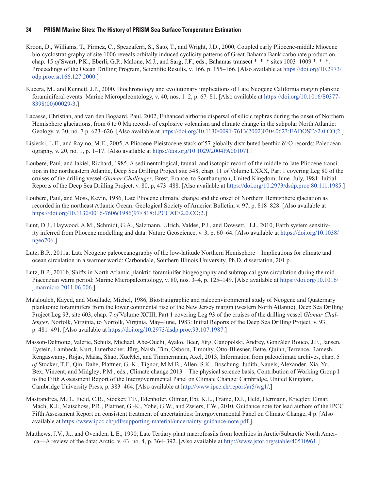- Kroon, D., Williams, T., Pirmez, C., Spezzaferri, S., Sato, T., and Wright, J.D., 2000, Coupled early Pliocene-middle Miocene bio-cyclostratigraphy of site 1006 reveals orbitally induced cyclicity patterns of Great Bahama Bank carbonate production, chap. 15 *of* Swart, P.K., Eberli, G.P., Malone, M.J., and Sarg, J.F., eds., Bahamas transect \* \* \* sites 1003–1009 \* \* \*: Proceedings of the Ocean Drilling Program, Scientific Results, v. 166, p. 155–166. [Also available at [https://doi.org/10.2973/](https://doi.org/10.2973/odp.proc.sr.166.127.2000) [odp.proc.sr.166.127.2000.](https://doi.org/10.2973/odp.proc.sr.166.127.2000)]
- Kucera, M., and Kennett, J.P., 2000, Biochronology and evolutionary implications of Late Neogene California margin planktic foraminiferal events: Marine Micropaleontology, v. 40, nos. 1–2, p. 67–81. [Also available at [https://doi.org/10.1016/S0377-](https://doi.org/10.1016/S0377-8398(00)00029-3) [8398\(00\)00029-3.](https://doi.org/10.1016/S0377-8398(00)00029-3)]
- Lacasse, Christian, and van den Bogaard, Paul, 2002, Enhanced airborne dispersal of silicic tephras during the onset of Northern Hemisphere glaciations, from 6 to 0 Ma records of explosive volcanism and climate change in the subpolar North Atlantic: Geology, v. 30, no. 7 p. 623–626. [Also available at [https://doi.org/10.1130/0091-7613\(2002\)030<0623:EADOST>2.0.CO;2](https://doi.org/10.1130/0091-7613(2002)030%3C0623:EADOST%3E2.0.CO;2).]
- Lisiecki, L.E., and Raymo, M.E., 2005, A Pliocene-Pleistocene stack of 57 globally distributed benthic δ18O records: Paleoceanography, v. 20, no. 1, p. 1–17. [Also available at [https://doi.org/10.1029/2004PA001071.](https://doi.org/10.1029/2004PA001071)]
- Loubere, Paul, and Jakiel, Richard, 1985, A sedimentological, faunal, and isotopic record of the middle-to-late Pliocene transition in the northeastern Atlantic, Deep Sea Drilling Project site 548, chap. 11 *of* Volume LXXX, Part 1 covering Leg 80 of the cruises of the drilling vessel *Glomar Challenger*, Brest, France, to Southampton, United Kingdom, June–July, 1981: Initial Reports of the Deep Sea Drilling Project, v. 80, p, 473–488. [Also available at [https://doi.org/10.2973/dsdp.proc.80.111.1985.](https://doi.org/10.2973/dsdp.proc.80.111.1985)]
- Loubere, Paul, and Moss, Kevin, 1986, Late Pliocene climatic change and the onset of Northern Hemisphere glaciation as recorded in the northeast Atlantic Ocean: Geological Society of America Bulletin, v. 97, p. 818–828. [Also available at [https://doi.org/10.1130/0016-7606\(1986\)97<818:LPCCAT>2.0.CO;2](https://doi.org/10.1130/0016-7606(1986)97%3C818:LPCCAT%3E2.0.CO;2).]
- Lunt, D.J., Haywood, A.M., Schmidt, G.A., Salzmann, Ulrich, Valdes, P.J., and Dowsett, H.J., 2010, Earth system sensitivity inferred from Pliocene modelling and data: Nature Geoscience, v. 3, p. 60–64. [Also available at [https://doi.org/10.1038/](https://doi.org/10.1038/ngeo706) [ngeo706](https://doi.org/10.1038/ngeo706).]
- Lutz, B.P., 2011a, Late Neogene paleoceanography of the low-latitude Northern Hemisphere—Implications for climate and ocean circulation in a warmer world: Carbondale, Southern Illinois University, Ph.D. dissertation, 201 p.
- Lutz, B.P., 2011b, Shifts in North Atlantic planktic foraminifer biogeography and subtropical gyre circulation during the mid-Piacenzian warm period: Marine Micropaleontology, v. 80, nos. 3–4, p. 125–149. [Also available at [https://doi.org/10.1016/](https://doi.org/10.1016/j.marmicro.2011.06.006) [j.marmicro.2011.06.006](https://doi.org/10.1016/j.marmicro.2011.06.006).]
- Ma'alouleh, Kayed, and Moullade, Michel, 1986, Biostratigraphic and paleoenvironmental study of Neogene and Quaternary planktonic foraminifers from the lower continental rise of the New Jersey margin (western North Atlantic), Deep Sea Drilling Project Leg 93, site 603, chap. 7 *of* Volume XCIII, Part 1 covering Leg 93 of the cruises of the drilling vessel *Glomar Challenger*, Norfolk, Virginia, to Norfolk, Virginia, May–June, 1983: Initial Reports of the Deep Sea Drilling Project, v. 93, p. 481–491. [Also available at [https://doi.org/10.2973/dsdp.proc.93.107.1987.](https://doi.org/10.2973/dsdp.proc.93.107.1987)]
- Masson-Delmotte, Valérie, Schulz, Michael, Abe-Ouchi, Ayako, Beer, Jürg, Ganopolski, Andrey, González Rouco, J.F., Jansen, Eystein, Lambeck, Kurt, Luterbacher, Jürg, Naish, Tim, Osborn, Timothy, Otto-Bliesner, Bette, Quinn, Terrence, Ramesh, Rengaswamy, Rojas, Maisa, Shao, XueMei, and Timmermann, Axel, 2013, Information from paleoclimate archives, chap. 5 *of* Stocker, T.F., Qin, Dahe, Plattner, G.-K., Tignor, M.M.B., Allen, S.K., Boschung, Judith, Nauels, Alexander, Xia, Yu, Bex, Vincent, and Midgley, P.M., eds., Climate change 2013—The physical science basis, Contribution of Working Group I to the Fifth Assessment Report of the Intergovernmental Panel on Climate Change: Cambridge, United Kingdom, Cambridge University Press, p. 383–464. [Also available at [http://www.ipcc.ch/report/ar5/wg1/.\]](http://www.ipcc.ch/report/ar5/wg1/)
- Mastrandrea, M.D., Field, C.B., Stocker, T.F., Edenhofer, Ottmar, Ebi, K.L., Frame, D.J., Held, Hermann, Kriegler, Elmar, Mach, K.J., Matschoss, P.R., Plattner, G.-K., Yohe, G.W., and Zwiers, F.W., 2010, Guidance note for lead authors of the IPCC Fifth Assessment Report on consistent treatment of uncertainties: Intergovernmental Panel on Climate Change, 4 p. [Also available at [https://www.ipcc.ch/pdf/supporting-material/uncertainty-guidance-note.pdf.](https://www.ipcc.ch/pdf/supporting-material/uncertainty-guidance-note.pdf)]
- Matthews, J.V., Jr., and Ovenden, L.E., 1990, Late Tertiary plant macrofossils from localities in Arctic/Subarctic North America—A review of the data: Arctic, v. 43, no. 4, p. 364–392. [Also available at <http://www.jstor.org/stable/40510961>.]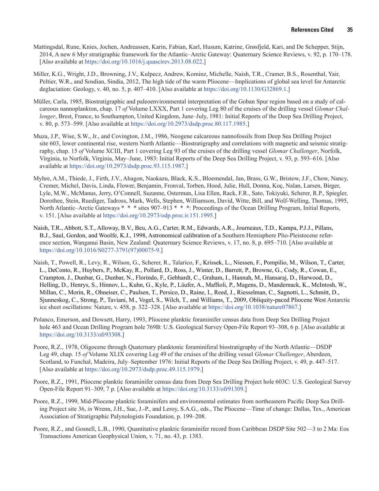- Mattingsdal, Rune, Knies, Jochen, Andreassen, Karin, Fabian, Karl, Husum, Katrine, Grøsfjeld, Kari, and De Schepper, Stijn, 2014, A new 6 Myr stratigraphic framework for the Atlantic–Arctic Gateway: Quaternary Science Reviews, v. 92, p. 170–178. [Also available at [https://doi.org/10.1016/j.quascirev.2013.08.022.](https://doi.org/10.1016/j.quascirev.2013.08.022)]
- Miller, K.G., Wright, J.D., Browning, J.V., Kulpecz, Andrew, Kominz, Michelle, Naish, T.R., Cramer, B.S., Rosenthal, Yair, Peltier, W.R., and Sosdian, Sindia, 2012, The high tide of the warm Pliocene—Implications of global sea level for Antarctic deglaciation: Geology, v. 40, no. 5, p. 407–410. [Also available at [https://doi.org/10.1130/G32869.1.](https://doi.org/10.1130/G32869.1)]
- Müller, Carla, 1985, Biostratigraphic and paleoenvironmental interpretation of the Goban Spur region based on a study of calcareous nannoplankton, chap. 17 *of* Volume LXXX, Part 1 covering Leg 80 of the cruises of the drilling vessel *Glomar Challenger*, Brest, France, to Southampton, United Kingdom, June–July, 1981: Initial Reports of the Deep Sea Drilling Project, v. 80, p. 573–599. [Also available at [https://doi.org/10.2973/dsdp.proc.80.117.1985.](https://doi.org/10.2973/dsdp.proc.80.117.1985)]
- Muza, J.P., Wise, S.W., Jr., and Covington, J.M., 1986, Neogene calcareous nannofossils from Deep Sea Drilling Project site 603, lower continental rise, western North Atlantic—Biostratigraphy and correlations with magnetic and seismic stratigraphy, chap. 15 *of* Volume XCIII, Part 1 covering Leg 93 of the cruises of the drilling vessel *Glomar Challenger*, Norfolk, Virginia, to Norfolk, Virginia, May–June, 1983: Initial Reports of the Deep Sea Drilling Project, v. 93, p. 593–616. [Also available at [https://doi.org/10.2973/dsdp.proc.93.115.1987.](https://doi.org/10.2973/dsdp.proc.93.115.1987)]
- Myhre, A.M., Thiede, J., Firth, J.V., Ahagon, Naokazu, Black, K.S., Bloemendal, Jan, Brass, G.W., Bristow, J.F., Chow, Nancy, Cremer, Michel, Davis, Linda, Flower, Benjamin, Fronval, Torben, Hood, Julie, Hull, Donna, Koç, Nalan, Larsen, Birger, Lyle, M.W., McManus, Jerry, O'Connell, Suzanne, Osterman, Lisa Ellen, Rack, F.R., Sato, Tokiyuki, Scherer, R.P., Spiegler, Dorothee, Stein, Ruediger, Tadross, Mark, Wells, Stephen, Williamson, David, Witte, Bill, and Wolf-Welling, Thomas, 1995, North Atlantic–Arctic Gateways \* \* \* sites 907–913 \* \* \*: Proceedings of the Ocean Drilling Program, Initial Reports, v. 151. [Also available at [https://doi.org/10.2973/odp.proc.ir.151.1995.](https://doi.org/10.2973/odp.proc.ir.151.1995)]
- Naish, T.R., Abbott, S.T., Alloway, B.V., Beu, A.G., Carter, R.M., Edwards, A.R., Journeaux, T.D., Kampa, P.J.J., Pillans, B.J., Saul, Gordon, and Woolfe, K.J., 1998, Astronomical calibration of a Southern Hemisphere Plio-Pleistocene reference section, Wanganui Basin, New Zealand: Quaternary Science Reviews, v. 17, no. 8, p. 695–710. [Also available at [https://doi.org/10.1016/S0277-3791\(97\)00075-9](https://doi.org/10.1016/S0277-3791(97)00075-9).]
- Naish, T., Powell, R., Levy, R., Wilson, G., Scherer, R., Talarico, F., Krissek, L., Niessen, F., Pompilio, M., Wilson, T., Carter, L., DeConto, R., Huybers, P., McKay, R., Pollard, D., Ross, J., Winter, D., Barrett, P., Browne, G., Cody, R., Cowan, E., Crampton, J., Dunbar, G., Dunbar, N., Florindo, F., Gebhardt, C., Graham, I., Hannah, M., Hansaraj, D., Harwood, D., Helling, D., Henrys, S., Hinnov, L., Kuhn, G., Kyle, P., Läufer, A., Maffioli, P., Magens, D., Mandernack, K., McIntosh, W., Millan, C., Morin, R., Ohneiser, C., Paulsen, T., Persico, D., Raine, I., Reed, J., Riesselman, C., Sagnotti, L., Schmitt, D., Sjunneskog, C., Strong, P., Taviani, M., Vogel, S., Wilch, T., and Williams, T., 2009, Obliquity-paced Pliocene West Antarctic ice sheet oscillations: Nature, v. 458, p. 322–328. [Also available at [https://doi.org/10.1038/nature07867.](https://doi.org/10.1038/nature07867)]
- Polanco, Emerson, and Dowsett, Harry, 1993, Pliocene planktic foraminifer census data from Deep Sea Drilling Project hole 463 and Ocean Drilling Program hole 769B: U.S. Geological Survey Open-File Report 93–308, 6 p. [Also available at [https://doi.org/10.3133/ofr93308.](https://doi.org/10.3133/ofr93308)]
- Poore, R.Z., 1978, Oligocene through Quaternary planktonic foraminiferal biostratigraphy of the North Atlantic—DSDP Leg 49, chap. 15 *of* Volume XLIX covering Leg 49 of the cruises of the drilling vessel *Glomar Challenger*, Aberdeen, Scotland, to Funchal, Madeira, July–September 1976: Initial Reports of the Deep Sea Drilling Project, v. 49, p. 447–517. [Also available at [https://doi.org/10.2973/dsdp.proc.49.115.1979.](https://doi.org/10.2973/dsdp.proc.49.115.1979)]
- Poore, R.Z., 1991, Pliocene planktic foraminifer census data from Deep Sea Drilling Project hole 603C: U.S. Geological Survey Open-File Report 91–309, 7 p. [Also available at <https://doi.org/10.3133/ofr91309>.]
- Poore, R.Z., 1999, Mid-Pliocene planktic foraminifers and environmental estimates from northeastern Pacific Deep Sea Drilling Project site 36, *in* Wrenn, J.H., Suc, J.-P., and Leroy, S.A.G., eds., The Pliocene—Time of change: Dallas, Tex., American Association of Stratigraphic Palynologists Foundation, p. 199–208.
- Poore, R.Z., and Gosnell, L.B., 1990, Quantitative planktic foraminifer record from Caribbean DSDP Site 502—3 to 2 Ma: Eos Transactions American Geophysical Union, v. 71, no. 43, p. 1383.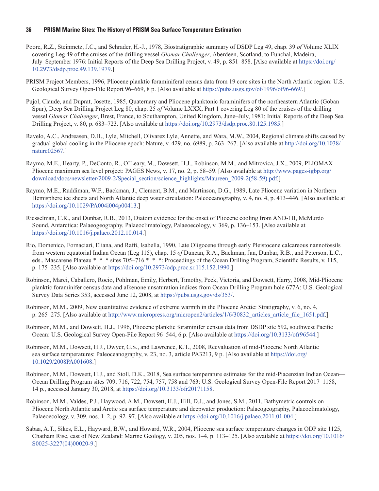- Poore, R.Z., Steinmetz, J.C., and Schrader, H.-J., 1978, Biostratigraphic summary of DSDP Leg 49, chap. 39 *of* Volume XLIX covering Leg 49 of the cruises of the drilling vessel *Glomar Challenger*, Aberdeen, Scotland, to Funchal, Madeira, July–September 1976: Initial Reports of the Deep Sea Drilling Project, v. 49, p. 851–858. [Also available at [https://doi.org/](https://doi.org/10.2973/dsdp.proc.49.139.1979) [10.2973/dsdp.proc.49.139.1979.](https://doi.org/10.2973/dsdp.proc.49.139.1979)]
- PRISM Project Members, 1996, Pliocene planktic foraminiferal census data from 19 core sites in the North Atlantic region: U.S. Geological Survey Open-File Report 96–669, 8 p. [Also available at <https://pubs.usgs.gov/of/1996/of96-669/>.]
- Pujol, Claude, and Duprat, Josette, 1985, Quaternary and Pliocene planktonic foraminifers of the northeastern Atlantic (Goban Spur), Deep Sea Drilling Project Leg 80, chap. 25 *of* Volume LXXX, Part 1 covering Leg 80 of the cruises of the drilling vessel *Glomar Challenger*, Brest, France, to Southampton, United Kingdom, June–July, 1981: Initial Reports of the Deep Sea Drilling Project, v. 80, p. 683–723. [Also available at [https://doi.org/10.2973/dsdp.proc.80.125.1985.](https://doi.org/10.2973/dsdp.proc.80.125.1985)]
- Ravelo, A.C., Andreasen, D.H., Lyle, Mitchell, Olivarez Lyle, Annette, and Wara, M.W., 2004, Regional climate shifts caused by gradual global cooling in the Pliocene epoch: Nature, v. 429, no. 6989, p. 263–267. [Also available at [http://doi.org/10.1038/](http://doi.org/10.1038/nature02567) [nature02567.](http://doi.org/10.1038/nature02567)]
- Raymo, M.E., Hearty, P., DeConto, R., O'Leary, M., Dowsett, H.J., Robinson, M.M., and Mitrovica, J.X., 2009, PLIOMAX— Pliocene maximum sea level project: PAGES News, v. 17, no. 2, p. 58–59. [Also available at [http://www.pages-igbp.org/](http://www.pages-igbp.org/download/docs/newsletter/2009-2/Special_section/science_highlights/Maureen_2009-2(58-59).pdf) [download/docs/newsletter/2009-2/Special\\_section/science\\_highlights/Maureen\\_2009-2\(58-59\).pdf.](http://www.pages-igbp.org/download/docs/newsletter/2009-2/Special_section/science_highlights/Maureen_2009-2(58-59).pdf)]
- Raymo, M.E., Ruddiman, W.F., Backman, J., Clement, B.M., and Martinson, D.G., 1989, Late Pliocene variation in Northern Hemisphere ice sheets and North Atlantic deep water circulation: Paleoceanography, v. 4, no. 4, p. 413–446. [Also available at [https://doi.org/10.1029/PA004i004p00413.](https://doi.org/10.1029/PA004i004p00413)]
- Riesselman, C.R., and Dunbar, R.B., 2013, Diatom evidence for the onset of Pliocene cooling from AND-1B, McMurdo Sound, Antarctica: Palaeogeography, Palaeoclimatology, Palaeoecology, v. 369, p. 136–153. [Also available at <https://doi.org/10.1016/j.palaeo.2012.10.014>.]
- Rio, Domenico, Fornaciari, Eliana, and Raffi, Isabella, 1990, Late Oligocene through early Pleistocene calcareous nannofossils from western equatorial Indian Ocean (Leg 115), chap. 15 *of* Duncan, R.A., Backman, Jan, Dunbar, R.B., and Peterson, L.C., eds., Mascarene Plateau \* \* \* sites 705–716 \* \* \*: Proceedings of the Ocean Drilling Program, Scientific Results, v. 115, p. 175–235. [Also available at [https://doi.org/10.2973/odp.proc.sr.115.152.1990.](https://doi.org/10.2973/odp.proc.sr.115.152.1990)]
- Robinson, Marci, Caballero, Rocio, Pohlman, Emily, Herbert, Timothy, Peck, Victoria, and Dowsett, Harry, 2008, Mid-Pliocene planktic foraminifer census data and alkenone unsaturation indices from Ocean Drilling Program hole 677A: U.S. Geological Survey Data Series 353, accessed June 12, 2008, at [https://pubs.usgs.gov/ds/353/.](https://pubs.usgs.gov/ds/353/)
- Robinson, M.M., 2009, New quantitative evidence of extreme warmth in the Pliocene Arctic: Stratigraphy, v. 6, no. 4, p. 265–275. [Also available at [http://www.micropress.org/micropen2/articles/1/6/30832\\_articles\\_article\\_file\\_1651.pdf](http://www.micropress.org/micropen2/articles/1/6/30832_articles_article_file_1651.pdf).]
- Robinson, M.M., and Dowsett, H.J., 1996, Pliocene planktic foraminifer census data from DSDP site 592, southwest Pacific Ocean: U.S. Geological Survey Open-File Report 96–544, 6 p. [Also available at [https://doi.org/10.3133/ofr96544.](https://doi.org/10.3133/ofr96544)]
- Robinson, M.M., Dowsett, H.J., Dwyer, G.S., and Lawrence, K.T., 2008, Reevaluation of mid-Pliocene North Atlantic sea surface temperatures: Paleoceanography, v. 23, no. 3, article PA3213, 9 p. [Also available at [https://doi.org/](https://doi.org/10.1029/2008PA001608) [10.1029/2008PA001608](https://doi.org/10.1029/2008PA001608).]
- Robinson, M.M., Dowsett, H.J., and Stoll, D.K., 2018, Sea surface temperature estimates for the mid-Piacenzian Indian Ocean— Ocean Drilling Program sites 709, 716, 722, 754, 757, 758 and 763: U.S. Geological Survey Open-File Report 2017–1158, 14 p., accessed January 30, 2018, at https://doi.org/10.3133/ofr20171158.
- Robinson, M.M., Valdes, P.J., Haywood, A.M., Dowsett, H.J., Hill, D.J., and Jones, S.M., 2011, Bathymetric controls on Pliocene North Atlantic and Arctic sea surface temperature and deepwater production: Palaeogeography, Palaeoclimatology, Palaeoecology, v. 309, nos. 1–2, p. 92–97. [Also available at [https://doi.org/10.1016/j.palaeo.2011.01.004.](https://doi.org/10.1016/j.palaeo.2011.01.004)]
- Sabaa, A.T., Sikes, E.L., Hayward, B.W., and Howard, W.R., 2004, Pliocene sea surface temperature changes in ODP site 1125, Chatham Rise, east of New Zealand: Marine Geology, v. 205, nos. 1–4, p. 113–125. [Also available at [https://doi.org/10.1016/](https://doi.org/10.1016/S0025-3227(04)00020-9) [S0025-3227\(04\)00020-9.](https://doi.org/10.1016/S0025-3227(04)00020-9)]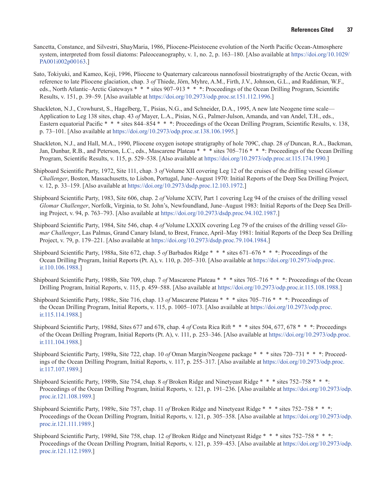- Sancetta, Constance, and Silvestri, ShayMaria, 1986, Pliocene-Pleistocene evolution of the North Pacific Ocean-Atmosphere system, interpreted from fossil diatoms: Paleoceanography, v. 1, no. 2, p. 163–180. [Also available at [https://doi.org/10.1029/](https://doi.org/10.1029/PA001i002p00163) [PA001i002p00163.](https://doi.org/10.1029/PA001i002p00163)]
- Sato, Tokiyuki, and Kameo, Koji, 1996, Pliocene to Quaternary calcareous nannofossil biostratigraphy of the Arctic Ocean, with reference to late Pliocene glaciation, chap. 3 *of* Thiede, Jörn, Myhre, A.M., Firth, J.V., Johnson, G.L., and Ruddiman, W.F., eds., North Atlantic–Arctic Gateways \* \* \* sites 907–913 \* \* \*: Proceedings of the Ocean Drilling Program, Scientific Results, v. 151, p. 39–59. [Also available at [https://doi.org/10.2973/odp.proc.sr.151.112.1996.](https://doi.org/10.2973/odp.proc.sr.151.112.1996)]
- Shackleton, N.J., Crowhurst, S., Hagelberg, T., Pisias, N.G., and Schneider, D.A., 1995, A new late Neogene time scale— Application to Leg 138 sites, chap. 43 *of* Mayer, L.A., Pisias, N.G., Palmer-Julson, Amanda, and van Andel, T.H., eds., Eastern equatorial Pacific \* \* \* sites 844–854 \* \* \*: Proceedings of the Ocean Drilling Program, Scientific Results, v. 138, p. 73–101. [Also available at <https://doi.org/10.2973/odp.proc.sr.138.106.1995>.]
- Shackleton, N.J., and Hall, M.A., 1990, Pliocene oxygen isotope stratigraphy of hole 709C, chap. 28 *of* Duncan, R.A., Backman, Jan, Dunbar, R.B., and Peterson, L.C., eds., Mascarene Plateau \* \* \* sites 705–716 \* \* \*: Proceedings of the Ocean Drilling Program, Scientific Results, v. 115, p. 529–538. [Also available at <https://doi.org/10.2973/odp.proc.sr.115.174.1990>.]
- Shipboard Scientific Party, 1972, Site 111, chap. 3 *of* Volume XII covering Leg 12 of the cruises of the drilling vessel *Glomar Challenger*, Boston, Massachusetts, to Lisbon, Portugal, June–August 1970: Initial Reports of the Deep Sea Drilling Project, v. 12, p. 33–159. [Also available at <https://doi.org/10.2973/dsdp.proc.12.103.1972>.]
- Shipboard Scientific Party, 1983, Site 606, chap. 2 *of* Volume XCIV, Part 1 covering Leg 94 of the cruises of the drilling vessel *Glomar Challenger*, Norfolk, Virginia, to St. John's, Newfoundland, June–August 1983: Initial Reports of the Deep Sea Drilling Project, v. 94, p. 763–793. [Also available at [https://doi.org/10.2973/dsdp.proc.94.102.1987.](https://doi.org/10.2973/dsdp.proc.94.102.1987)]
- Shipboard Scientific Party, 1984, Site 546, chap. 4 *of* Volume LXXIX covering Leg 79 of the cruises of the drilling vessel *Glomar Challenger*, Las Palmas, Grand Canary Island, to Brest, France, April–May 1981: Initial Reports of the Deep Sea Drilling Project, v. 79, p. 179–221. [Also available at [https://doi.org/10.2973/dsdp.proc.79.104.1984.](https://doi.org/10.2973/dsdp.proc.79.104.1984)]
- Shipboard Scientific Party, 1988a, Site 672, chap. 5 *of* Barbados Ridge \* \* \* sites 671–676 \* \* \*: Proceedings of the [Ocean Drilling Program, Initial Reports \(Pt. A\), v. 110, p. 205–310. \[Also available at](https://doi.org/10.2973/odp.proc.ir.110.106.1988) https://doi.org/10.2973/odp.proc. ir.110.106.1988.]
- Shipboard Scientific Party, 1988b, Site 709, chap. 7 *of* Mascarene Plateau \* \* \* sites 705–716 \* \* \*: Proceedings of the Ocean Drilling Program, Initial Reports, v. 115, p. 459–588. [Also available at [https://doi.org/10.2973/odp.proc.ir.115.108.1988.](https://doi.org/10.2973/odp.proc.ir.115.108.1988)]
- Shipboard Scientific Party, 1988c, Site 716, chap. 13 *of* Mascarene Plateau \* \* \* sites 705–716 \* \* \*: Proceedings of the Ocean Drilling Program, Initial Reports, v. 115, p. 1005–1073. [Also available at [https://doi.org/10.2973/odp.proc.](https://doi.org/10.2973/odp.proc.ir.115.114.1988) [ir.115.114.1988](https://doi.org/10.2973/odp.proc.ir.115.114.1988).]
- Shipboard Scientific Party, 1988d, Sites 677 and 678, chap. 4 *of* Costa Rica Rift \* \* \* sites 504, 677, 678 \* \* \*: Proceedings of the Ocean Drilling Program, Initial Reports (Pt. A), v. 111, p. 253–346. [Also available at [https://doi.org/10.2973/odp.proc.](https://doi.org/10.2973/odp.proc.ir.111.104.1988) [ir.111.104.1988](https://doi.org/10.2973/odp.proc.ir.111.104.1988).]
- Shipboard Scientific Party, 1989a, Site 722, chap. 10 *of* Oman Margin/Neogene package \* \* \* sites 720–731 \* \* \*: Proceedings of the Ocean Drilling Program, Initial Reports, v. 117, p. 255–317. [Also available at [https://doi.org/10.2973/odp.proc.](https://doi.org/10.2973/odp.proc.ir.117.107.1989) [ir.117.107.1989.](https://doi.org/10.2973/odp.proc.ir.117.107.1989)]
- Shipboard Scientific Party, 1989b, Site 754, chap. 8 *of* Broken Ridge and Ninetyeast Ridge \* \* \* sites 752–758 \* \* \*: Proceedings of the Ocean Drilling Program, Initial Reports, v. 121, p. 191–236. [Also available at [https://doi.org/10.2973/odp.](https://doi.org/10.2973/odp.proc.ir.121.108.1989) [proc.ir.121.108.1989](https://doi.org/10.2973/odp.proc.ir.121.108.1989).]
- Shipboard Scientific Party, 1989c, Site 757, chap. 11 *of* Broken Ridge and Ninetyeast Ridge \* \* \* sites 752–758 \* \* \*: Proceedings of the Ocean Drilling Program, Initial Reports, v. 121, p. 305–358. [Also available at [https://doi.org/10.2973/odp.](https://doi.org/10.2973/odp.proc.ir.121.111.1989) [proc.ir.121.111.1989.](https://doi.org/10.2973/odp.proc.ir.121.111.1989)]
- Shipboard Scientific Party, 1989d, Site 758, chap. 12 *of* Broken Ridge and Ninetyeast Ridge \* \* \* sites 752–758 \* \* \*: Proceedings of the Ocean Drilling Program, Initial Reports, v. 121, p. 359–453. [Also available at [https://doi.org/10.2973/odp.](https://doi.org/10.2973/odp.proc.ir.121.112.1989) [proc.ir.121.112.1989.](https://doi.org/10.2973/odp.proc.ir.121.112.1989)]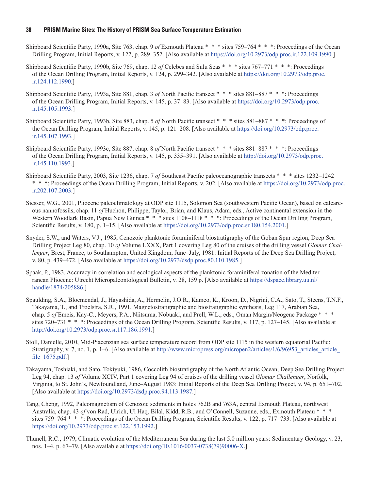- Shipboard Scientific Party, 1990a, Site 763, chap. 9 *of* Exmouth Plateau \* \* \* sites 759–764 \* \* \*: Proceedings of the Ocean Drilling Program, Initial Reports, v. 122, p. 289–352. [Also available at [https://doi.org/10.2973/odp.proc.ir.122.109.1990.](https://doi.org/10.2973/odp.proc.ir.122.109.1990)]
- Shipboard Scientific Party, 1990b, Site 769, chap. 12 *of* Celebes and Sulu Seas \* \* \* sites 767–771 \* \* \*: Proceedings [of the Ocean Drilling Program, Initial Reports, v. 124, p. 299–342. \[Also available at](https://doi.org/10.2973/odp.proc.ir.122.109.1990) https://doi.org/10.2973/odp.proc. ir.124.112.1990.]
- Shipboard Scientific Party, 1993a, Site 881, chap. 3 *of* North Pacific transect \* \* \* sites 881–887 \* \* \*: Proceedings of the Ocean Drilling Program, Initial Reports, v. 145, p. 37–83. [Also available at [https://doi.org/10.2973/odp.proc.](https://doi.org/10.2973/odp.proc.ir.145.105.1993) [ir.145.105.1993](https://doi.org/10.2973/odp.proc.ir.145.105.1993).]
- Shipboard Scientific Party, 1993b, Site 883, chap. 5 *of* North Pacific transect \* \* \* sites 881–887 \* \* \*: Proceedings of the Ocean Drilling Program, Initial Reports, v. 145, p. 121–208. [Also available at [https://doi.org/10.2973/odp.proc.](https://doi.org/10.2973/odp.proc.ir.145.107.1993) [ir.145.107.1993](https://doi.org/10.2973/odp.proc.ir.145.107.1993).]
- Shipboard Scientific Party, 1993c, Site 887, chap. 8 *of* North Pacific transect \* \* \* sites 881–887 \* \* \*: Proceedings of the Ocean Drilling Program, Initial Reports, v. 145, p. 335–391. [Also available at [http://doi.org/10.2973/odp.proc.](http://doi.org/10.2973/odp.proc.ir.145.110.1993) [ir.145.110.1993.](http://doi.org/10.2973/odp.proc.ir.145.110.1993)]
- Shipboard Scientific Party, 2003, Site 1236, chap. 7 *of* Southeast Pacific paleoceanographic transects \* \* \* sites 1232–1242 \* \* \*: Proceedings of the Ocean Drilling Program, Initial Reports, v. 202. [Also available at [https://doi.org/10.2973/odp.proc.](https://doi.org/10.2973/odp.proc.ir.202.107.2003) [ir.202.107.2003](https://doi.org/10.2973/odp.proc.ir.202.107.2003).]
- Siesser, W.G., 2001, Pliocene paleoclimatology at ODP site 1115, Solomon Sea (southwestern Pacific Ocean), based on calcareous nannofossils, chap. 11 *of* Huchon, Philippe, Taylor, Brian, and Klaus, Adam, eds., Active continental extension in the Western Woodlark Basin, Papua New Guinea \* \* \* sites 1108–1118 \* \* \*: Proceedings of the Ocean Drilling Program, Scientific Results, v. 180, p. 1–15. [Also available at <https://doi.org/10.2973/odp.proc.sr.180.154.2001>.]
- Snyder, S.W., and Waters, V.J., 1985, Cenozoic planktonic foraminiferal biostratigraphy of the Goban Spur region, Deep Sea Drilling Project Leg 80, chap. 10 *of* Volume LXXX, Part 1 covering Leg 80 of the cruises of the drilling vessel *Glomar Challenger*, Brest, France, to Southampton, United Kingdom, June–July, 1981: Initial Reports of the Deep Sea Drilling Project, v. 80, p. 439–472. [Also available at [https://doi.org/10.2973/dsdp.proc.80.110.1985.](https://doi.org/10.2973/dsdp.proc.80.110.1985)]
- Spaak, P., 1983, Accuracy in correlation and ecological aspects of the planktonic foraminiferal zonation of the Mediterranean Pliocene: Utrecht Micropaleontological Bulletin, v. 28, 159 p. [Also available at [https://dspace.library.uu.nl/](https://dspace.library.uu.nl/handle/1874/205886) [handle/1874/205886](https://dspace.library.uu.nl/handle/1874/205886).]
- Spaulding, S.A., Bloemendal, J., Hayashida, A., Hermelin, J.O.R., Kameo, K., Kroon, D., Nigrini, C.A., Sato, T., Steens, T.N.F., Takayama, T., and Troelstra, S.R., 1991, Magnetostratigraphic and biostratigraphic synthesis, Leg 117, Arabian Sea, chap. 5 *of* Emeis, Kay-C., Meyers, P.A., Niitsuma, Nobuaki, and Prell, W.L., eds., Oman Margin/Neogene Package \* \* \* sites 720–731 \* \* \*: Proceedings of the Ocean Drilling Program, Scientific Results, v. 117, p. 127–145. [Also available at [http://doi.org/10.2973/odp.proc.sr.117.186.1991.](http://doi.org/10.2973/odp.proc.sr.117.186.1991)]
- Stoll, Danielle, 2010, Mid-Piacenzian sea surface temperature record from ODP site 1115 in the western equatorial Pacific: Stratigraphy, v. 7, no. 1, p. 1–6. [Also available at http://www.micropress.org/micropen2/articles/1/6/96953\_articles\_article [file\\_1675.pdf](http://www.micropress.org/micropen2/articles/1/6/96953_articles_article_file_1675.pdf).]
- Takayama, Toshiaki, and Sato, Tokiyuki, 1986, Coccolith biostratigraphy of the North Atlantic Ocean, Deep Sea Drilling Project Leg 94, chap. 13 *of* Volume XCIV, Part 1 covering Leg 94 of cruises of the drilling vessel *Glomar Challenger*, Norfolk, Virginia, to St. John's, Newfoundland, June–August 1983: Initial Reports of the Deep Sea Drilling Project, v. 94, p. 651–702. [Also available at [https://doi.org/10.2973/dsdp.proc.94.113.1987.](https://doi.org/10.2973/dsdp.proc.94.113.1987)]
- Tang, Cheng, 1992, Paleomagnetism of Cenozoic sediments in holes 762B and 763A, central Exmouth Plateau, northwest Australia, chap. 43 *of* von Rad, Ulrich, Ul Haq, Bilal, Kidd, R.B., and O'Connell, Suzanne, eds., Exmouth Plateau \* \* \* sites 759–764 \* \* \*: Proceedings of the Ocean Drilling Program, Scientific Results, v. 122, p. 717–733. [Also available at <https://doi.org/10.2973/odp.proc.sr.122.153.1992>.]
- Thunell, R.C., 1979, Climatic evolution of the Mediterranean Sea during the last 5.0 million years: Sedimentary Geology, v. 23, nos. 1–4, p. 67–79. [Also available at [https://doi.org/10.1016/0037-0738\(79\)90006-X.](https://doi.org/10.1016/0037-0738(79)90006-X)]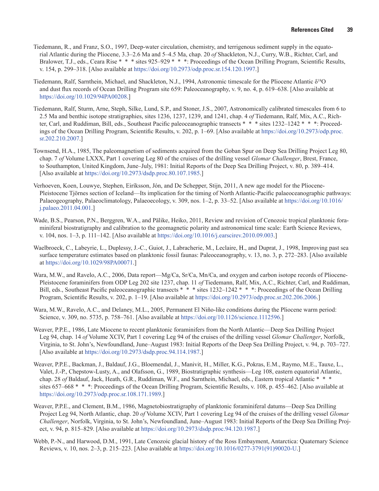- Tiedemann, R., and Franz, S.O., 1997, Deep-water circulation, chemistry, and terrigenous sediment supply in the equatorial Atlantic during the Pliocene, 3.3–2.6 Ma and 5–4.5 Ma, chap. 20 *of* Shackleton, N.J., Curry, W.B., Richter, Carl, and Bralower, T.J., eds., Ceara Rise \* \* \* sites 925–929 \* \* \*: Proceedings of the Ocean Drilling Program, Scientific Results, v. 154, p. 299–318. [Also available at [https://doi.org/10.2973/odp.proc.sr.154.120.1997.](https://doi.org/10.2973/odp.proc.sr.154.120.1997)]
- Tiedemann, Ralf, Sarnthein, Michael, and Shackleton, N.J., 1994, Astronomic timescale for the Pliocene Atlantic δ<sup>18</sup>O and dust flux records of Ocean Drilling Program site 659: Paleoceanography, v. 9, no. 4, p. 619–638. [Also available at <https://doi.org/10.1029/94PA00208>.]
- Tiedemann, Ralf, Sturm, Arne, Steph, Silke, Lund, S.P., and Stoner, J.S., 2007, Astronomically calibrated timescales from 6 to 2.5 Ma and benthic isotope stratigraphies, sites 1236, 1237, 1239, and 1241, chap. 4 *of* Tiedemann, Ralf, Mix, A.C., Richter, Carl, and Ruddiman, Bill, eds., Southeast Pacific paleoceanographic transects \* \* \* sites 1232–1242 \* \* \*: Proceedings of the Ocean Drilling Program, Scientific Results, v. 202, p. 1–69. [Also available at [https://doi.org/10.2973/odp.proc.](https://doi.org/10.2973/odp.proc.sr.202.210.2007) [sr.202.210.2007](https://doi.org/10.2973/odp.proc.sr.202.210.2007).]
- Townsend, H.A., 1985, The paleomagnetism of sediments acquired from the Goban Spur on Deep Sea Drilling Project Leg 80, chap. 7 *of* Volume LXXX, Part 1 covering Leg 80 of the cruises of the drilling vessel *Glomar Challenger*, Brest, France, to Southampton, United Kingdom, June–July, 1981: Initial Reports of the Deep Sea Drilling Project, v. 80, p. 389–414. [Also available at [https://doi.org/10.2973/dsdp.proc.80.107.1985.](https://doi.org/10.2973/dsdp.proc.80.107.1985)]
- Verhoeven, Koen, Louwye, Stephen, Eiríksson, Jón, and De Schepper, Stijn, 2011, A new age model for the Pliocene-Pleistocene Tjörnes section of Iceland—Its implication for the timing of North Atlantic-Pacific palaeoceanographic pathways: Palaeogeography, Palaeoclimatology, Palaeoecology, v. 309, nos. 1–2, p. 33–52. [Also available at [https://doi.org/10.1016/](https://doi.org/10.1016/j.palaeo.2011.04.001) [j.palaeo.2011.04.001.](https://doi.org/10.1016/j.palaeo.2011.04.001)]
- Wade, B.S., Pearson, P.N., Berggren, W.A., and Pälike, Heiko, 2011, Review and revision of Cenozoic tropical planktonic foraminiferal biostratigraphy and calibration to the geomagnetic polarity and astronomical time scale: Earth Science Reviews, v. 104, nos. 1–3, p. 111–142. [Also available at <https://doi.org/10.1016/j.earscirev.2010.09.003>.]
- Waelbroeck, C., Labeyrie, L., Duplessy, J.-C., Guiot, J., Labracherie, M., Leclaire, H., and Duprat, J., 1998, Improving past sea surface temperature estimates based on planktonic fossil faunas: Paleoceanography, v. 13, no. 3, p. 272–283. [Also available at [https://doi.org/10.1029/98PA00071.](https://doi.org/10.1029/98PA00071)]
- Wara, M.W., and Ravelo, A.C., 2006, Data report—Mg/Ca, Sr/Ca, Mn/Ca, and oxygen and carbon isotope records of Pliocene-Pleistocene foraminifers from ODP Leg 202 site 1237, chap. 11 *of* Tiedemann, Ralf, Mix, A.C., Richter, Carl, and Ruddiman, Bill, eds., Southeast Pacific paleoceanographic transects \* \* \* sites 1232–1242 \* \* \*: Proceedings of the Ocean Drilling Program, Scientific Results, v. 202, p. 1–19. [Also available at [https://doi.org/10.2973/odp.proc.sr.202.206.2006.](https://doi.org/10.2973/odp.proc.sr.202.206.2006)]
- Wara, M.W., Ravelo, A.C., and Delaney, M.L., 2005, Permanent El Niño-like conditions during the Pliocene warm period: Science, v. 309, no. 5735, p. 758–761. [Also available at [https://doi.org/10.1126/science.1112596.](https://doi.org/10.1126/science.1112596)]
- Weaver, P.P.E., 1986, Late Miocene to recent planktonic foraminifers from the North Atlantic—Deep Sea Drilling Project Leg 94, chap. 14 *of* Volume XCIV, Part 1 covering Leg 94 of the cruises of the drilling vessel *Glomar Challenger*, Norfolk, Virginia, to St. John's, Newfoundland, June–August 1983: Initial Reports of the Deep Sea Drilling Project, v. 94, p. 703–727. [Also available [at https://doi.org/10.2973/dsdp.proc.94.114.1987.](file:///\\GS\RestonVA-M\ERRGIO\EIPSC4\Juda\N\!wip\.SIR%20XXXX-XXXX%20Robinson\1st_editorial_review-YYYY-MM-DD\at%20https:\doi.org\10.2973\dsdp.proc.94.114.1987)]
- Weaver, P.P.E., Backman, J., Baldauf, J.G., Bloemendal, J., Manivit, H., Miller, K.G., Pokras, E.M., Raymo, M.E., Tauxe, L., Valet, J.-P., Chepstow-Lusty, A., and Olafsson, G., 1989, Biostratigraphic synthesis—Leg 108, eastern equatorial Atlantic, chap. 28 *of* Baldauf, Jack, Heath, G.R., Ruddiman, W.F., and Sarnthein, Michael, eds., Eastern tropical Atlantic \* \* \* sites 657–668 \* \* \*: Proceedings of the Ocean Drilling Program, Scientific Results, v. 108, p. 455–462. [Also available at <https://doi.org/10.2973/odp.proc.sr.108.171.1989>.]
- Weaver, P.P.E., and Clement, B.M., 1986, Magnetobiostratigraphy of planktonic foraminiferal datums—Deep Sea Drilling Project Leg 94, North Atlantic, chap. 20 *of* Volume XCIV, Part 1 covering Leg 94 of the cruises of the drilling vessel *Glomar Challenger*, Norfolk, Virginia, to St. John's, Newfoundland, June–August 1983: Initial Reports of the Deep Sea Drilling Project, v. 94, p. 815–829. [Also available at [https://doi.org/10.2973/dsdp.proc.94.120.1987.](https://doi.org/10.2973/dsdp.proc.94.120.1987)]
- Webb, P.-N., and Harwood, D.M., 1991, Late Cenozoic glacial history of the Ross Embayment, Antarctica: Quaternary Science Reviews, v. 10, nos. 2–3, p. 215–223. [Also available at [https://doi.org/10.1016/0277-3791\(91\)90020-U.](https://doi.org/10.1016/0277-3791(91)90020-U)]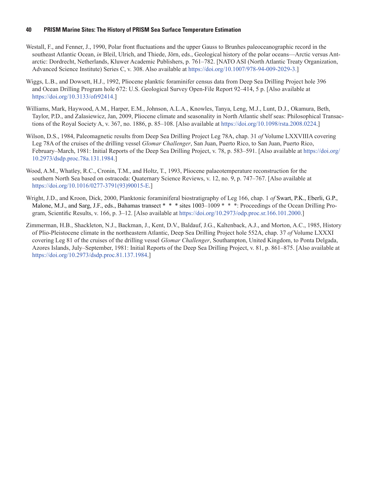- Westall, F., and Fenner, J., 1990, Polar front fluctuations and the upper Gauss to Brunhes paleoceanographic record in the southeast Atlantic Ocean, *in* Bleil, Ulrich, and Thiede, Jörn, eds., Geological history of the polar oceans—Arctic versus Antarctic: Dordrecht, Netherlands, Kluwer Academic Publishers, p. 761–782. [NATO ASI (North Atlantic Treaty Organization, Advanced Science Institute) Series C, v. 308. Also available a[t https://doi.org/10.1007/978-94-009-2029-3.](https://doi.org/10.1007/978-94-009-2029-3)]
- Wiggs, L.B., and Dowsett, H.J., 1992, Pliocene planktic foraminifer census data from Deep Sea Drilling Project hole 396 and Ocean Drilling Program hole 672: U.S. Geological Survey Open-File Report 92–414, 5 p. [Also available at [https://doi.org/10.3133/ofr92414.](https://doi.org/10.3133/ofr92414)]
- Williams, Mark, Haywood, A.M., Harper, E.M., Johnson, A.L.A., Knowles, Tanya, Leng, M.J., Lunt, D.J., Okamura, Beth, Taylor, P.D., and Zalasiewicz, Jan, 2009, Pliocene climate and seasonality in North Atlantic shelf seas: Philosophical Transactions of the Royal Society A, v. 367, no. 1886, p. 85–108. [Also available at <https://doi.org/10.1098/rsta.2008.0224>.]
- Wilson, D.S., 1984, Paleomagnetic results from Deep Sea Drilling Project Leg 78A, chap. 31 *of* Volume LXXVIIIA covering Leg 78A of the cruises of the drilling vessel *Glomar Challenger*, San Juan, Puerto Rico, to San Juan, Puerto Rico, February–March, 1981: Initial Reports of the Deep Sea Drilling Project, v. 78, p. 583–591. [Also available at [https://doi.org/](https://doi.org/10.2973/dsdp.proc.78a.131.1984) [10.2973/dsdp.proc.78a.131.1984](https://doi.org/10.2973/dsdp.proc.78a.131.1984).]
- Wood, A.M., Whatley, R.C., Cronin, T.M., and Holtz, T., 1993, Pliocene palaeotemperature reconstruction for the southern North Sea based on ostracoda: Quaternary Science Reviews, v. 12, no. 9, p. 747–767. [Also available at [https://doi.org/10.1016/0277-3791\(93\)90015-E.](https://doi.org/10.1016/0277-3791(93)90015-E)]
- Wright, J.D., and Kroon, Dick, 2000, Planktonic foraminiferal biostratigraphy of Leg 166, chap. 1 *of* Swart, P.K., Eberli, G.P., Malone, M.J., and Sarg, J.F., eds., Bahamas transect \* \* \* sites 1003–1009 \* \* \*: Proceedings of the Ocean Drilling Program, Scientific Results, v. 166, p. 3–12. [Also available at [https://doi.org/10.2973/odp.proc.sr.166.101.2000.](https://doi.org/10.2973/odp.proc.sr.166.101.2000)]
- Zimmerman, H.B., Shackleton, N.J., Backman, J., Kent, D.V., Baldauf, J.G., Kaltenback, A.J., and Morton, A.C., 1985, History of Plio-Pleistocene climate in the northeastern Atlantic, Deep Sea Drilling Project hole 552A, chap. 37 *of* Volume LXXXI covering Leg 81 of the cruises of the drilling vessel *Glomar Challenger*, Southampton, United Kingdom, to Ponta Delgada, Azores Islands, July–September, 1981: Initial Reports of the Deep Sea Drilling Project, v. 81, p. 861–875. [Also available at [https://doi.org/10.2973/dsdp.proc.81.137.1984.](https://doi.org/10.2973/dsdp.proc.81.137.1984)]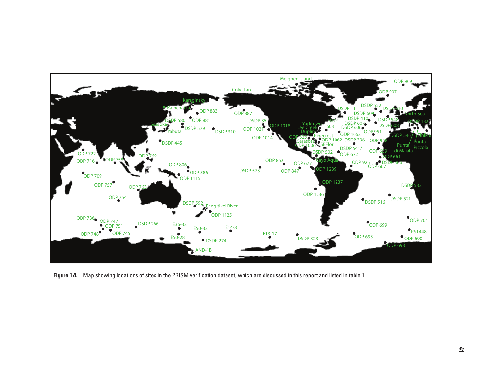<span id="page-48-0"></span>

**Figure 1***A***.** Map showing locations of sites in the PRISM verification dataset, which are discussed in this report and listed in table 1.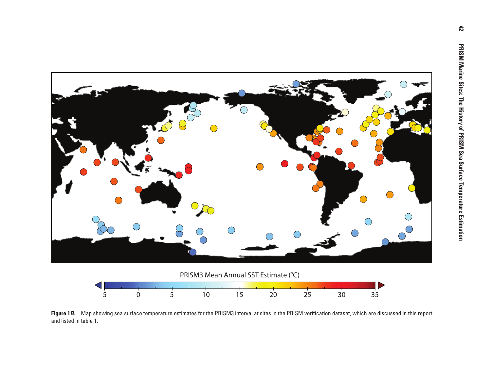<span id="page-49-0"></span>

Figure 1*B*. Map showing sea surface temperature estimates for the PRISM3 interval at sites in the PRISM verification dataset, which are discussed in this report and listed in table 1.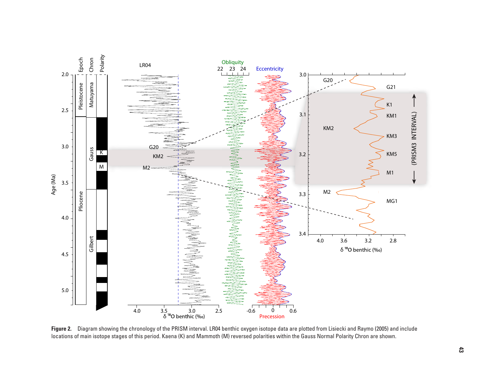<span id="page-50-0"></span>

**Figure 2.** Diagram showing the chronology of the PRISM interval. LR04 benthic oxygen isotope data are plotted from Lisiecki and Raymo (2005) and include locations of main isotope stages of this period. Kaena (K) and Mammoth (M) reversed polarities within the Gauss Normal Polarity Chron are shown.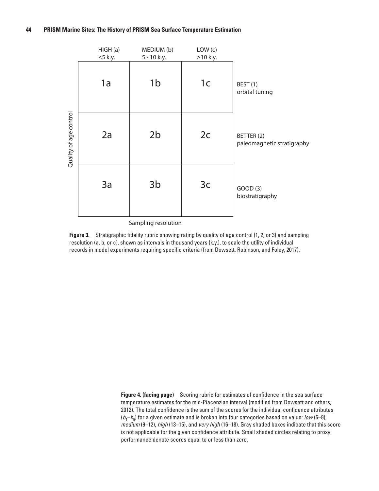<span id="page-51-0"></span>

Sampling resolution

**Figure 3.** Stratigraphic fidelity rubric showing rating by quality of age control (1, 2, or 3) and sampling resolution (a, b, or c), shown as intervals in thousand years (k.y.), to scale the utility of individual records in model experiments requiring specific criteria (from Dowsett, Robinson, and Foley, 2017).

> **Figure 4. (facing page)** Scoring rubric for estimates of confidence in the sea surface temperature estimates for the mid-Piacenzian interval (modified from Dowsett and others, 2012). The total confidence is the sum of the scores for the individual confidence attributes  $(b_1-b_5)$  for a given estimate and is broken into four categories based on value: *low* (5–8), *medium* (9–12), *high* (13–15), and *very high* (16–18). Gray shaded boxes indicate that this score is not applicable for the given confidence attribute. Small shaded circles relating to proxy performance denote scores equal to or less than zero.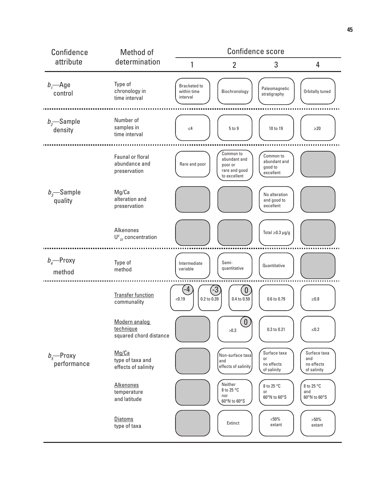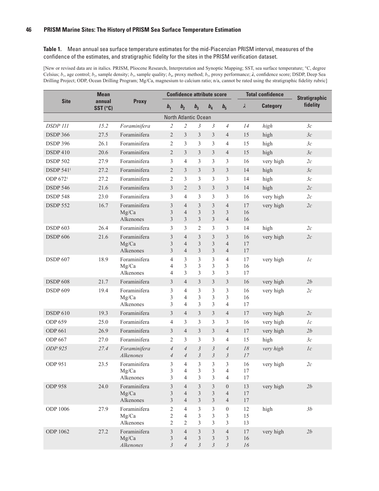<span id="page-53-0"></span>**Table 1.** Mean annual sea surface temperature estimates for the mid-Piacenzian PRISM interval, measures of the confidence of the estimates, and stratigraphic fidelity for the sites in the PRISM verification dataset.

[New or revised data are in italics. PRISM, Pliocene Research, Interpretation and Synoptic Mapping; SST, sea surface temperature; °C, degree Celsius; *b*1, age control; *b*2, sample density; *b*3, sample quality; *b*4, proxy method; *b*5, proxy performance; *λ*, confidence score; DSDP, Deep Sea Drilling Project; ODP, Ocean Drilling Program; Mg/Ca, magnesium to calcium ratio; n/a, cannot be rated using the stratigraphic fidelity rubric]

| <b>Mean</b>                 |                    |                       |                                  | <b>Confidence attribute score</b> |                         |                                           |                                  |              | <b>Total confidence</b> | <b>Stratigraphic</b> |
|-----------------------------|--------------------|-----------------------|----------------------------------|-----------------------------------|-------------------------|-------------------------------------------|----------------------------------|--------------|-------------------------|----------------------|
| <b>Site</b>                 | annual<br>SST (°C) | <b>Proxy</b>          | b <sub>1</sub>                   | b <sub>2</sub>                    | b <sub>3</sub>          | b <sub>4</sub>                            | $b_{5}$                          | $\lambda$    | <b>Category</b>         | fidelity             |
|                             |                    |                       |                                  | North Atlantic Ocean              |                         |                                           |                                  |              |                         |                      |
| <b>DSDP 111</b>             | 15.2               | Foraminifera          | $\overline{c}$                   | $\overline{2}$                    | 3                       | 3                                         | $\overline{4}$                   | 14           | high                    | 3c                   |
| <b>DSDP 366</b>             | 27.5               | Foraminifera          | $\overline{2}$                   | 3                                 | 3                       | 3                                         | 4                                | 15           | high                    | 3c                   |
| <b>DSDP 396</b>             | 26.1               | Foraminifera          | $\overline{2}$                   | 3                                 | 3                       | 3                                         | $\overline{4}$                   | 15           | high                    | 3c                   |
| <b>DSDP410</b>              | 20.6               | Foraminifera          | $\overline{2}$                   | 3                                 | 3                       | 3                                         | $\overline{4}$                   | 15           | high                    | 3c                   |
| <b>DSDP 502</b>             | 27.9               | Foraminifera          | 3                                | $\overline{4}$                    | 3                       | 3                                         | 3                                | 16           | very high               | 2c                   |
| <b>DSDP 541<sup>1</sup></b> | 27.2               | Foraminifera          | $\overline{2}$                   | 3                                 | 3                       | 3                                         | 3                                | 14           | high                    | 3c                   |
| ODP 672 <sup>1</sup>        | 27.2               | Foraminifera          | $\overline{2}$                   | 3                                 | 3                       | 3                                         | 3                                | 14           | high                    | 3c                   |
| <b>DSDP 546</b>             | 21.6               | Foraminifera          | $\overline{3}$                   | $\overline{2}$                    | 3                       | $\overline{3}$                            | 3                                | 14           | high                    | 2c                   |
| <b>DSDP 548</b>             | 23.0               | Foraminifera          | 3                                | 4                                 | 3                       | 3                                         | 3                                | 16           | very high               | 2c                   |
| <b>DSDP 552</b>             | 16.7               | Foraminifera          | 3                                | $\overline{4}$                    | 3                       | 3                                         | $\overline{4}$                   | 17           | very high               | 2c                   |
|                             |                    | Mg/Ca                 | $\mathfrak{Z}$                   | $\overline{4}$                    | 3                       | $\overline{\mathbf{3}}$                   | 3                                | 16           |                         |                      |
|                             |                    | Alkenones             | 3                                | 3                                 | 3                       | $\overline{3}$                            | $\overline{4}$                   | 16           |                         |                      |
| <b>DSDP 603</b>             | 26.4               | Foraminifera          | 3                                | 3                                 | $\overline{c}$          | 3                                         | 3                                | 14           | high                    | 2c                   |
| <b>DSDP 606</b>             | 21.6               | Foraminifera<br>Mg/Ca | 3<br>3                           | $\overline{4}$<br>$\overline{4}$  | 3<br>3                  | 3<br>3                                    | 3<br>$\overline{4}$              | 16<br>17     | very high               | 2c                   |
|                             |                    | Alkenones             | 3                                | $\overline{4}$                    | $\mathfrak{Z}$          | 3                                         | $\overline{4}$                   | 17           |                         |                      |
| <b>DSDP 607</b>             | 18.9               | Foraminifera          | $\overline{4}$                   | 3                                 | 3                       | 3                                         | $\overline{4}$                   | 17           | very high               | 1c                   |
|                             |                    | Mg/Ca                 | $\overline{4}$                   | 3                                 | 3                       | 3                                         | 3                                | 16           |                         |                      |
|                             |                    | Alkenones             | 4                                | 3                                 | 3                       | 3                                         | 3                                | 17           |                         |                      |
| <b>DSDP 608</b>             | 21.7               | Foraminifera          | 3                                | $\overline{4}$                    | 3                       | 3                                         | 3                                | 16           | very high               | 2b                   |
| <b>DSDP 609</b>             | 19.4               | Foraminifera          | 3                                | $\overline{4}$                    | 3                       | 3                                         | 3                                | 16           | very high               | 2c                   |
|                             |                    | Mg/Ca<br>Alkenones    | 3<br>3                           | 4<br>$\overline{4}$               | 3<br>3                  | 3<br>3                                    | 3<br>$\overline{4}$              | 16<br>17     |                         |                      |
| <b>DSDP 610</b>             | 19.3               | Foraminifera          | 3                                | $\overline{4}$                    | $\overline{3}$          | 3                                         | $\overline{4}$                   | 17           | very high               | 2c                   |
| <b>ODP 659</b>              | 25.0               | Foraminifera          | $\overline{4}$                   | 3                                 | 3                       | 3                                         | 3                                | 16           | very high               | 1c                   |
| <b>ODP 661</b>              | 26.9               | Foraminifera          | 3                                | $\overline{4}$                    | 3                       | 3                                         | $\overline{4}$                   | 17           | very high               | 2b                   |
| <b>ODP 667</b>              | 27.0               | Foraminifera          | $\overline{2}$                   | 3                                 | 3                       | 3                                         | 4                                | 15           | high                    | 3c                   |
| ODP 925                     | 27.4               | Foraminifera          | $\overline{4}$                   | $\overline{4}$                    | $\mathfrak{Z}$          | $\mathfrak{Z}$                            | $\overline{4}$                   | 18           | very high               | 1c                   |
|                             |                    | Alkenones             | $\overline{4}$                   | $\overline{4}$                    | $\overline{3}$          | $\mathfrak{Z}$                            | $\mathfrak{Z}$                   | 17           |                         |                      |
| <b>ODP 951</b>              | 23.5               | Foraminifera          | 3                                | $\overline{4}$                    | 3                       | 3                                         | 3                                | 16           | very high               | 2c                   |
|                             |                    | Mg/Ca                 | 3                                | $\overline{4}$                    | $\mathfrak z$           | $\mathfrak{Z}$                            | $\overline{4}$                   | 17           |                         |                      |
|                             |                    | Alkenones             | 3                                | $\overline{4}$                    | 3                       | 3                                         | $\overline{4}$                   | 17           |                         |                      |
| <b>ODP 958</b>              | 24.0               | Foraminifera          | $\mathfrak{Z}$                   | $\overline{4}$                    | $\mathfrak{Z}$          | 3                                         | $\boldsymbol{0}$                 | 13           | very high               | 2b                   |
|                             |                    | Mg/Ca<br>Alkenones    | $\mathfrak{Z}$<br>$\mathfrak{Z}$ | $\overline{4}$<br>$\overline{4}$  | $\overline{3}$<br>3     | $\overline{\mathbf{3}}$<br>$\mathfrak{Z}$ | $\overline{4}$<br>$\overline{4}$ | 17<br>$17\,$ |                         |                      |
| ODP 1006                    | 27.9               | Foraminifera          | $\overline{c}$                   | $\overline{4}$                    | 3                       | 3                                         | $\boldsymbol{0}$                 | 12           | high                    | 3b                   |
|                             |                    | Mg/Ca                 | $\overline{c}$                   | $\overline{4}$                    | 3                       | 3                                         | 3                                | 15           |                         |                      |
|                             |                    | Alkenones             | $\overline{2}$                   | $\overline{c}$                    | 3                       | 3                                         | $\mathfrak{Z}$                   | 13           |                         |                      |
| ODP 1062                    | 27.2               | Foraminifera          | 3                                | $\overline{4}$                    | $\overline{\mathbf{3}}$ | 3                                         | $\overline{4}$                   | 17           | very high               | 2b                   |
|                             |                    | Mg/Ca                 | $\mathfrak{Z}$<br>$\overline{3}$ | $\overline{4}$<br>$\overline{4}$  | $\overline{\mathbf{3}}$ | $\overline{\mathbf{3}}$                   | 3                                | 16           |                         |                      |
|                             |                    | Alkenones             |                                  |                                   | $\mathfrak{Z}$          | $\mathfrak{Z}$                            | $\mathfrak{Z}$                   | 16           |                         |                      |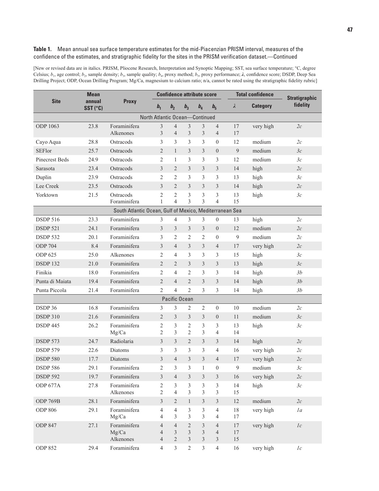#### **Table 1.** Mean annual sea surface temperature estimates for the mid-Piacenzian PRISM interval, measures of the confidence of the estimates, and stratigraphic fidelity for the sites in the PRISM verification dataset.—Continued

[New or revised data are in italics. PRISM, Pliocene Research, Interpretation and Synoptic Mapping; SST, sea surface temperature; °C, degree Celsius; *b*1, age control; *b*2, sample density; *b*3, sample quality; *b*4, proxy method; *b*5, proxy performance; *λ*, confidence score; DSDP, Deep Sea Drilling Project; ODP, Ocean Drilling Program; Mg/Ca, magnesium to calcium ratio; n/a, cannot be rated using the stratigraphic fidelity rubric]

|                       | <b>Mean</b><br>annual<br>$SST$ ( $°C$ ) | <b>Proxy</b>                                            |                                                    |                                                    |                                                | <b>Confidence attribute score</b> |                                       |                | <b>Total confidence</b> | <b>Stratigraphic</b><br>fidelity |
|-----------------------|-----------------------------------------|---------------------------------------------------------|----------------------------------------------------|----------------------------------------------------|------------------------------------------------|-----------------------------------|---------------------------------------|----------------|-------------------------|----------------------------------|
| <b>Site</b>           |                                         |                                                         | b <sub>1</sub>                                     | b <sub>2</sub>                                     | b <sub>3</sub>                                 | b <sub>4</sub>                    | $b_{5}$                               | $\lambda$      | <b>Category</b>         |                                  |
|                       |                                         |                                                         | North Atlantic Ocean-Continued                     |                                                    |                                                |                                   |                                       |                |                         |                                  |
| ODP 1063              | 23.8                                    | Foraminifera<br>Alkenones                               | 3<br>$\mathfrak{Z}$                                | $\overline{4}$<br>$\overline{4}$                   | 3<br>$\overline{3}$                            | 3<br>$\mathfrak{Z}$               | $\overline{4}$<br>$\overline{4}$      | 17<br>17       | very high               | 2c                               |
| Cayo Aqua             | 28.8                                    | Ostracods                                               | 3                                                  | 3                                                  | 3                                              | 3                                 | $\theta$                              | 12             | medium                  | 2c                               |
| <b>SEFlor</b>         | 25.7                                    | Ostracods                                               | $\overline{2}$                                     | $\mathbf{1}$                                       | 3                                              | $\overline{3}$                    | $\theta$                              | 9              | medium                  | 3c                               |
| <b>Pinecrest Beds</b> | 24.9                                    | Ostracods                                               | $\overline{2}$                                     | 1                                                  | 3                                              | $\overline{3}$                    | 3                                     | 12             | medium                  | 3c                               |
| Sarasota              | 23.4                                    | Ostracods                                               | 3                                                  | $\overline{2}$                                     | 3                                              | $\mathfrak{Z}$                    | 3                                     | 14             | high                    | 2c                               |
| Duplin                | 23.9                                    | Ostracods                                               | $\overline{2}$                                     | $\overline{2}$                                     | 3                                              | 3                                 | 3                                     | 13             | high                    | 3c                               |
| Lee Creek             | 23.5                                    | Ostracods                                               | $\overline{3}$                                     | 2                                                  | 3                                              | $\mathfrak{Z}$                    | 3                                     | 14             | high                    | 2c                               |
| Yorktown              | 21.5                                    | Ostracods<br>Foraminifera                               | $\overline{2}$<br>$\mathbf{1}$                     | $\overline{2}$<br>$\overline{4}$                   | 3<br>3                                         | 3<br>3                            | 3<br>$\overline{4}$                   | 13<br>15       | high                    | 3c                               |
|                       |                                         | South Atlantic Ocean, Gulf of Mexico, Mediterranean Sea |                                                    |                                                    |                                                |                                   |                                       |                |                         |                                  |
| <b>DSDP 516</b>       | 23.3                                    | Foraminifera                                            | 3                                                  | $\overline{4}$                                     | 3                                              | 3                                 | $\theta$                              | 13             | high                    | 2c                               |
| <b>DSDP 521</b>       | 24.1                                    | Foraminifera                                            | $\overline{3}$                                     | $\overline{3}$                                     | 3                                              | $\overline{3}$                    | $\theta$                              | 12             | medium                  | 2c                               |
| <b>DSDP 532</b>       | 20.1                                    | Foraminifera                                            | 3                                                  | 2                                                  | 2                                              | 2                                 | $\mathbf{0}$                          | 9              | medium                  | 2c                               |
| <b>ODP 704</b>        | 8.4                                     | Foraminifera                                            | 3                                                  | $\overline{4}$                                     | 3                                              | 3                                 | $\overline{4}$                        | 17             | very high               | 2c                               |
| <b>ODP 625</b>        | 25.0                                    | Alkenones                                               | $\overline{2}$                                     | $\overline{4}$                                     | 3                                              | $\overline{3}$                    | 3                                     | 15             | high                    | 3c                               |
| <b>DSDP 132</b>       | 21.0                                    | Foraminifera                                            | $\overline{2}$                                     | $\overline{2}$                                     | 3                                              | $\mathfrak{Z}$                    | 3                                     | 13             | high                    | 3c                               |
| Finikia               | 18.0                                    | Foraminifera                                            | $\overline{2}$                                     | $\overline{4}$                                     | $\overline{2}$                                 | 3                                 | 3                                     | 14             | high                    | 3b                               |
| Punta di Maiata       | 19.4                                    | Foraminifera                                            | $\overline{2}$                                     | $\overline{4}$                                     | $\overline{2}$                                 | 3                                 | 3                                     | 14             | high                    | 3b                               |
| Punta Piccola         | 21.4                                    | Foraminifera                                            | $\overline{2}$                                     | $\overline{4}$                                     | $\overline{2}$                                 | 3                                 | 3                                     | 14             | high                    | 3b                               |
|                       |                                         |                                                         |                                                    | Pacific Ocean                                      |                                                |                                   |                                       |                |                         |                                  |
| DSDP 36               | 16.8                                    | Foraminifera                                            | 3                                                  | 3                                                  | 2                                              | $\overline{2}$                    | $\theta$                              | 10             | medium                  | 2c                               |
| <b>DSDP 310</b>       | 21.6                                    | Foraminifera                                            | $\overline{2}$                                     | 3                                                  | 3                                              | $\overline{3}$                    | $\theta$                              | 11             | medium                  | 3c                               |
| <b>DSDP 445</b>       | 26.2                                    | Foraminifera<br>Mg/Ca                                   | $\overline{c}$<br>$\overline{2}$                   | 3<br>3                                             | 2<br>$\overline{2}$                            | 3<br>3                            | 3<br>$\overline{4}$                   | 13<br>14       | high                    | 3c                               |
| <b>DSDP 573</b>       | 24.7                                    | Radiolaria                                              | 3                                                  | 3                                                  | 2                                              | 3                                 | 3                                     | 14             | high                    | 2c                               |
| <b>DSDP 579</b>       | 22.6                                    | Diatoms                                                 | 3                                                  | 3                                                  | 3                                              | 3                                 | 4                                     | 16             | very high               | 2c                               |
| <b>DSDP 580</b>       | 17.7                                    | Diatoms                                                 | 3                                                  | $\overline{4}$                                     | 3                                              | $\overline{3}$                    | $\overline{4}$                        | 17             | very high               | 2c                               |
| <b>DSDP 586</b>       | 29.1                                    | Foraminifera                                            | 2                                                  | 3                                                  | 3                                              | 1                                 | $\theta$                              | 9              | medium                  | Зc                               |
| <b>DSDP 592</b>       | 19.7                                    | Foraminifera                                            | $\mathfrak{Z}$                                     | $\overline{4}$                                     | 3                                              | 3                                 | 3                                     | 16             | very high               | $2\ensuremath{c}\xspace$         |
| ODP 677A              | 27.8                                    | Foraminifera<br>Alkenones                               | $\overline{c}$<br>$\overline{2}$                   | 3<br>$\overline{4}$                                | $\overline{\mathbf{3}}$<br>3                   | $\mathfrak{Z}$<br>3               | $\mathfrak{Z}$<br>3                   | 14<br>15       | high                    | 3c                               |
| ODP 769B              | 28.1                                    | Foraminifera                                            | 3                                                  | $\overline{2}$                                     | $\mathbf{1}$                                   | $\mathfrak{Z}$                    | 3                                     | 12             | medium                  | $2\ensuremath{c}\xspace$         |
| <b>ODP 806</b>        | 29.1                                    | Foraminifera<br>Mg/Ca                                   | $\overline{4}$<br>4                                | $\overline{4}$<br>3                                | 3<br>3                                         | $\mathfrak{Z}$<br>3               | 4<br>4                                | $18\,$<br>17   | very high               | 1a                               |
| <b>ODP 847</b>        | 27.1                                    | Foraminifera<br>Mg/Ca<br>Alkenones                      | $\overline{4}$<br>$\overline{4}$<br>$\overline{4}$ | $\overline{4}$<br>$\mathfrak{Z}$<br>$\overline{2}$ | $\overline{2}$<br>$\overline{\mathbf{3}}$<br>3 | 3<br>$\overline{\mathbf{3}}$<br>3 | $\overline{4}$<br>$\overline{4}$<br>3 | 17<br>17<br>15 | very high               | 1c                               |
| ODP 852               | 29.4                                    | Foraminifera                                            | 4                                                  | $\mathfrak{Z}$                                     | $\sqrt{2}$                                     | $\mathfrak{Z}$                    | $\overline{4}$                        | 16             | very high               | 1c                               |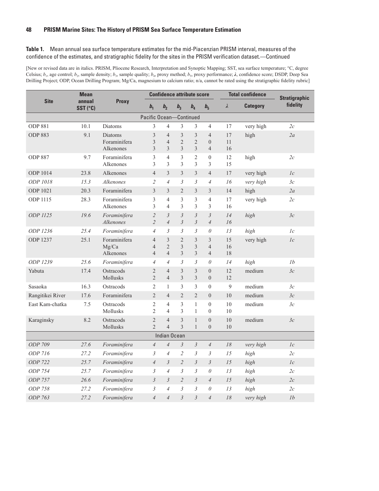#### **Table 1.** Mean annual sea surface temperature estimates for the mid-Piacenzian PRISM interval, measures of the confidence of the estimates, and stratigraphic fidelity for the sites in the PRISM verification dataset.—Continued

[New or revised data are in italics. PRISM, Pliocene Research, Interpretation and Synoptic Mapping; SST, sea surface temperature; °C, degree Celsius; *b*1, age control; *b*2, sample density; *b*3, sample quality; *b*4, proxy method; *b*5, proxy performance; *λ*, confidence score; DSDP, Deep Sea Drilling Project; ODP, Ocean Drilling Program; Mg/Ca, magnesium to calcium ratio; n/a, cannot be rated using the stratigraphic fidelity rubric]

|                             | <b>Mean</b>        |                                      |                                                    |                                       |                                       | <b>Confidence attribute score</b>                  |                                                      |                | <b>Total confidence</b> | <b>Stratigraphic</b> |  |
|-----------------------------|--------------------|--------------------------------------|----------------------------------------------------|---------------------------------------|---------------------------------------|----------------------------------------------------|------------------------------------------------------|----------------|-------------------------|----------------------|--|
| <b>Site</b>                 | annual<br>SST (°C) | <b>Proxy</b>                         | b <sub>1</sub>                                     | b <sub>2</sub>                        | b <sub>3</sub>                        | b <sub>4</sub>                                     | $b_{5}$                                              | λ              | <b>Category</b>         | fidelity             |  |
| Pacific Ocean-<br>Continued |                    |                                      |                                                    |                                       |                                       |                                                    |                                                      |                |                         |                      |  |
| <b>ODP 881</b>              | 10.1               | <b>Diatoms</b>                       | 3                                                  | 4                                     | $\mathfrak{Z}$                        | 3                                                  | $\overline{4}$                                       | 17             | very high               | 2c                   |  |
| <b>ODP 883</b>              | 9.1                | Diatoms<br>Foraminifera<br>Alkenones | $\mathfrak{Z}$<br>$\mathfrak{Z}$<br>$\overline{3}$ | $\overline{4}$<br>$\overline{4}$<br>3 | $\mathfrak{Z}$<br>$\overline{2}$<br>3 | $\overline{3}$<br>$\overline{2}$<br>$\overline{3}$ | $\overline{4}$<br>$\boldsymbol{0}$<br>$\overline{4}$ | 17<br>11<br>16 | high                    | 2a                   |  |
| <b>ODP 887</b>              | 9.7                | Foraminifera<br>Alkenones            | 3<br>3                                             | $\overline{4}$<br>3                   | 3<br>3                                | $\overline{2}$<br>3                                | $\mathbf{0}$<br>3                                    | 12<br>15       | high                    | 2c                   |  |
| <b>ODP 1014</b>             | 23.8               | Alkenones                            | $\overline{4}$                                     | 3                                     | $\mathfrak{Z}$                        | $\overline{\mathbf{3}}$                            | $\overline{4}$                                       | 17             | very high               | 1c                   |  |
| ODP 1018                    | 15.3               | <b>Alkenones</b>                     | $\overline{c}$                                     | $\overline{4}$                        | $\mathfrak{Z}$                        | $\mathfrak{Z}$                                     | $\overline{4}$                                       | 16             | very high               | 3c                   |  |
| <b>ODP 1021</b>             | 20.3               | Foraminifera                         | $\overline{3}$                                     | $\overline{3}$                        | $\overline{2}$                        | $\overline{3}$                                     | $\overline{3}$                                       | 14             | high                    | 2a                   |  |
| <b>ODP 1115</b>             | 28.3               | Foraminifera<br>Alkenones            | 3<br>3                                             | $\overline{4}$<br>$\overline{4}$      | 3<br>3                                | 3<br>3                                             | $\overline{4}$<br>$\overline{3}$                     | 17<br>16       | very high               | 2c                   |  |
| ODP 1125                    | 19.6               | Foraminifera<br>Alkenones            | $\overline{2}$<br>$\overline{c}$                   | $\mathfrak{Z}$<br>$\overline{4}$      | $\mathfrak{Z}$<br>$\mathfrak{Z}$      | $\mathfrak{Z}$<br>$\mathfrak{Z}$                   | $\mathfrak{Z}$<br>$\overline{4}$                     | 14<br>16       | high                    | 3c                   |  |
| ODP 1236                    | 25.4               | Foraminifera                         | $\overline{4}$                                     | 3                                     | 3                                     | 3                                                  | $\theta$                                             | 13             | high                    | 1c                   |  |
| <b>ODP 1237</b>             | 25.1               | Foraminifera<br>Mg/Ca<br>Alkenones   | $\overline{4}$<br>$\overline{4}$<br>$\overline{4}$ | 3<br>$\overline{2}$<br>$\overline{4}$ | $\sqrt{2}$<br>3<br>3                  | $\overline{\mathbf{3}}$<br>3<br>$\overline{3}$     | $\mathfrak{Z}$<br>$\overline{4}$<br>$\overline{4}$   | 15<br>16<br>18 | very high               | 1c                   |  |
| ODP 1239                    | 25.6               | Foraminifera                         | $\overline{4}$                                     | $\overline{4}$                        | $\mathfrak{Z}$                        | $\mathfrak{Z}$                                     | $\theta$                                             | 14             | high                    | 1b                   |  |
| Yabuta                      | 17.4               | Ostracods<br><b>Mollusks</b>         | $\overline{2}$<br>$\overline{2}$                   | $\overline{4}$<br>$\overline{4}$      | 3<br>3                                | 3<br>3                                             | $\boldsymbol{0}$<br>$\overline{0}$                   | 12<br>12       | medium                  | 3c                   |  |
| Sasaoka                     | 16.3               | Ostracods                            | $\overline{2}$                                     | $\mathbf{1}$                          | 3                                     | 3                                                  | $\mathbf{0}$                                         | 9              | medium                  | 3c                   |  |
| Rangitikei River            | 17.6               | Foraminifera                         | $\overline{2}$                                     | $\overline{4}$                        | $\overline{2}$                        | $\overline{2}$                                     | $\overline{0}$                                       | 10             | medium                  | 3c                   |  |
| East Kam-chatka             | 7.5                | Ostracods<br>Mollusks                | $\mathbf{2}$<br>$\overline{2}$                     | $\overline{4}$<br>$\overline{4}$      | 3<br>3                                | $\mathbf{1}$<br>$\mathbf{1}$                       | $\mathbf{0}$<br>$\mathbf{0}$                         | 10<br>10       | medium                  | 3c                   |  |
| Karaginsky                  | 8.2                | Ostracods<br>Mollusks                | $\overline{c}$<br>$\overline{2}$                   | $\overline{4}$<br>$\overline{4}$      | 3<br>3                                | $\mathbf{1}$<br>$\mathbf{1}$                       | $\theta$<br>$\overline{0}$                           | 10<br>10       | medium                  | 3c                   |  |
|                             |                    |                                      |                                                    | <b>Indian Ocean</b>                   |                                       |                                                    |                                                      |                |                         |                      |  |
| ODP 709                     | 27.6               | Foraminifera                         | $\overline{4}$                                     | $\overline{4}$                        | $\mathfrak{Z}$                        | $\mathfrak{Z}$                                     | $\overline{4}$                                       | 18             | very high               | 1c                   |  |
| ODP 716                     | 27.2               | Foraminifera                         | 3                                                  | $\overline{4}$                        | $\mathfrak{2}$                        | 3                                                  | 3                                                    | 15             | high                    | 2c                   |  |
| ODP 722                     | 25.7               | Foraminifera                         | $\overline{4}$                                     | $\mathfrak{Z}$                        | $\overline{2}$                        | $\mathfrak{Z}$                                     | $\mathfrak{Z}$                                       | 15             | high                    | 1c                   |  |
| ODP 754                     | 25.7               | Foraminifera                         | $\mathfrak{Z}$                                     | $\overline{4}$                        | $\mathfrak{Z}$                        | $\mathfrak{Z}$                                     | $\theta$                                             | 13             | high                    | 2c                   |  |
| ODP 757                     | 26.6               | Foraminifera                         | $\mathfrak{Z}$                                     | $\mathfrak{Z}$                        | $\overline{2}$                        | $\mathfrak{Z}$                                     | $\overline{4}$                                       | 15             | high                    | 2c                   |  |
| ODP 758                     | 27.2               | Foraminifera                         | $\mathfrak{Z}$                                     | $\overline{4}$                        | $\mathfrak{Z}$                        | 3                                                  | $\theta$                                             | 13             | high                    | 2c                   |  |
| ODP 763                     | 27.2               | Foraminifera                         | $\overline{4}$                                     | $\overline{4}$                        | $\overline{3}$                        | $\mathfrak{Z}$                                     | $\overline{4}$                                       | 18             | very high               | 1 <sub>b</sub>       |  |